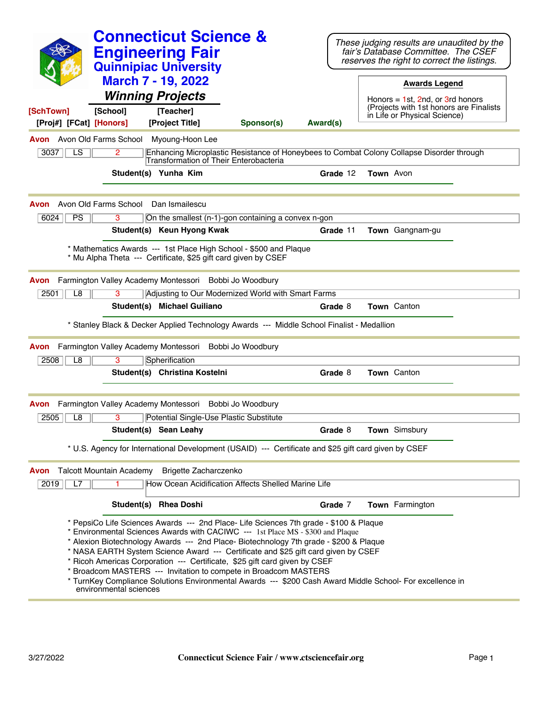|                                                        |                        | <b>Connecticut Science &amp;</b><br><b>Engineering Fair</b><br><b>Quinnipiac University</b><br><b>March 7 - 19, 2022</b><br><b>Winning Projects</b> |                                                                                                                                                                                                                                                                                                                                                                                                                                                                                                                                                                                                                          |          |           | These judging results are unaudited by the<br>fair's Database Committee. The CSEF<br>reserves the right to correct the listings.<br><b>Awards Legend</b><br>Honors = $1st$ , 2nd, or 3rd honors<br>(Projects with 1st honors are Finalists) |  |
|--------------------------------------------------------|------------------------|-----------------------------------------------------------------------------------------------------------------------------------------------------|--------------------------------------------------------------------------------------------------------------------------------------------------------------------------------------------------------------------------------------------------------------------------------------------------------------------------------------------------------------------------------------------------------------------------------------------------------------------------------------------------------------------------------------------------------------------------------------------------------------------------|----------|-----------|---------------------------------------------------------------------------------------------------------------------------------------------------------------------------------------------------------------------------------------------|--|
| [SchTown]<br>[Proj#] [FCat] [Honors]                   | [School]               | [Teacher]<br>[Project Title]                                                                                                                        | Sponsor(s)                                                                                                                                                                                                                                                                                                                                                                                                                                                                                                                                                                                                               | Award(s) |           | in Life or Physical Science)                                                                                                                                                                                                                |  |
| <b>Avon</b> Avon Old Farms School<br>3037<br>LS        | 2                      | Myoung-Hoon Lee<br>Transformation of Their Enterobacteria                                                                                           | Enhancing Microplastic Resistance of Honeybees to Combat Colony Collapse Disorder through                                                                                                                                                                                                                                                                                                                                                                                                                                                                                                                                |          |           |                                                                                                                                                                                                                                             |  |
|                                                        |                        | Student(s) Yunha Kim                                                                                                                                |                                                                                                                                                                                                                                                                                                                                                                                                                                                                                                                                                                                                                          | Grade 12 | Town Avon |                                                                                                                                                                                                                                             |  |
| <b>Avon</b> Avon Old Farms School<br>6024<br><b>PS</b> | 3                      | Dan Ismailescu                                                                                                                                      | On the smallest (n-1)-gon containing a convex n-gon                                                                                                                                                                                                                                                                                                                                                                                                                                                                                                                                                                      |          |           |                                                                                                                                                                                                                                             |  |
|                                                        |                        | Student(s) Keun Hyong Kwak                                                                                                                          |                                                                                                                                                                                                                                                                                                                                                                                                                                                                                                                                                                                                                          | Grade 11 |           | Town Gangnam-gu                                                                                                                                                                                                                             |  |
|                                                        |                        | * Mu Alpha Theta --- Certificate, \$25 gift card given by CSEF                                                                                      | * Mathematics Awards --- 1st Place High School - \$500 and Plaque                                                                                                                                                                                                                                                                                                                                                                                                                                                                                                                                                        |          |           |                                                                                                                                                                                                                                             |  |
| Avon                                                   |                        | Farmington Valley Academy Montessori Bobbi Jo Woodbury                                                                                              |                                                                                                                                                                                                                                                                                                                                                                                                                                                                                                                                                                                                                          |          |           |                                                                                                                                                                                                                                             |  |
| $\overline{L8}$<br>2501                                | 3                      |                                                                                                                                                     | Adjusting to Our Modernized World with Smart Farms                                                                                                                                                                                                                                                                                                                                                                                                                                                                                                                                                                       |          |           |                                                                                                                                                                                                                                             |  |
|                                                        |                        | Student(s) Michael Guiliano                                                                                                                         | * Stanley Black & Decker Applied Technology Awards --- Middle School Finalist - Medallion                                                                                                                                                                                                                                                                                                                                                                                                                                                                                                                                | Grade 8  |           | Town Canton                                                                                                                                                                                                                                 |  |
|                                                        |                        |                                                                                                                                                     |                                                                                                                                                                                                                                                                                                                                                                                                                                                                                                                                                                                                                          |          |           |                                                                                                                                                                                                                                             |  |
| Farmington Valley Academy Montessori<br>Avon           |                        |                                                                                                                                                     | Bobbi Jo Woodbury                                                                                                                                                                                                                                                                                                                                                                                                                                                                                                                                                                                                        |          |           |                                                                                                                                                                                                                                             |  |
| 2508<br>L8                                             | 3                      | Spherification<br>Student(s) Christina Kostelni                                                                                                     |                                                                                                                                                                                                                                                                                                                                                                                                                                                                                                                                                                                                                          | Grade 8  |           | <b>Town</b> Canton                                                                                                                                                                                                                          |  |
| Avon                                                   |                        | Farmington Valley Academy Montessori Bobbi Jo Woodbury                                                                                              |                                                                                                                                                                                                                                                                                                                                                                                                                                                                                                                                                                                                                          |          |           |                                                                                                                                                                                                                                             |  |
| 2505<br>L8                                             | 3                      | Potential Single-Use Plastic Substitute                                                                                                             |                                                                                                                                                                                                                                                                                                                                                                                                                                                                                                                                                                                                                          |          |           |                                                                                                                                                                                                                                             |  |
|                                                        |                        | Student(s) Sean Leahy                                                                                                                               |                                                                                                                                                                                                                                                                                                                                                                                                                                                                                                                                                                                                                          | Grade 8  |           | Town Simsbury                                                                                                                                                                                                                               |  |
|                                                        |                        |                                                                                                                                                     | * U.S. Agency for International Development (USAID) --- Certificate and \$25 gift card given by CSEF                                                                                                                                                                                                                                                                                                                                                                                                                                                                                                                     |          |           |                                                                                                                                                                                                                                             |  |
| <b>Talcott Mountain Academy</b><br>Avon<br>2019<br>L7  |                        | Brigette Zacharczenko                                                                                                                               | How Ocean Acidification Affects Shelled Marine Life                                                                                                                                                                                                                                                                                                                                                                                                                                                                                                                                                                      |          |           |                                                                                                                                                                                                                                             |  |
|                                                        |                        | Student(s) Rhea Doshi                                                                                                                               |                                                                                                                                                                                                                                                                                                                                                                                                                                                                                                                                                                                                                          | Grade 7  |           | Town Farmington                                                                                                                                                                                                                             |  |
|                                                        | environmental sciences |                                                                                                                                                     | * PepsiCo Life Sciences Awards --- 2nd Place- Life Sciences 7th grade - \$100 & Plaque<br>* Environmental Sciences Awards with CACIWC --- 1st Place MS - \$300 and Plaque<br>* Alexion Biotechnology Awards --- 2nd Place- Biotechnology 7th grade - \$200 & Plaque<br>* NASA EARTH System Science Award --- Certificate and \$25 gift card given by CSEF<br>* Ricoh Americas Corporation --- Certificate, \$25 gift card given by CSEF<br>* Broadcom MASTERS --- Invitation to compete in Broadcom MASTERS<br>* TurnKey Compliance Solutions Environmental Awards --- \$200 Cash Award Middle School- For excellence in |          |           |                                                                                                                                                                                                                                             |  |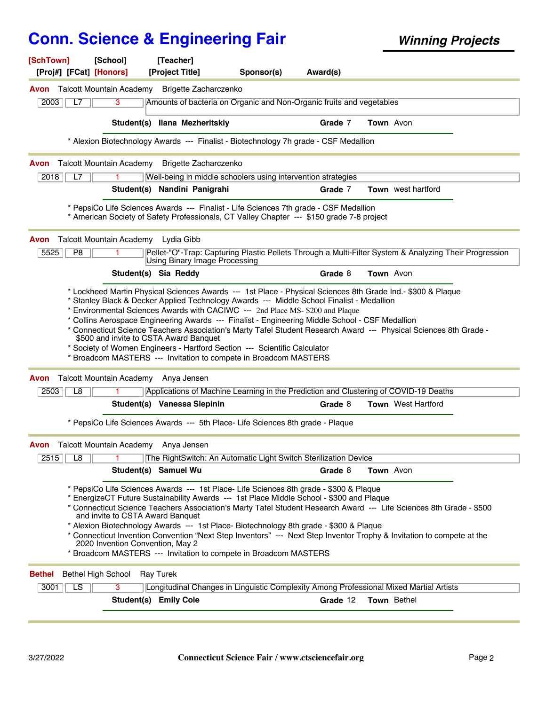| [SchTown]<br>[Proj#] [FCat] [Honors] | <b>[School]</b>                                                      | [Teacher]<br>[Project Title]           | Sponsor(s)                                                                                                                                                                                                                                                                                                                                       | Award(s) |                                                                                                                                                                                                                                              |  |
|--------------------------------------|----------------------------------------------------------------------|----------------------------------------|--------------------------------------------------------------------------------------------------------------------------------------------------------------------------------------------------------------------------------------------------------------------------------------------------------------------------------------------------|----------|----------------------------------------------------------------------------------------------------------------------------------------------------------------------------------------------------------------------------------------------|--|
| Avon                                 | Talcott Mountain Academy                                             | Brigette Zacharczenko                  |                                                                                                                                                                                                                                                                                                                                                  |          |                                                                                                                                                                                                                                              |  |
| 2003<br>L7                           | 3                                                                    |                                        | Amounts of bacteria on Organic and Non-Organic fruits and vegetables                                                                                                                                                                                                                                                                             |          |                                                                                                                                                                                                                                              |  |
|                                      |                                                                      | Student(s) Ilana Mezheritskiy          |                                                                                                                                                                                                                                                                                                                                                  | Grade 7  | Town Avon                                                                                                                                                                                                                                    |  |
|                                      |                                                                      |                                        | * Alexion Biotechnology Awards --- Finalist - Biotechnology 7h grade - CSF Medallion                                                                                                                                                                                                                                                             |          |                                                                                                                                                                                                                                              |  |
| Avon                                 | <b>Talcott Mountain Academy</b>                                      | <b>Brigette Zacharczenko</b>           |                                                                                                                                                                                                                                                                                                                                                  |          |                                                                                                                                                                                                                                              |  |
| L7<br>2018                           |                                                                      |                                        | Well-being in middle schoolers using intervention strategies                                                                                                                                                                                                                                                                                     |          |                                                                                                                                                                                                                                              |  |
|                                      |                                                                      | Student(s) Nandini Panigrahi           |                                                                                                                                                                                                                                                                                                                                                  | Grade 7  | Town west hartford                                                                                                                                                                                                                           |  |
|                                      |                                                                      |                                        | * PepsiCo Life Sciences Awards --- Finalist - Life Sciences 7th grade - CSF Medallion<br>* American Society of Safety Professionals, CT Valley Chapter --- \$150 grade 7-8 project                                                                                                                                                               |          |                                                                                                                                                                                                                                              |  |
| Avon                                 | Talcott Mountain Academy Lydia Gibb                                  |                                        |                                                                                                                                                                                                                                                                                                                                                  |          |                                                                                                                                                                                                                                              |  |
| 5525<br>P <sub>8</sub>               |                                                                      | Using Binary Image Processing          |                                                                                                                                                                                                                                                                                                                                                  |          | Pellet-"O"-Trap: Capturing Plastic Pellets Through a Multi-Filter System & Analyzing Their Progression                                                                                                                                       |  |
|                                      |                                                                      | Student(s) Sia Reddy                   |                                                                                                                                                                                                                                                                                                                                                  | Grade 8  | Town Avon                                                                                                                                                                                                                                    |  |
| Avon                                 | Talcott Mountain Academy Anya Jensen                                 | \$500 and invite to CSTA Award Banquet | * Collins Aerospace Engineering Awards --- Finalist - Engineering Middle School - CSF Medallion<br>* Society of Women Engineers - Hartford Section --- Scientific Calculator<br>* Broadcom MASTERS --- Invitation to compete in Broadcom MASTERS                                                                                                 |          | * Connecticut Science Teachers Association's Marty Tafel Student Research Award --- Physical Sciences 8th Grade -                                                                                                                            |  |
| L8<br>2503                           |                                                                      |                                        |                                                                                                                                                                                                                                                                                                                                                  |          | Applications of Machine Learning in the Prediction and Clustering of COVID-19 Deaths                                                                                                                                                         |  |
|                                      |                                                                      | Student(s) Vanessa Slepinin            |                                                                                                                                                                                                                                                                                                                                                  | Grade 8  | <b>Town</b> West Hartford                                                                                                                                                                                                                    |  |
|                                      |                                                                      |                                        | * PepsiCo Life Sciences Awards --- 5th Place- Life Sciences 8th grade - Plaque                                                                                                                                                                                                                                                                   |          |                                                                                                                                                                                                                                              |  |
|                                      | Avon Talcott Mountain Academy Anya Jensen                            |                                        |                                                                                                                                                                                                                                                                                                                                                  |          |                                                                                                                                                                                                                                              |  |
| 2515<br>L8                           | 1.                                                                   |                                        | The RightSwitch: An Automatic Light Switch Sterilization Device                                                                                                                                                                                                                                                                                  |          |                                                                                                                                                                                                                                              |  |
|                                      |                                                                      | Student(s) Samuel Wu                   |                                                                                                                                                                                                                                                                                                                                                  | Grade 8  | Town Avon                                                                                                                                                                                                                                    |  |
|                                      | and invite to CSTA Award Banquet<br>2020 Invention Convention, May 2 |                                        | * PepsiCo Life Sciences Awards --- 1st Place- Life Sciences 8th grade - \$300 & Plaque<br>* EnergizeCT Future Sustainability Awards --- 1st Place Middle School - \$300 and Plaque<br>* Alexion Biotechnology Awards --- 1st Place- Biotechnology 8th grade - \$300 & Plaque<br>* Broadcom MASTERS --- Invitation to compete in Broadcom MASTERS |          | * Connecticut Science Teachers Association's Marty Tafel Student Research Award --- Life Sciences 8th Grade - \$500<br>* Connecticut Invention Convention "Next Step Inventors" --- Next Step Inventor Trophy & Invitation to compete at the |  |
| <b>Bethel</b>                        | <b>Bethel High School</b>                                            | <b>Ray Turek</b>                       |                                                                                                                                                                                                                                                                                                                                                  |          |                                                                                                                                                                                                                                              |  |
| LS<br>3001                           | 3                                                                    |                                        |                                                                                                                                                                                                                                                                                                                                                  |          | Longitudinal Changes in Linguistic Complexity Among Professional Mixed Martial Artists                                                                                                                                                       |  |
|                                      |                                                                      | Student(s) Emily Cole                  |                                                                                                                                                                                                                                                                                                                                                  | Grade 12 | Town Bethel                                                                                                                                                                                                                                  |  |
|                                      |                                                                      |                                        |                                                                                                                                                                                                                                                                                                                                                  |          |                                                                                                                                                                                                                                              |  |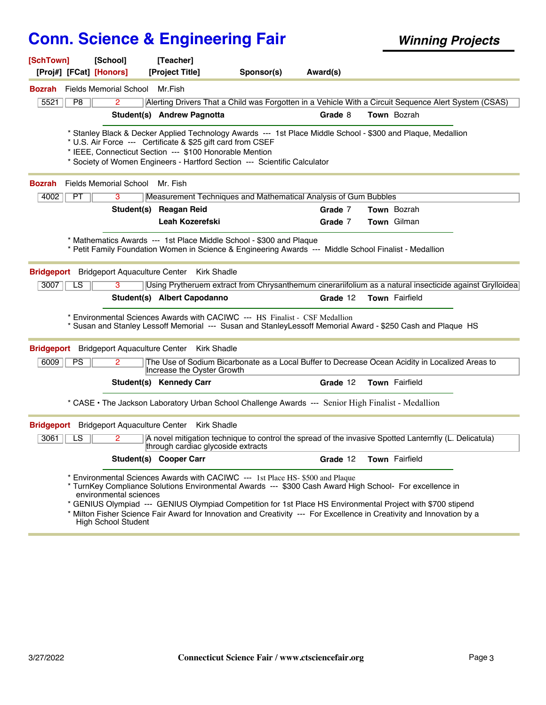| [SchTown]<br>[Proj#] [FCat] [Honors] |           | [School]                                             | [Teacher]<br>[Project Title]                                                                                                                                                                                                                                                                                                                                                                                                      | Sponsor(s) | Award(s) |                |  |
|--------------------------------------|-----------|------------------------------------------------------|-----------------------------------------------------------------------------------------------------------------------------------------------------------------------------------------------------------------------------------------------------------------------------------------------------------------------------------------------------------------------------------------------------------------------------------|------------|----------|----------------|--|
| Bozrah                               |           | <b>Fields Memorial School</b>                        | Mr.Fish                                                                                                                                                                                                                                                                                                                                                                                                                           |            |          |                |  |
| 5521                                 | P8        | 2                                                    | Alerting Drivers That a Child was Forgotten in a Vehicle With a Circuit Sequence Alert System (CSAS)                                                                                                                                                                                                                                                                                                                              |            |          |                |  |
|                                      |           |                                                      | Student(s) Andrew Pagnotta                                                                                                                                                                                                                                                                                                                                                                                                        |            | Grade 8  | Town Bozrah    |  |
|                                      |           |                                                      | Stanley Black & Decker Applied Technology Awards --- 1st Place Middle School - \$300 and Plaque, Medallion *<br>* U.S. Air Force --- Certificate & \$25 gift card from CSEF<br>* IEEE, Connecticut Section --- \$100 Honorable Mention<br>* Society of Women Engineers - Hartford Section --- Scientific Calculator                                                                                                               |            |          |                |  |
| <b>Bozrah</b>                        |           | <b>Fields Memorial School</b>                        | Mr. Fish                                                                                                                                                                                                                                                                                                                                                                                                                          |            |          |                |  |
| 4002                                 | <b>PT</b> | 3                                                    | Measurement Techniques and Mathematical Analysis of Gum Bubbles                                                                                                                                                                                                                                                                                                                                                                   |            |          |                |  |
|                                      |           |                                                      | Student(s) Reagan Reid                                                                                                                                                                                                                                                                                                                                                                                                            |            | Grade 7  | Town Bozrah    |  |
|                                      |           |                                                      | <b>Leah Kozerefski</b>                                                                                                                                                                                                                                                                                                                                                                                                            |            | Grade 7  | Town Gilman    |  |
| 3007                                 | LS        | 3                                                    | * Mathematics Awards --- 1st Place Middle School - \$300 and Plaque<br>* Petit Family Foundation Women in Science & Engineering Awards --- Middle School Finalist - Medallion<br>Bridgeport Bridgeport Aquaculture Center Kirk Shadle<br>Using Prytheruem extract from Chrysanthemum cinerariifolium as a natural insecticide against Grylloidea                                                                                  |            |          |                |  |
|                                      |           |                                                      | Student(s) Albert Capodanno                                                                                                                                                                                                                                                                                                                                                                                                       |            | Grade 12 | Town Fairfield |  |
| <b>Bridgeport</b>                    |           | <b>Bridgeport Aquaculture Center</b>                 | * Environmental Sciences Awards with CACIWC --- HS Finalist - CSF Medallion<br>* Susan and Stanley Lessoff Memorial --- Susan and Stanley Lessoff Memorial Award - \$250 Cash and Plaque HS<br><b>Kirk Shadle</b>                                                                                                                                                                                                                 |            |          |                |  |
| 6009                                 | PS        | 2                                                    | The Use of Sodium Bicarbonate as a Local Buffer to Decrease Ocean Acidity in Localized Areas to<br>Increase the Oyster Growth                                                                                                                                                                                                                                                                                                     |            |          |                |  |
|                                      |           |                                                      | Student(s) Kennedy Carr                                                                                                                                                                                                                                                                                                                                                                                                           |            | Grade 12 | Town Fairfield |  |
|                                      |           |                                                      | * CASE . The Jackson Laboratory Urban School Challenge Awards --- Senior High Finalist - Medallion                                                                                                                                                                                                                                                                                                                                |            |          |                |  |
| <b>Bridgeport</b>                    |           |                                                      | Bridgeport Aquaculture Center Kirk Shadle                                                                                                                                                                                                                                                                                                                                                                                         |            |          |                |  |
| 3061                                 | LS        | 2                                                    | A novel mitigation technique to control the spread of the invasive Spotted Lanternfly (L. Delicatula)<br>through cardiac glycoside extracts                                                                                                                                                                                                                                                                                       |            |          |                |  |
|                                      |           |                                                      | <b>Student(s) Cooper Carr</b>                                                                                                                                                                                                                                                                                                                                                                                                     |            | Grade 12 | Town Fairfield |  |
|                                      |           | environmental sciences<br><b>High School Student</b> | * Environmental Sciences Awards with CACIWC --- 1st Place HS- \$500 and Plaque<br>* TurnKey Compliance Solutions Environmental Awards --- \$300 Cash Award High School- For excellence in<br>* GENIUS Olympiad --- GENIUS Olympiad Competition for 1st Place HS Environmental Project with \$700 stipend<br>* Milton Fisher Science Fair Award for Innovation and Creativity --- For Excellence in Creativity and Innovation by a |            |          |                |  |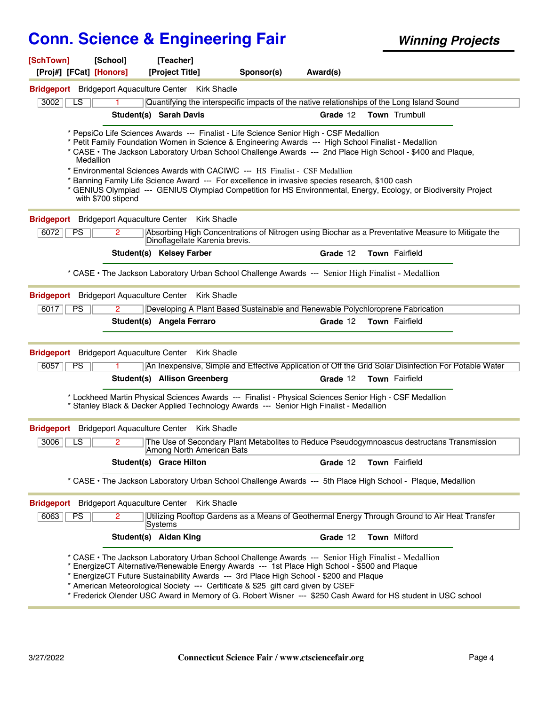| [SchTown]<br>[Proj#] [FCat] [Honors] | [School]                             | [Teacher]<br>[Project Title]                                | Sponsor(s)                                                                                                                                                                                                                                                                                                                                                                                                                                                                                                                                                                                                        | Award(s) |                       |  |
|--------------------------------------|--------------------------------------|-------------------------------------------------------------|-------------------------------------------------------------------------------------------------------------------------------------------------------------------------------------------------------------------------------------------------------------------------------------------------------------------------------------------------------------------------------------------------------------------------------------------------------------------------------------------------------------------------------------------------------------------------------------------------------------------|----------|-----------------------|--|
|                                      |                                      | <b>Bridgeport</b> Bridgeport Aquaculture Center Kirk Shadle |                                                                                                                                                                                                                                                                                                                                                                                                                                                                                                                                                                                                                   |          |                       |  |
| 3002<br>LS.                          |                                      |                                                             | Quantifying the interspecific impacts of the native relationships of the Long Island Sound                                                                                                                                                                                                                                                                                                                                                                                                                                                                                                                        |          |                       |  |
|                                      |                                      | <b>Student(s) Sarah Davis</b>                               |                                                                                                                                                                                                                                                                                                                                                                                                                                                                                                                                                                                                                   | Grade 12 | <b>Town</b> Trumbull  |  |
| Medallion                            | with \$700 stipend                   |                                                             | * PepsiCo Life Sciences Awards --- Finalist - Life Science Senior High - CSF Medallion<br>* Petit Family Foundation Women in Science & Engineering Awards --- High School Finalist - Medallion<br>* CASE • The Jackson Laboratory Urban School Challenge Awards --- 2nd Place High School - \$400 and Plaque,<br>* Environmental Sciences Awards with CACIWC --- HS Finalist - CSF Medallion<br>Banning Family Life Science Award --- For excellence in invasive species research, \$100 cash<br>* GENIUS Olympiad --- GENIUS Olympiad Competition for HS Environmental, Energy, Ecology, or Biodiversity Project |          |                       |  |
|                                      |                                      | Bridgeport Bridgeport Aquaculture Center Kirk Shadle        |                                                                                                                                                                                                                                                                                                                                                                                                                                                                                                                                                                                                                   |          |                       |  |
| 6072<br><b>PS</b>                    | $\overline{2}$                       | Dinoflagellate Karenia brevis.                              | Absorbing High Concentrations of Nitrogen using Biochar as a Preventative Measure to Mitigate the                                                                                                                                                                                                                                                                                                                                                                                                                                                                                                                 |          |                       |  |
|                                      |                                      | Student(s) Kelsey Farber                                    |                                                                                                                                                                                                                                                                                                                                                                                                                                                                                                                                                                                                                   | Grade 12 | Town Fairfield        |  |
|                                      |                                      |                                                             | * CASE • The Jackson Laboratory Urban School Challenge Awards --- Senior High Finalist - Medallion                                                                                                                                                                                                                                                                                                                                                                                                                                                                                                                |          |                       |  |
|                                      |                                      | Bridgeport Bridgeport Aquaculture Center Kirk Shadle        |                                                                                                                                                                                                                                                                                                                                                                                                                                                                                                                                                                                                                   |          |                       |  |
| 6017<br>PS                           | $\overline{2}$                       |                                                             | Developing A Plant Based Sustainable and Renewable Polychloroprene Fabrication                                                                                                                                                                                                                                                                                                                                                                                                                                                                                                                                    |          |                       |  |
|                                      |                                      | Student(s) Angela Ferraro                                   |                                                                                                                                                                                                                                                                                                                                                                                                                                                                                                                                                                                                                   | Grade 12 | <b>Town</b> Fairfield |  |
|                                      |                                      | Bridgeport Bridgeport Aquaculture Center Kirk Shadle        |                                                                                                                                                                                                                                                                                                                                                                                                                                                                                                                                                                                                                   |          |                       |  |
| 6057<br><b>PS</b>                    |                                      |                                                             | An Inexpensive, Simple and Effective Application of Off the Grid Solar Disinfection For Potable Water                                                                                                                                                                                                                                                                                                                                                                                                                                                                                                             |          |                       |  |
|                                      |                                      | <b>Student(s) Allison Greenberg</b>                         |                                                                                                                                                                                                                                                                                                                                                                                                                                                                                                                                                                                                                   | Grade 12 | Town Fairfield        |  |
|                                      |                                      |                                                             | * Lockheed Martin Physical Sciences Awards --- Finalist - Physical Sciences Senior High - CSF Medallion<br>Stanley Black & Decker Applied Technology Awards --- Senior High Finalist - Medallion                                                                                                                                                                                                                                                                                                                                                                                                                  |          |                       |  |
| <b>Bridgeport</b>                    | <b>Bridgeport Aquaculture Center</b> | <b>Kirk Shadle</b>                                          |                                                                                                                                                                                                                                                                                                                                                                                                                                                                                                                                                                                                                   |          |                       |  |
| LS<br>3006                           | 2                                    | Among North American Bats                                   | The Use of Secondary Plant Metabolites to Reduce Pseudogymnoascus destructans Transmission                                                                                                                                                                                                                                                                                                                                                                                                                                                                                                                        |          |                       |  |
|                                      |                                      | Student(s) Grace Hilton                                     |                                                                                                                                                                                                                                                                                                                                                                                                                                                                                                                                                                                                                   | Grade 12 | Town Fairfield        |  |
|                                      |                                      |                                                             | * CASE . The Jackson Laboratory Urban School Challenge Awards --- 5th Place High School - Plaque, Medallion                                                                                                                                                                                                                                                                                                                                                                                                                                                                                                       |          |                       |  |
|                                      |                                      | Bridgeport Bridgeport Aquaculture Center Kirk Shadle        |                                                                                                                                                                                                                                                                                                                                                                                                                                                                                                                                                                                                                   |          |                       |  |
| 6063<br><b>PS</b>                    | $\mathbf{2}^{\circ}$                 | Systems                                                     | Utilizing Rooftop Gardens as a Means of Geothermal Energy Through Ground to Air Heat Transfer                                                                                                                                                                                                                                                                                                                                                                                                                                                                                                                     |          |                       |  |
|                                      |                                      | Student(s) Aidan King                                       |                                                                                                                                                                                                                                                                                                                                                                                                                                                                                                                                                                                                                   | Grade 12 | Town Milford          |  |
|                                      |                                      |                                                             | * CASE • The Jackson Laboratory Urban School Challenge Awards --- Senior High Finalist - Medallion<br>EnergizeCT Alternative/Renewable Energy Awards --- 1st Place High School - \$500 and Plaque<br>EnergizeCT Future Sustainability Awards --- 3rd Place High School - \$200 and Plaque<br>* American Meteorological Society --- Certificate & \$25 gift card given by CSEF<br>* Frederick Olender USC Award in Memory of G. Robert Wisner --- \$250 Cash Award for HS student in USC school                                                                                                                    |          |                       |  |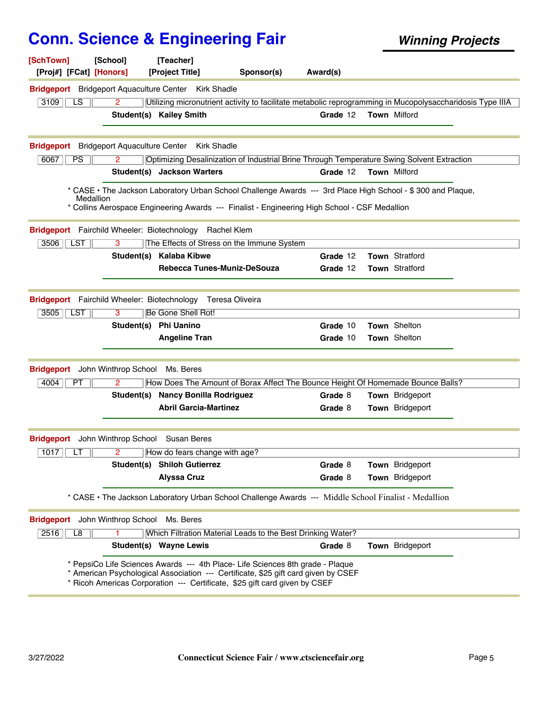| [School]<br>[SchTown]<br>[Proj#] [FCat] [Honors]                          |                | [Teacher]<br>[Project Title]                                        | Sponsor(s)                                                                                                                                                                                                                                         | Award(s)             |                                                                                                             |  |
|---------------------------------------------------------------------------|----------------|---------------------------------------------------------------------|----------------------------------------------------------------------------------------------------------------------------------------------------------------------------------------------------------------------------------------------------|----------------------|-------------------------------------------------------------------------------------------------------------|--|
| <b>Bridgeport</b> Bridgeport Aquaculture Center Kirk Shadle               |                |                                                                     |                                                                                                                                                                                                                                                    |                      |                                                                                                             |  |
| 3109<br>LS.                                                               | 2              |                                                                     |                                                                                                                                                                                                                                                    |                      | Utilizing micronutrient activity to facilitate metabolic reprogramming in Mucopolysaccharidosis Type IIIA   |  |
|                                                                           |                | <b>Student(s) Kailey Smith</b>                                      |                                                                                                                                                                                                                                                    | Grade 12             | Town Milford                                                                                                |  |
|                                                                           |                |                                                                     |                                                                                                                                                                                                                                                    |                      |                                                                                                             |  |
| <b>Bridgeport</b> Bridgeport Aquaculture Center                           |                | <b>Kirk Shadle</b>                                                  |                                                                                                                                                                                                                                                    |                      |                                                                                                             |  |
| 6067<br>PS                                                                | 2              |                                                                     |                                                                                                                                                                                                                                                    |                      | Optimizing Desalinization of Industrial Brine Through Temperature Swing Solvent Extraction                  |  |
|                                                                           |                | Student(s) Jackson Warters                                          |                                                                                                                                                                                                                                                    | Grade 12             | Town Milford                                                                                                |  |
| Medallion                                                                 |                |                                                                     | * Collins Aerospace Engineering Awards --- Finalist - Engineering High School - CSF Medallion                                                                                                                                                      |                      | * CASE • The Jackson Laboratory Urban School Challenge Awards --- 3rd Place High School - \$300 and Plaque, |  |
| Bridgeport Fairchild Wheeler: Biotechnology Rachel Klem                   |                |                                                                     |                                                                                                                                                                                                                                                    |                      |                                                                                                             |  |
| $3506$   LST                                                              | 3              |                                                                     | The Effects of Stress on the Immune System                                                                                                                                                                                                         |                      |                                                                                                             |  |
|                                                                           |                | Student(s) Kalaba Kibwe                                             |                                                                                                                                                                                                                                                    | Grade 12             | Town Stratford                                                                                              |  |
|                                                                           |                | Rebecca Tunes-Muniz-DeSouza                                         |                                                                                                                                                                                                                                                    | Grade 12             | Town Stratford                                                                                              |  |
| Bridgeport Fairchild Wheeler: Biotechnology Teresa Oliveira<br>3505   LST | 3              | Be Gone Shell Rot!<br>Student(s) Phi Uanino<br><b>Angeline Tran</b> |                                                                                                                                                                                                                                                    | Grade 10<br>Grade 10 | Town Shelton<br>Town Shelton                                                                                |  |
| <b>Bridgeport</b> John Winthrop School                                    |                | Ms. Beres                                                           |                                                                                                                                                                                                                                                    |                      |                                                                                                             |  |
| 4004<br>PT                                                                | $\overline{2}$ |                                                                     | How Does The Amount of Borax Affect The Bounce Height Of Homemade Bounce Balls?                                                                                                                                                                    |                      |                                                                                                             |  |
|                                                                           |                | Student(s) Nancy Bonilla Rodriguez<br><b>Abril Garcia-Martinez</b>  |                                                                                                                                                                                                                                                    | Grade 8              | Town Bridgeport                                                                                             |  |
|                                                                           |                |                                                                     |                                                                                                                                                                                                                                                    | Grade 8              | Town Bridgeport                                                                                             |  |
| <b>Bridgeport</b> John Winthrop School Susan Beres                        |                |                                                                     |                                                                                                                                                                                                                                                    |                      |                                                                                                             |  |
| 1017 $LT$                                                                 | $\mathbf{2}$   | How do fears change with age?                                       |                                                                                                                                                                                                                                                    |                      |                                                                                                             |  |
|                                                                           |                | Student(s) Shiloh Gutierrez                                         |                                                                                                                                                                                                                                                    | Grade 8              | Town Bridgeport                                                                                             |  |
|                                                                           |                | <b>Alyssa Cruz</b>                                                  |                                                                                                                                                                                                                                                    | Grade 8              | Town Bridgeport                                                                                             |  |
|                                                                           |                |                                                                     | * CASE • The Jackson Laboratory Urban School Challenge Awards --- Middle School Finalist - Medallion                                                                                                                                               |                      |                                                                                                             |  |
| <b>Bridgeport</b> John Winthrop School                                    |                | Ms. Beres                                                           |                                                                                                                                                                                                                                                    |                      |                                                                                                             |  |
| 2516<br>L8                                                                |                |                                                                     | Which Filtration Material Leads to the Best Drinking Water?                                                                                                                                                                                        |                      |                                                                                                             |  |
|                                                                           |                | Student(s) Wayne Lewis                                              |                                                                                                                                                                                                                                                    | Grade 8              | Town Bridgeport                                                                                             |  |
|                                                                           |                |                                                                     | * PepsiCo Life Sciences Awards --- 4th Place- Life Sciences 8th grade - Plaque<br>* American Psychological Association --- Certificate, \$25 gift card given by CSEF<br>* Ricoh Americas Corporation --- Certificate, \$25 gift card given by CSEF |                      |                                                                                                             |  |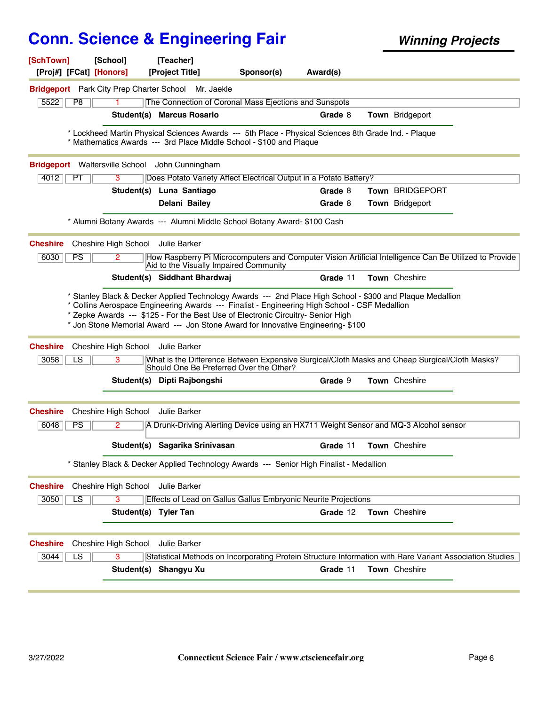| [SchTown]               | [Proj#] [FCat] [Honors] | [School]                               | [Teacher]<br>[Project Title]                        | Sponsor(s)                                                                                                                                                                                                                                                                                                                                                                                                        | Award(s) |                 |  |
|-------------------------|-------------------------|----------------------------------------|-----------------------------------------------------|-------------------------------------------------------------------------------------------------------------------------------------------------------------------------------------------------------------------------------------------------------------------------------------------------------------------------------------------------------------------------------------------------------------------|----------|-----------------|--|
|                         |                         |                                        | Bridgeport Park City Prep Charter School Mr. Jaekle |                                                                                                                                                                                                                                                                                                                                                                                                                   |          |                 |  |
| 5522                    | P <sub>8</sub>          |                                        |                                                     | The Connection of Coronal Mass Ejections and Sunspots                                                                                                                                                                                                                                                                                                                                                             |          |                 |  |
|                         |                         |                                        | <b>Student(s) Marcus Rosario</b>                    |                                                                                                                                                                                                                                                                                                                                                                                                                   | Grade 8  | Town Bridgeport |  |
|                         |                         |                                        |                                                     | * Lockheed Martin Physical Sciences Awards --- 5th Place - Physical Sciences 8th Grade Ind. - Plaque<br>* Mathematics Awards --- 3rd Place Middle School - \$100 and Plaque                                                                                                                                                                                                                                       |          |                 |  |
|                         |                         |                                        | Bridgeport Waltersville School John Cunningham      |                                                                                                                                                                                                                                                                                                                                                                                                                   |          |                 |  |
| 4012                    | <b>PT</b>               | 3                                      |                                                     | Does Potato Variety Affect Electrical Output in a Potato Battery?                                                                                                                                                                                                                                                                                                                                                 |          |                 |  |
|                         |                         |                                        | Student(s) Luna Santiago                            |                                                                                                                                                                                                                                                                                                                                                                                                                   | Grade 8  | Town BRIDGEPORT |  |
|                         |                         |                                        | Delani Bailey                                       |                                                                                                                                                                                                                                                                                                                                                                                                                   | Grade 8  | Town Bridgeport |  |
|                         |                         |                                        |                                                     | * Alumni Botany Awards --- Alumni Middle School Botany Award- \$100 Cash                                                                                                                                                                                                                                                                                                                                          |          |                 |  |
| <b>Cheshire</b>         |                         | Cheshire High School Julie Barker      |                                                     |                                                                                                                                                                                                                                                                                                                                                                                                                   |          |                 |  |
| 6030                    | PS                      | $\mathbf{2}^{\circ}$                   | Aid to the Visually Impaired Community              | How Raspberry Pi Microcomputers and Computer Vision Artificial Intelligence Can Be Utilized to Provide                                                                                                                                                                                                                                                                                                            |          |                 |  |
|                         |                         |                                        | Student(s) Siddhant Bhardwaj                        |                                                                                                                                                                                                                                                                                                                                                                                                                   | Grade 11 | Town Cheshire   |  |
| <b>Cheshire</b><br>3058 | LS                      | Cheshire High School Julie Barker<br>3 |                                                     | * Collins Aerospace Engineering Awards --- Finalist - Engineering High School - CSF Medallion<br>* Zepke Awards --- \$125 - For the Best Use of Electronic Circuitry- Senior High<br>* Jon Stone Memorial Award --- Jon Stone Award for Innovative Engineering- \$100<br>What is the Difference Between Expensive Surgical/Cloth Masks and Cheap Surgical/Cloth Masks?<br>Should One Be Preferred Over the Other? |          |                 |  |
|                         |                         |                                        | Student(s) Dipti Rajbongshi                         |                                                                                                                                                                                                                                                                                                                                                                                                                   | Grade 9  | Town Cheshire   |  |
| <b>Cheshire</b>         |                         | Cheshire High School                   | Julie Barker                                        |                                                                                                                                                                                                                                                                                                                                                                                                                   |          |                 |  |
| 6048                    | PS                      | 2                                      |                                                     | A Drunk-Driving Alerting Device using an HX711 Weight Sensor and MQ-3 Alcohol sensor                                                                                                                                                                                                                                                                                                                              |          |                 |  |
|                         |                         |                                        | Student(s) Sagarika Srinivasan                      |                                                                                                                                                                                                                                                                                                                                                                                                                   | Grade 11 | Town Cheshire   |  |
|                         |                         |                                        |                                                     | * Stanley Black & Decker Applied Technology Awards --- Senior High Finalist - Medallion                                                                                                                                                                                                                                                                                                                           |          |                 |  |
| <b>Cheshire</b>         |                         | Cheshire High School                   | Julie Barker                                        |                                                                                                                                                                                                                                                                                                                                                                                                                   |          |                 |  |
| 3050                    | LS                      | 3                                      |                                                     | Effects of Lead on Gallus Gallus Embryonic Neurite Projections                                                                                                                                                                                                                                                                                                                                                    |          |                 |  |
|                         |                         | Student(s) Tyler Tan                   |                                                     |                                                                                                                                                                                                                                                                                                                                                                                                                   | Grade 12 | Town Cheshire   |  |
| <b>Cheshire</b>         |                         | Cheshire High School                   | Julie Barker                                        |                                                                                                                                                                                                                                                                                                                                                                                                                   |          |                 |  |
| 3044                    | $\overline{\text{LS}}$  | 3                                      |                                                     | Statistical Methods on Incorporating Protein Structure Information with Rare Variant Association Studies                                                                                                                                                                                                                                                                                                          |          |                 |  |
|                         |                         |                                        | Student(s) Shangyu Xu                               |                                                                                                                                                                                                                                                                                                                                                                                                                   | Grade 11 | Town Cheshire   |  |
|                         |                         |                                        |                                                     |                                                                                                                                                                                                                                                                                                                                                                                                                   |          |                 |  |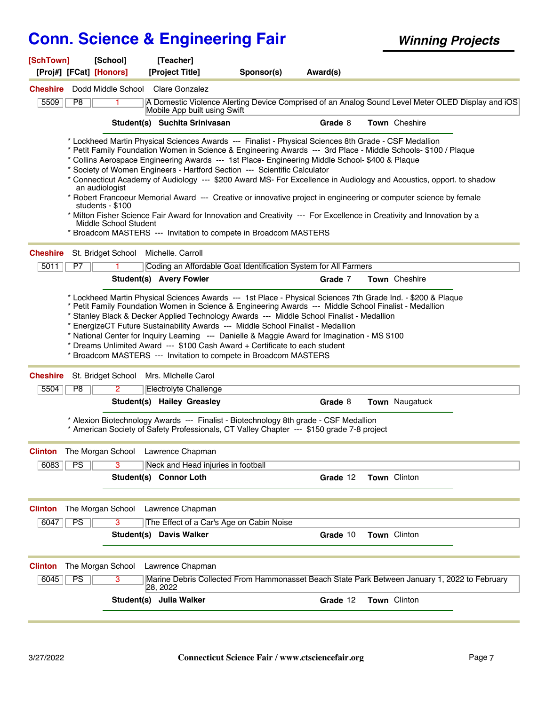| [SchTown]                                         | [School]                                  | [Teacher]                          |                                                                                                                                                                                                                                                                                                                                                                                                                                                                                                                                                                                                                                                                                                                                                                                                                                                  |          |                |  |
|---------------------------------------------------|-------------------------------------------|------------------------------------|--------------------------------------------------------------------------------------------------------------------------------------------------------------------------------------------------------------------------------------------------------------------------------------------------------------------------------------------------------------------------------------------------------------------------------------------------------------------------------------------------------------------------------------------------------------------------------------------------------------------------------------------------------------------------------------------------------------------------------------------------------------------------------------------------------------------------------------------------|----------|----------------|--|
| [Proj#] [FCat] [Honors]                           |                                           | [Project Title]                    | Sponsor(s)                                                                                                                                                                                                                                                                                                                                                                                                                                                                                                                                                                                                                                                                                                                                                                                                                                       | Award(s) |                |  |
| <b>Cheshire</b><br>5509<br>P <sub>8</sub>         | Dodd Middle School                        | Clare Gonzalez                     | A Domestic Violence Alerting Device Comprised of an Analog Sound Level Meter OLED Display and iOS                                                                                                                                                                                                                                                                                                                                                                                                                                                                                                                                                                                                                                                                                                                                                |          |                |  |
|                                                   |                                           | Mobile App built using Swift       |                                                                                                                                                                                                                                                                                                                                                                                                                                                                                                                                                                                                                                                                                                                                                                                                                                                  |          |                |  |
|                                                   |                                           | Student(s) Suchita Srinivasan      |                                                                                                                                                                                                                                                                                                                                                                                                                                                                                                                                                                                                                                                                                                                                                                                                                                                  | Grade 8  | Town Cheshire  |  |
| an audiologist                                    | students - \$100<br>Middle School Student |                                    | * Lockheed Martin Physical Sciences Awards --- Finalist - Physical Sciences 8th Grade - CSF Medallion<br>* Petit Family Foundation Women in Science & Engineering Awards --- 3rd Place - Middle Schools- \$100 / Plaque<br>* Collins Aerospace Engineering Awards --- 1st Place- Engineering Middle School- \$400 & Plaque<br>* Society of Women Engineers - Hartford Section --- Scientific Calculator<br>* Connecticut Academy of Audiology --- \$200 Award MS- For Excellence in Audiology and Acoustics, opport. to shadow<br>* Robert Francoeur Memorial Award --- Creative or innovative project in engineering or computer science by female<br>* Milton Fisher Science Fair Award for Innovation and Creativity --- For Excellence in Creativity and Innovation by a<br>* Broadcom MASTERS --- Invitation to compete in Broadcom MASTERS |          |                |  |
| <b>Cheshire</b>                                   | St. Bridget School                        | Michelle. Carroll                  |                                                                                                                                                                                                                                                                                                                                                                                                                                                                                                                                                                                                                                                                                                                                                                                                                                                  |          |                |  |
| 5011<br>P7                                        |                                           |                                    | Coding an Affordable Goat Identification System for All Farmers                                                                                                                                                                                                                                                                                                                                                                                                                                                                                                                                                                                                                                                                                                                                                                                  |          |                |  |
|                                                   |                                           | <b>Student(s) Avery Fowler</b>     |                                                                                                                                                                                                                                                                                                                                                                                                                                                                                                                                                                                                                                                                                                                                                                                                                                                  | Grade 7  | Town Cheshire  |  |
| <b>Cheshire</b>                                   | St. Bridget School                        | Mrs. Michelle Carol                | * National Center for Inquiry Learning --- Danielle & Maggie Award for Imagination - MS \$100<br>* Dreams Unlimited Award --- \$100 Cash Award + Certificate to each student<br>* Broadcom MASTERS --- Invitation to compete in Broadcom MASTERS                                                                                                                                                                                                                                                                                                                                                                                                                                                                                                                                                                                                 |          |                |  |
| P <sub>8</sub><br>5504                            | $\mathbf{2}^{\circ}$                      | Electrolyte Challenge              |                                                                                                                                                                                                                                                                                                                                                                                                                                                                                                                                                                                                                                                                                                                                                                                                                                                  |          |                |  |
|                                                   |                                           | Student(s) Hailey Greasley         |                                                                                                                                                                                                                                                                                                                                                                                                                                                                                                                                                                                                                                                                                                                                                                                                                                                  | Grade 8  | Town Naugatuck |  |
|                                                   |                                           |                                    | * Alexion Biotechnology Awards --- Finalist - Biotechnology 8th grade - CSF Medallion<br>* American Society of Safety Professionals, CT Valley Chapter --- \$150 grade 7-8 project                                                                                                                                                                                                                                                                                                                                                                                                                                                                                                                                                                                                                                                               |          |                |  |
| <b>Clinton</b> The Morgan School Lawrence Chapman |                                           |                                    |                                                                                                                                                                                                                                                                                                                                                                                                                                                                                                                                                                                                                                                                                                                                                                                                                                                  |          |                |  |
| 6083<br><b>PS</b>                                 | 3                                         | Neck and Head injuries in football |                                                                                                                                                                                                                                                                                                                                                                                                                                                                                                                                                                                                                                                                                                                                                                                                                                                  |          |                |  |
|                                                   |                                           | Student(s) Connor Loth             |                                                                                                                                                                                                                                                                                                                                                                                                                                                                                                                                                                                                                                                                                                                                                                                                                                                  | Grade 12 | Town Clinton   |  |
| <b>Clinton</b><br>The Morgan School               |                                           | Lawrence Chapman                   |                                                                                                                                                                                                                                                                                                                                                                                                                                                                                                                                                                                                                                                                                                                                                                                                                                                  |          |                |  |
| $\overline{PS}$<br>6047                           | 3                                         |                                    | The Effect of a Car's Age on Cabin Noise                                                                                                                                                                                                                                                                                                                                                                                                                                                                                                                                                                                                                                                                                                                                                                                                         |          |                |  |
|                                                   |                                           | <b>Student(s) Davis Walker</b>     |                                                                                                                                                                                                                                                                                                                                                                                                                                                                                                                                                                                                                                                                                                                                                                                                                                                  | Grade 10 | Town Clinton   |  |
| The Morgan School<br><b>Clinton</b>               |                                           | Lawrence Chapman                   |                                                                                                                                                                                                                                                                                                                                                                                                                                                                                                                                                                                                                                                                                                                                                                                                                                                  |          |                |  |
| $\overline{\mathsf{PS}}$<br>6045                  | 3                                         | 28, 2022                           | Marine Debris Collected From Hammonasset Beach State Park Between January 1, 2022 to February                                                                                                                                                                                                                                                                                                                                                                                                                                                                                                                                                                                                                                                                                                                                                    |          |                |  |
|                                                   |                                           | Student(s) Julia Walker            |                                                                                                                                                                                                                                                                                                                                                                                                                                                                                                                                                                                                                                                                                                                                                                                                                                                  | Grade 12 | Town Clinton   |  |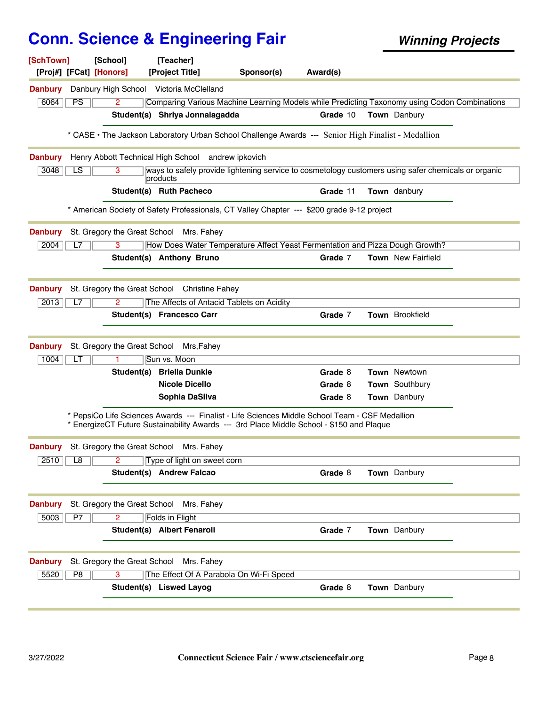**Sponsor(s) [SchTown] [School] [Teacher] [Proj#] [FCat] [Honors] [Project Title] Award(s)** 6064 2 Comparing Various Machine Learning Models while Predicting Taxonomy using Codon Combinations **Danbury** Danbury High School Victoria McClelland PS **Student(s) Shriya Jonnalagadda Grade** 10 **Town** Danbury \* CASE • The Jackson Laboratory Urban School Challenge Awards --- Senior High Finalist - Medallion 3048 | LS | 3 | ways to safely provide lightening service to cosmetology customers using safer chemicals or organic products 3 **Danbury** Henry Abbott Technical High School andrew ipkovich LS **Student(s) Ruth Pacheco Grade** 11 **Town** danbury \* American Society of Safety Professionals, CT Valley Chapter --- \$200 grade 9-12 project 2004 L7 3 How Does Water Temperature Affect Yeast Fermentation and Pizza Dough Growth? **Danbury** St. Gregory the Great School Mrs. Fahey  $\overline{L7}$ **Student(s) Anthony Bruno Grade** 7 **Town** New Fairfield **2013** L7 2 The Affects of Antacid Tablets on Acidity **Danbury** St. Gregory the Great School Christine Fahey  $L7$ **Student(s) Francesco Carr Grade** 7 **Town** Brookfield 1004 **LT** 1 **Sun vs. Moon Danbury** St. Gregory the Great School Mrs,Fahey LT **Student(s) Briella Dunkle Grade** 8 **Town** Newtown **Nicole Dicello Grade** 8 **Town** Southbury **Sophia DaSilva Grade** 8 **Town** Danbury \* PepsiCo Life Sciences Awards --- Finalist - Life Sciences Middle School Team - CSF Medallion \* EnergizeCT Future Sustainability Awards --- 3rd Place Middle School - \$150 and Plaque 2510 L8 2 Type of light on sweet corn **Danbury** St. Gregory the Great School Mrs. Fahey L8 **Student(s) Andrew Falcao Grade** 8 **Town** Danbury 5003 2 Folds in Flight **Danbury** St. Gregory the Great School Mrs. Fahey **P7 Student(s) Albert Fenaroli Grade** 7 **Town** Danbury 5520 3 The Effect Of A Parabola On Wi-Fi Speed **Danbury** St. Gregory the Great School Mrs. Fahey P8 **Student(s)** Liswed Layog **Grade** 8 **Town** Danbury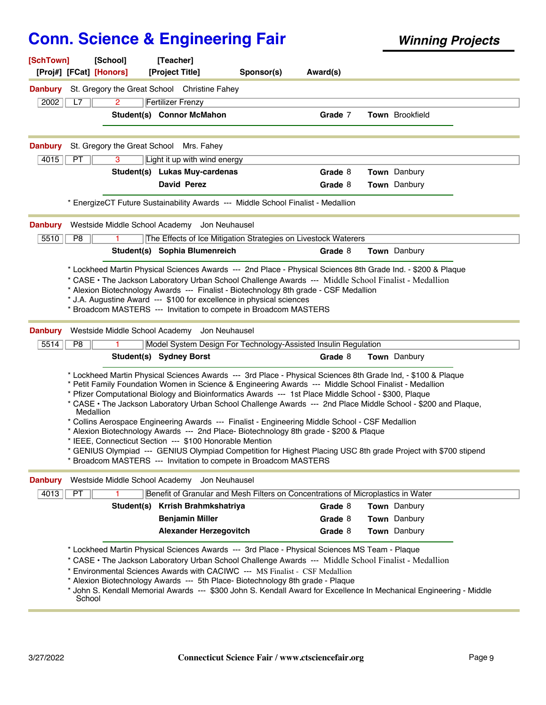| [SchTown]<br>[Proj#] [FCat] [Honors] | [School]                     | [Teacher]<br>[Project Title]                                                                                                                                                                                                                                                                                                                                                                                                     | Sponsor(s) | Award(s)           |                                                                                                                                                                                                                                                                                                                                                                                                                                                           |  |
|--------------------------------------|------------------------------|----------------------------------------------------------------------------------------------------------------------------------------------------------------------------------------------------------------------------------------------------------------------------------------------------------------------------------------------------------------------------------------------------------------------------------|------------|--------------------|-----------------------------------------------------------------------------------------------------------------------------------------------------------------------------------------------------------------------------------------------------------------------------------------------------------------------------------------------------------------------------------------------------------------------------------------------------------|--|
| <b>Danbury</b>                       |                              | St. Gregory the Great School Christine Fahey                                                                                                                                                                                                                                                                                                                                                                                     |            |                    |                                                                                                                                                                                                                                                                                                                                                                                                                                                           |  |
| 2002<br>L7                           | 2                            | <b>Fertilizer Frenzy</b><br>Student(s) Connor McMahon                                                                                                                                                                                                                                                                                                                                                                            |            | Grade 7            | <b>Town</b> Brookfield                                                                                                                                                                                                                                                                                                                                                                                                                                    |  |
| <b>Danbury</b>                       | St. Gregory the Great School | Mrs. Fahey                                                                                                                                                                                                                                                                                                                                                                                                                       |            |                    |                                                                                                                                                                                                                                                                                                                                                                                                                                                           |  |
| 4015<br><b>PT</b>                    | 3                            | Light it up with wind energy                                                                                                                                                                                                                                                                                                                                                                                                     |            |                    |                                                                                                                                                                                                                                                                                                                                                                                                                                                           |  |
|                                      |                              | Student(s) Lukas Muy-cardenas                                                                                                                                                                                                                                                                                                                                                                                                    |            | Grade 8            | <b>Town</b> Danbury                                                                                                                                                                                                                                                                                                                                                                                                                                       |  |
|                                      |                              | <b>David Perez</b>                                                                                                                                                                                                                                                                                                                                                                                                               |            | Grade 8            | Town Danbury                                                                                                                                                                                                                                                                                                                                                                                                                                              |  |
|                                      |                              | * EnergizeCT Future Sustainability Awards --- Middle School Finalist - Medallion                                                                                                                                                                                                                                                                                                                                                 |            |                    |                                                                                                                                                                                                                                                                                                                                                                                                                                                           |  |
| <b>Danbury</b>                       |                              | Westside Middle School Academy Jon Neuhausel                                                                                                                                                                                                                                                                                                                                                                                     |            |                    |                                                                                                                                                                                                                                                                                                                                                                                                                                                           |  |
| P8<br>5510                           |                              | The Effects of Ice Mitigation Strategies on Livestock Waterers                                                                                                                                                                                                                                                                                                                                                                   |            |                    |                                                                                                                                                                                                                                                                                                                                                                                                                                                           |  |
|                                      |                              | Student(s) Sophia Blumenreich                                                                                                                                                                                                                                                                                                                                                                                                    |            | Grade 8            | Town Danbury                                                                                                                                                                                                                                                                                                                                                                                                                                              |  |
| <b>Danbury</b>                       |                              | * Alexion Biotechnology Awards --- Finalist - Biotechnology 8th grade - CSF Medallion<br>* J.A. Augustine Award --- \$100 for excellence in physical sciences<br>* Broadcom MASTERS --- Invitation to compete in Broadcom MASTERS<br>Westside Middle School Academy Jon Neuhausel                                                                                                                                                |            |                    |                                                                                                                                                                                                                                                                                                                                                                                                                                                           |  |
| 5514<br>P8                           |                              | Model System Design For Technology-Assisted Insulin Regulation                                                                                                                                                                                                                                                                                                                                                                   |            |                    |                                                                                                                                                                                                                                                                                                                                                                                                                                                           |  |
|                                      |                              | Student(s) Sydney Borst                                                                                                                                                                                                                                                                                                                                                                                                          |            | Grade 8            | <b>Town</b> Danbury                                                                                                                                                                                                                                                                                                                                                                                                                                       |  |
|                                      | Medallion                    | * Pfizer Computational Biology and Bioinformatics Awards --- 1st Place Middle School - \$300, Plaque<br>* Collins Aerospace Engineering Awards --- Finalist - Engineering Middle School - CSF Medallion<br>* Alexion Biotechnology Awards --- 2nd Place- Biotechnology 8th grade - \$200 & Plaque<br>* IEEE, Connecticut Section --- \$100 Honorable Mention<br>* Broadcom MASTERS --- Invitation to compete in Broadcom MASTERS |            |                    | * Lockheed Martin Physical Sciences Awards --- 3rd Place - Physical Sciences 8th Grade Ind, - \$100 & Plaque<br>* Petit Family Foundation Women in Science & Engineering Awards --- Middle School Finalist - Medallion<br>* CASE • The Jackson Laboratory Urban School Challenge Awards --- 2nd Place Middle School - \$200 and Plaque,<br>* GENIUS Olympiad --- GENIUS Olympiad Competition for Highest Placing USC 8th grade Project with \$700 stipend |  |
| <b>Danbury</b>                       |                              | Westside Middle School Academy Jon Neuhausel                                                                                                                                                                                                                                                                                                                                                                                     |            |                    |                                                                                                                                                                                                                                                                                                                                                                                                                                                           |  |
| 4013<br><b>PT</b>                    |                              | Benefit of Granular and Mesh Filters on Concentrations of Microplastics in Water                                                                                                                                                                                                                                                                                                                                                 |            |                    |                                                                                                                                                                                                                                                                                                                                                                                                                                                           |  |
|                                      |                              | Student(s) Krrish Brahmkshatriya                                                                                                                                                                                                                                                                                                                                                                                                 |            | Grade 8            | Town Danbury                                                                                                                                                                                                                                                                                                                                                                                                                                              |  |
|                                      |                              | <b>Benjamin Miller</b><br><b>Alexander Herzegovitch</b>                                                                                                                                                                                                                                                                                                                                                                          |            | Grade 8<br>Grade 8 | <b>Town</b> Danbury<br>Town Danbury                                                                                                                                                                                                                                                                                                                                                                                                                       |  |
| School                               |                              | * Lockheed Martin Physical Sciences Awards --- 3rd Place - Physical Sciences MS Team - Plaque<br>* Environmental Sciences Awards with CACIWC --- MS Finalist - CSF Medallion<br>* Alexion Biotechnology Awards --- 5th Place- Biotechnology 8th grade - Plaque                                                                                                                                                                   |            |                    | * CASE • The Jackson Laboratory Urban School Challenge Awards --- Middle School Finalist - Medallion<br>* John S. Kendall Memorial Awards --- \$300 John S. Kendall Award for Excellence In Mechanical Engineering - Middle                                                                                                                                                                                                                               |  |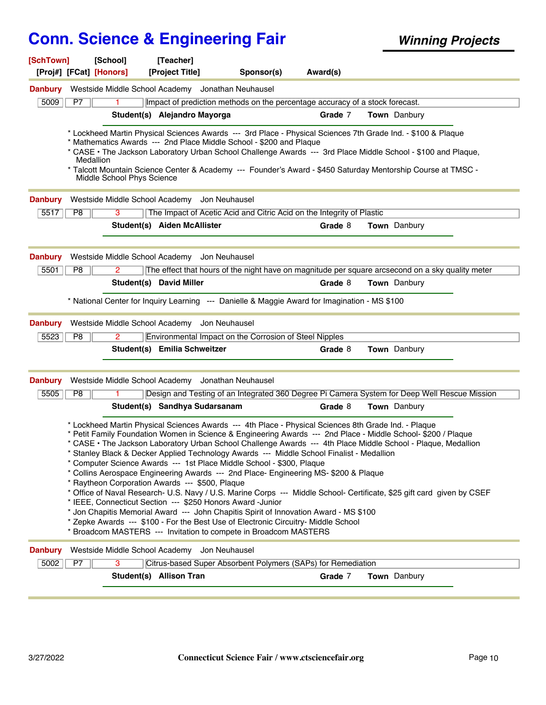| [SchTown]              |                | [School]<br>[Proj#] [FCat] [Honors]     | [Teacher]<br>[Project Title]                    | Sponsor(s)                                                                                                                                                                                                                                                                                                                                                                                                                                                                                                                                                                                                                                                                          | Award(s) |                                                                                                                                                                                                                                                                                                                                                          |
|------------------------|----------------|-----------------------------------------|-------------------------------------------------|-------------------------------------------------------------------------------------------------------------------------------------------------------------------------------------------------------------------------------------------------------------------------------------------------------------------------------------------------------------------------------------------------------------------------------------------------------------------------------------------------------------------------------------------------------------------------------------------------------------------------------------------------------------------------------------|----------|----------------------------------------------------------------------------------------------------------------------------------------------------------------------------------------------------------------------------------------------------------------------------------------------------------------------------------------------------------|
| <b>Danbury</b>         |                |                                         |                                                 | Westside Middle School Academy Jonathan Neuhausel                                                                                                                                                                                                                                                                                                                                                                                                                                                                                                                                                                                                                                   |          |                                                                                                                                                                                                                                                                                                                                                          |
| 5009                   | P7             |                                         |                                                 | Impact of prediction methods on the percentage accuracy of a stock forecast.                                                                                                                                                                                                                                                                                                                                                                                                                                                                                                                                                                                                        |          |                                                                                                                                                                                                                                                                                                                                                          |
|                        |                |                                         | Student(s) Alejandro Mayorga                    |                                                                                                                                                                                                                                                                                                                                                                                                                                                                                                                                                                                                                                                                                     | Grade 7  | Town Danbury                                                                                                                                                                                                                                                                                                                                             |
|                        |                | Medallion<br>Middle School Phys Science |                                                 | * Lockheed Martin Physical Sciences Awards --- 3rd Place - Physical Sciences 7th Grade Ind. - \$100 & Plaque<br>* Mathematics Awards --- 2nd Place Middle School - \$200 and Plaque                                                                                                                                                                                                                                                                                                                                                                                                                                                                                                 |          | * CASE • The Jackson Laboratory Urban School Challenge Awards --- 3rd Place Middle School - \$100 and Plaque,<br>* Talcott Mountain Science Center & Academy --- Founder's Award - \$450 Saturday Mentorship Course at TMSC -                                                                                                                            |
| <b>Danbury</b>         |                |                                         | Westside Middle School Academy Jon Neuhausel    |                                                                                                                                                                                                                                                                                                                                                                                                                                                                                                                                                                                                                                                                                     |          |                                                                                                                                                                                                                                                                                                                                                          |
| 5517                   | P8             | 3                                       |                                                 | The Impact of Acetic Acid and Citric Acid on the Integrity of Plastic                                                                                                                                                                                                                                                                                                                                                                                                                                                                                                                                                                                                               |          |                                                                                                                                                                                                                                                                                                                                                          |
|                        |                |                                         | Student(s) Aiden McAllister                     |                                                                                                                                                                                                                                                                                                                                                                                                                                                                                                                                                                                                                                                                                     | Grade 8  | Town Danbury                                                                                                                                                                                                                                                                                                                                             |
| <b>Danbury</b><br>5501 | P <sub>8</sub> | Westside Middle School Academy<br>2     |                                                 | Jon Neuhausel                                                                                                                                                                                                                                                                                                                                                                                                                                                                                                                                                                                                                                                                       |          | The effect that hours of the night have on magnitude per square arcsecond on a sky quality meter                                                                                                                                                                                                                                                         |
|                        |                |                                         | Student(s) David Miller                         |                                                                                                                                                                                                                                                                                                                                                                                                                                                                                                                                                                                                                                                                                     | Grade 8  | <b>Town</b> Danbury                                                                                                                                                                                                                                                                                                                                      |
| <b>Danbury</b>         |                |                                         | Westside Middle School Academy Jon Neuhausel    | * National Center for Inquiry Learning --- Danielle & Maggie Award for Imagination - MS \$100                                                                                                                                                                                                                                                                                                                                                                                                                                                                                                                                                                                       |          |                                                                                                                                                                                                                                                                                                                                                          |
| 5523                   | P8             | 2                                       |                                                 | Environmental Impact on the Corrosion of Steel Nipples                                                                                                                                                                                                                                                                                                                                                                                                                                                                                                                                                                                                                              |          |                                                                                                                                                                                                                                                                                                                                                          |
|                        |                |                                         | Student(s) Emilia Schweitzer                    |                                                                                                                                                                                                                                                                                                                                                                                                                                                                                                                                                                                                                                                                                     | Grade 8  | Town Danbury                                                                                                                                                                                                                                                                                                                                             |
| <b>Danbury</b>         |                |                                         |                                                 | Westside Middle School Academy Jonathan Neuhausel                                                                                                                                                                                                                                                                                                                                                                                                                                                                                                                                                                                                                                   |          |                                                                                                                                                                                                                                                                                                                                                          |
| 5505                   | P <sub>8</sub> |                                         |                                                 |                                                                                                                                                                                                                                                                                                                                                                                                                                                                                                                                                                                                                                                                                     |          | Design and Testing of an Integrated 360 Degree Pi Camera System for Deep Well Rescue Mission                                                                                                                                                                                                                                                             |
|                        |                |                                         | Student(s) Sandhya Sudarsanam                   |                                                                                                                                                                                                                                                                                                                                                                                                                                                                                                                                                                                                                                                                                     | Grade 8  | <b>Town</b> Danbury                                                                                                                                                                                                                                                                                                                                      |
|                        |                |                                         | * Raytheon Corporation Awards --- \$500, Plaque | * Lockheed Martin Physical Sciences Awards --- 4th Place - Physical Sciences 8th Grade Ind. - Plaque<br>* Stanley Black & Decker Applied Technology Awards --- Middle School Finalist - Medallion<br>* Computer Science Awards --- 1st Place Middle School - \$300, Plaque<br>* Collins Aerospace Engineering Awards --- 2nd Place- Engineering MS- \$200 & Plaque<br>* IEEE, Connecticut Section --- \$250 Honors Award -Junior<br>* Jon Chapitis Memorial Award --- John Chapitis Spirit of Innovation Award - MS \$100<br>* Zepke Awards --- \$100 - For the Best Use of Electronic Circuitry- Middle School<br>* Broadcom MASTERS --- Invitation to compete in Broadcom MASTERS |          | * Petit Family Foundation Women in Science & Engineering Awards --- 2nd Place - Middle School- \$200 / Plaque<br>* CASE • The Jackson Laboratory Urban School Challenge Awards --- 4th Place Middle School - Plaque, Medallion<br>* Office of Naval Research- U.S. Navy / U.S. Marine Corps --- Middle School- Certificate, \$25 gift card given by CSEF |
| <b>Danbury</b>         |                | Westside Middle School Academy          |                                                 | Jon Neuhausel                                                                                                                                                                                                                                                                                                                                                                                                                                                                                                                                                                                                                                                                       |          |                                                                                                                                                                                                                                                                                                                                                          |
| 5002                   | P7             | 3                                       |                                                 | Citrus-based Super Absorbent Polymers (SAPs) for Remediation                                                                                                                                                                                                                                                                                                                                                                                                                                                                                                                                                                                                                        |          |                                                                                                                                                                                                                                                                                                                                                          |
|                        |                |                                         | Student(s) Allison Tran                         |                                                                                                                                                                                                                                                                                                                                                                                                                                                                                                                                                                                                                                                                                     | Grade 7  | Town Danbury                                                                                                                                                                                                                                                                                                                                             |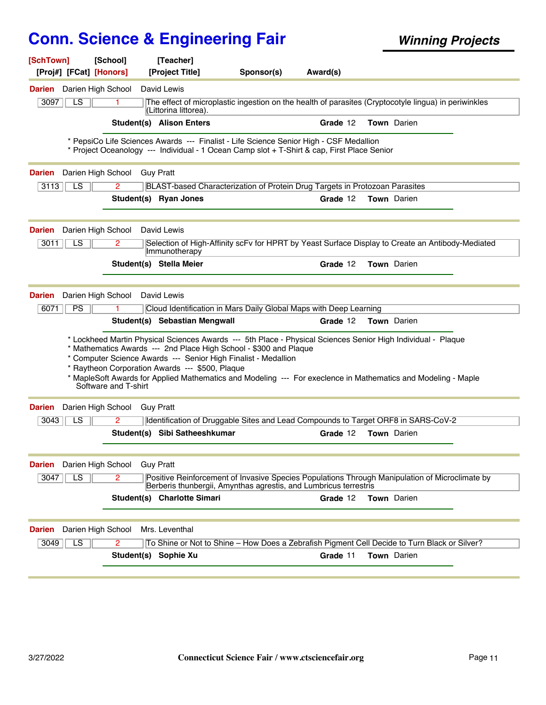| [SchTown]<br>[Proj#] [FCat] [Honors]                    | [School]             | [Teacher]<br>[Project Title]                                                                                                                                                           | Sponsor(s) | Award(s)                                                                                                                                                                              |                                                                                                                                                                                                                               |  |
|---------------------------------------------------------|----------------------|----------------------------------------------------------------------------------------------------------------------------------------------------------------------------------------|------------|---------------------------------------------------------------------------------------------------------------------------------------------------------------------------------------|-------------------------------------------------------------------------------------------------------------------------------------------------------------------------------------------------------------------------------|--|
| Darien                                                  | Darien High School   | David Lewis                                                                                                                                                                            |            |                                                                                                                                                                                       |                                                                                                                                                                                                                               |  |
| LS<br>3097                                              | 1.                   | (Littorina littorea).                                                                                                                                                                  |            |                                                                                                                                                                                       | The effect of microplastic ingestion on the health of parasites (Cryptocotyle lingua) in periwinkles                                                                                                                          |  |
|                                                         |                      | <b>Student(s) Alison Enters</b>                                                                                                                                                        |            | Grade 12                                                                                                                                                                              | Town Darien                                                                                                                                                                                                                   |  |
|                                                         |                      |                                                                                                                                                                                        |            | * PepsiCo Life Sciences Awards --- Finalist - Life Science Senior High - CSF Medallion<br>* Project Oceanology --- Individual - 1 Ocean Camp slot + T-Shirt & cap, First Place Senior |                                                                                                                                                                                                                               |  |
| <b>Darien</b>                                           | Darien High School   | <b>Guy Pratt</b>                                                                                                                                                                       |            |                                                                                                                                                                                       |                                                                                                                                                                                                                               |  |
| LS<br>3113                                              | $\overline{2}$       |                                                                                                                                                                                        |            | BLAST-based Characterization of Protein Drug Targets in Protozoan Parasites                                                                                                           |                                                                                                                                                                                                                               |  |
|                                                         |                      | Student(s) Ryan Jones                                                                                                                                                                  |            | Grade 12                                                                                                                                                                              | <b>Town</b> Darien                                                                                                                                                                                                            |  |
| Darien                                                  | Darien High School   | David Lewis                                                                                                                                                                            |            |                                                                                                                                                                                       |                                                                                                                                                                                                                               |  |
| 3011<br>LS                                              | 2                    | Immunotherapy                                                                                                                                                                          |            |                                                                                                                                                                                       | Selection of High-Affinity scFv for HPRT by Yeast Surface Display to Create an Antibody-Mediated                                                                                                                              |  |
|                                                         |                      | Student(s) Stella Meier                                                                                                                                                                |            | Grade 12                                                                                                                                                                              | Town Darien                                                                                                                                                                                                                   |  |
|                                                         |                      |                                                                                                                                                                                        |            |                                                                                                                                                                                       |                                                                                                                                                                                                                               |  |
| Darien                                                  | Darien High School   | David Lewis                                                                                                                                                                            |            |                                                                                                                                                                                       |                                                                                                                                                                                                                               |  |
| PS<br>6071                                              |                      |                                                                                                                                                                                        |            | Cloud Identification in Mars Daily Global Maps with Deep Learning                                                                                                                     |                                                                                                                                                                                                                               |  |
|                                                         |                      | Student(s) Sebastian Mengwall                                                                                                                                                          |            | Grade 12                                                                                                                                                                              | <b>Town</b> Darien                                                                                                                                                                                                            |  |
|                                                         | Software and T-shirt | * Mathematics Awards --- 2nd Place High School - \$300 and Plaque<br>* Computer Science Awards --- Senior High Finalist - Medallion<br>* Raytheon Corporation Awards --- \$500, Plaque |            |                                                                                                                                                                                       | * Lockheed Martin Physical Sciences Awards --- 5th Place - Physical Sciences Senior High Individual - Plaque<br>* MapleSoft Awards for Applied Mathematics and Modeling --- For execlence in Mathematics and Modeling - Maple |  |
| Darien                                                  | Darien High School   | <b>Guy Pratt</b>                                                                                                                                                                       |            |                                                                                                                                                                                       |                                                                                                                                                                                                                               |  |
| LS<br>3043                                              | 2                    |                                                                                                                                                                                        |            |                                                                                                                                                                                       | Identification of Druggable Sites and Lead Compounds to Target ORF8 in SARS-CoV-2                                                                                                                                             |  |
|                                                         |                      | Student(s) Sibi Satheeshkumar                                                                                                                                                          |            | Grade 12                                                                                                                                                                              | Town Darien                                                                                                                                                                                                                   |  |
| <b>Darien</b> Darien High School                        |                      | <b>Guy Pratt</b>                                                                                                                                                                       |            |                                                                                                                                                                                       |                                                                                                                                                                                                                               |  |
| 3047<br>LS                                              | 2                    |                                                                                                                                                                                        |            | Berberis thunbergii, Amynthas agrestis, and Lumbricus terrestris                                                                                                                      | Positive Reinforcement of Invasive Species Populations Through Manipulation of Microclimate by                                                                                                                                |  |
|                                                         |                      | Student(s) Charlotte Simari                                                                                                                                                            |            | Grade 12                                                                                                                                                                              | <b>Town</b> Darien                                                                                                                                                                                                            |  |
| Darien High School<br>Darien<br>$\overline{LS}$<br>3049 |                      | Mrs. Leventhal                                                                                                                                                                         |            |                                                                                                                                                                                       |                                                                                                                                                                                                                               |  |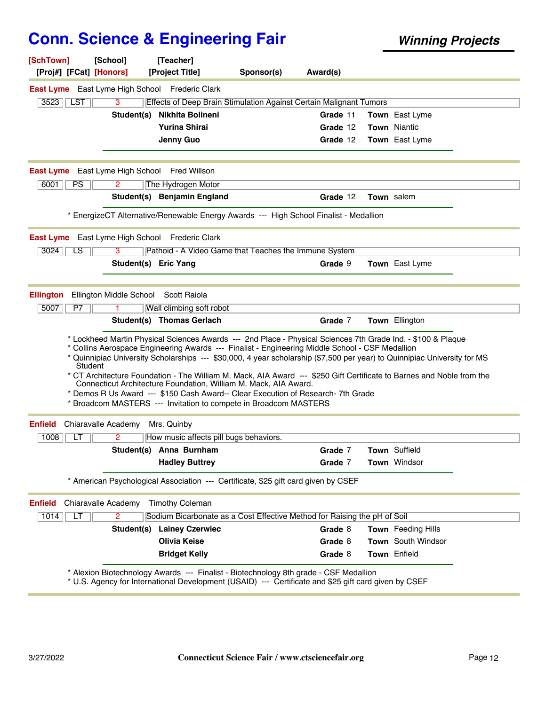| [SchTown]<br>[Proj#] [FCat] [Honors]                | [School]                             | [Teacher]<br>[Project Title]                                                                                                                                                                                                                                                                                               | Sponsor(s) | Award(s) |                                                                                                                                                                                                                                                                                                                                                                   |
|-----------------------------------------------------|--------------------------------------|----------------------------------------------------------------------------------------------------------------------------------------------------------------------------------------------------------------------------------------------------------------------------------------------------------------------------|------------|----------|-------------------------------------------------------------------------------------------------------------------------------------------------------------------------------------------------------------------------------------------------------------------------------------------------------------------------------------------------------------------|
|                                                     |                                      | <b>East Lyme</b> East Lyme High School Frederic Clark                                                                                                                                                                                                                                                                      |            |          |                                                                                                                                                                                                                                                                                                                                                                   |
| 3523<br><b>LST</b>                                  | 3                                    | Effects of Deep Brain Stimulation Against Certain Malignant Tumors                                                                                                                                                                                                                                                         |            |          |                                                                                                                                                                                                                                                                                                                                                                   |
|                                                     | Student(s)                           | Nikhita Bolineni                                                                                                                                                                                                                                                                                                           |            | Grade 11 | <b>Town</b> East Lyme                                                                                                                                                                                                                                                                                                                                             |
|                                                     |                                      | <b>Yurina Shirai</b>                                                                                                                                                                                                                                                                                                       |            | Grade 12 | <b>Town</b> Niantic                                                                                                                                                                                                                                                                                                                                               |
|                                                     |                                      | Jenny Guo                                                                                                                                                                                                                                                                                                                  |            | Grade 12 | Town East Lyme                                                                                                                                                                                                                                                                                                                                                    |
| <b>East Lyme</b> East Lyme High School Fred Willson |                                      |                                                                                                                                                                                                                                                                                                                            |            |          |                                                                                                                                                                                                                                                                                                                                                                   |
| 6001<br>PS                                          | 2                                    | The Hydrogen Motor                                                                                                                                                                                                                                                                                                         |            |          |                                                                                                                                                                                                                                                                                                                                                                   |
|                                                     |                                      | Student(s) Benjamin England                                                                                                                                                                                                                                                                                                |            | Grade 12 | <b>Town</b> salem                                                                                                                                                                                                                                                                                                                                                 |
|                                                     |                                      | * EnergizeCT Alternative/Renewable Energy Awards --- High School Finalist - Medallion                                                                                                                                                                                                                                      |            |          |                                                                                                                                                                                                                                                                                                                                                                   |
| <b>East Lyme</b>                                    |                                      | East Lyme High School Frederic Clark                                                                                                                                                                                                                                                                                       |            |          |                                                                                                                                                                                                                                                                                                                                                                   |
| 3024<br>LS                                          | 3                                    | Pathoid - A Video Game that Teaches the Immune System                                                                                                                                                                                                                                                                      |            |          |                                                                                                                                                                                                                                                                                                                                                                   |
|                                                     | Student(s) Eric Yang                 |                                                                                                                                                                                                                                                                                                                            |            | Grade 9  | Town East Lyme                                                                                                                                                                                                                                                                                                                                                    |
| <b>Ellington</b>                                    | Ellington Middle School Scott Raiola |                                                                                                                                                                                                                                                                                                                            |            |          |                                                                                                                                                                                                                                                                                                                                                                   |
| 5007<br>P7                                          |                                      | Wall climbing soft robot                                                                                                                                                                                                                                                                                                   |            |          |                                                                                                                                                                                                                                                                                                                                                                   |
|                                                     |                                      | Student(s) Thomas Gerlach                                                                                                                                                                                                                                                                                                  |            | Grade 7  | Town Ellington                                                                                                                                                                                                                                                                                                                                                    |
| Student                                             |                                      | * Collins Aerospace Engineering Awards --- Finalist - Engineering Middle School - CSF Medallion<br>Connecticut Architecture Foundation, William M. Mack, AIA Award.<br>* Demos R Us Award --- \$150 Cash Award-- Clear Execution of Research-7th Grade<br>* Broadcom MASTERS --- Invitation to compete in Broadcom MASTERS |            |          | * Lockheed Martin Physical Sciences Awards --- 2nd Place - Physical Sciences 7th Grade Ind. - \$100 & Plaque<br>* Quinnipiac University Scholarships --- \$30,000, 4 year scholarship (\$7,500 per year) to Quinnipiac University for MS<br>* CT Architecture Foundation - The William M. Mack, AIA Award --- \$250 Gift Certificate to Barnes and Noble from the |
| <b>Enfield</b>                                      | Chiaravalle Academy                  | Mrs. Quinby                                                                                                                                                                                                                                                                                                                |            |          |                                                                                                                                                                                                                                                                                                                                                                   |
| 1008<br>LT                                          |                                      | How music affects pill bugs behaviors.                                                                                                                                                                                                                                                                                     |            |          |                                                                                                                                                                                                                                                                                                                                                                   |
|                                                     |                                      | Student(s) Anna Burnham                                                                                                                                                                                                                                                                                                    |            | Grade 7  | Town Suffield                                                                                                                                                                                                                                                                                                                                                     |
|                                                     |                                      | <b>Hadley Buttrey</b>                                                                                                                                                                                                                                                                                                      |            | Grade 7  | Town Windsor                                                                                                                                                                                                                                                                                                                                                      |
|                                                     |                                      | * American Psychological Association --- Certificate, \$25 gift card given by CSEF                                                                                                                                                                                                                                         |            |          |                                                                                                                                                                                                                                                                                                                                                                   |
| <b>Enfield</b>                                      | Chiaravalle Academy                  | <b>Timothy Coleman</b>                                                                                                                                                                                                                                                                                                     |            |          |                                                                                                                                                                                                                                                                                                                                                                   |
| 1014<br>LT                                          | 2                                    | Sodium Bicarbonate as a Cost Effective Method for Raising the pH of Soil                                                                                                                                                                                                                                                   |            |          |                                                                                                                                                                                                                                                                                                                                                                   |
|                                                     |                                      | <b>Student(s) Lainey Czerwiec</b>                                                                                                                                                                                                                                                                                          |            | Grade 8  | <b>Town</b> Feeding Hills                                                                                                                                                                                                                                                                                                                                         |
|                                                     |                                      | <b>Olivia Keise</b>                                                                                                                                                                                                                                                                                                        |            | Grade 8  | Town South Windsor                                                                                                                                                                                                                                                                                                                                                |
|                                                     |                                      | <b>Bridget Kelly</b>                                                                                                                                                                                                                                                                                                       |            | Grade 8  | Town Enfield                                                                                                                                                                                                                                                                                                                                                      |
|                                                     |                                      | * Alexion Biotechnology Awards --- Finalist - Biotechnology 8th grade - CSF Medallion<br>* U.S. Agency for International Development (USAID) --- Certificate and \$25 gift card given by CSEF                                                                                                                              |            |          |                                                                                                                                                                                                                                                                                                                                                                   |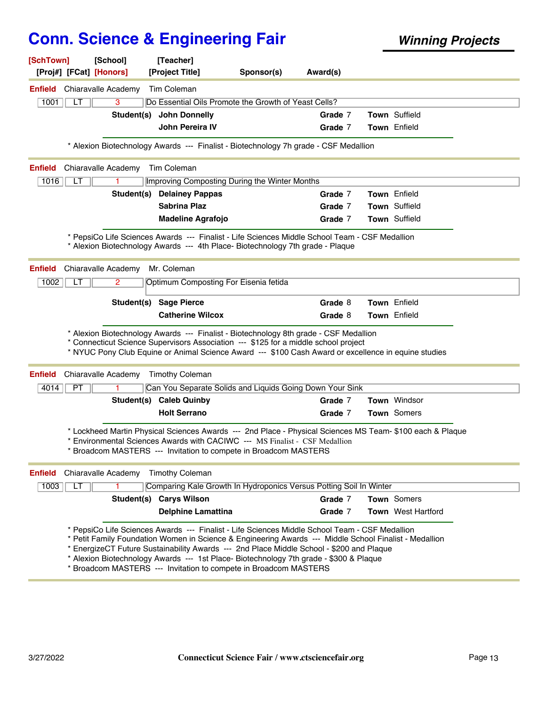| [SchTown]<br>[Proj#] [FCat] [Honors] | [School]            | [Teacher]<br>[Project Title]                                                                                                                                                                                                                                                                                                                                                                                                                                   | Sponsor(s) | Award(s) |                                                                                                           |
|--------------------------------------|---------------------|----------------------------------------------------------------------------------------------------------------------------------------------------------------------------------------------------------------------------------------------------------------------------------------------------------------------------------------------------------------------------------------------------------------------------------------------------------------|------------|----------|-----------------------------------------------------------------------------------------------------------|
| <b>Enfield</b> Chiaravalle Academy   |                     | Tim Coleman                                                                                                                                                                                                                                                                                                                                                                                                                                                    |            |          |                                                                                                           |
| 1001<br>LT                           | 3                   | Do Essential Oils Promote the Growth of Yeast Cells?                                                                                                                                                                                                                                                                                                                                                                                                           |            |          |                                                                                                           |
|                                      |                     | Student(s) John Donnelly                                                                                                                                                                                                                                                                                                                                                                                                                                       |            | Grade 7  | Town Suffield                                                                                             |
|                                      |                     | <b>John Pereira IV</b>                                                                                                                                                                                                                                                                                                                                                                                                                                         |            | Grade 7  | Town Enfield                                                                                              |
|                                      |                     | * Alexion Biotechnology Awards --- Finalist - Biotechnology 7h grade - CSF Medallion                                                                                                                                                                                                                                                                                                                                                                           |            |          |                                                                                                           |
| <b>Enfield</b>                       | Chiaravalle Academy | <b>Tim Coleman</b>                                                                                                                                                                                                                                                                                                                                                                                                                                             |            |          |                                                                                                           |
| 1016<br>LТ                           |                     | Improving Composting During the Winter Months                                                                                                                                                                                                                                                                                                                                                                                                                  |            |          |                                                                                                           |
|                                      |                     | <b>Student(s) Delainey Pappas</b>                                                                                                                                                                                                                                                                                                                                                                                                                              |            | Grade 7  | <b>Town</b> Enfield                                                                                       |
|                                      |                     | <b>Sabrina Plaz</b>                                                                                                                                                                                                                                                                                                                                                                                                                                            |            | Grade 7  | Town Suffield                                                                                             |
|                                      |                     | <b>Madeline Agrafojo</b>                                                                                                                                                                                                                                                                                                                                                                                                                                       |            | Grade 7  | Town Suffield                                                                                             |
|                                      |                     | * PepsiCo Life Sciences Awards --- Finalist - Life Sciences Middle School Team - CSF Medallion<br>* Alexion Biotechnology Awards --- 4th Place- Biotechnology 7th grade - Plaque                                                                                                                                                                                                                                                                               |            |          |                                                                                                           |
| Enfield                              | Chiaravalle Academy | Mr. Coleman                                                                                                                                                                                                                                                                                                                                                                                                                                                    |            |          |                                                                                                           |
| 1002<br>LI                           | 2                   | Optimum Composting For Eisenia fetida                                                                                                                                                                                                                                                                                                                                                                                                                          |            |          |                                                                                                           |
|                                      |                     | Student(s) Sage Pierce                                                                                                                                                                                                                                                                                                                                                                                                                                         |            | Grade 8  | <b>Town</b> Enfield                                                                                       |
|                                      |                     | <b>Catherine Wilcox</b>                                                                                                                                                                                                                                                                                                                                                                                                                                        |            | Grade 8  | <b>Town</b> Enfield                                                                                       |
|                                      |                     | * Alexion Biotechnology Awards --- Finalist - Biotechnology 8th grade - CSF Medallion<br>* Connecticut Science Supervisors Association --- \$125 for a middle school project<br>* NYUC Pony Club Equine or Animal Science Award --- \$100 Cash Award or excellence in equine studies                                                                                                                                                                           |            |          |                                                                                                           |
| <b>Enfield</b>                       | Chiaravalle Academy | <b>Timothy Coleman</b>                                                                                                                                                                                                                                                                                                                                                                                                                                         |            |          |                                                                                                           |
| 4014<br><b>PT</b>                    |                     | Can You Separate Solids and Liquids Going Down Your Sink                                                                                                                                                                                                                                                                                                                                                                                                       |            |          |                                                                                                           |
|                                      |                     | Student(s) Caleb Quinby                                                                                                                                                                                                                                                                                                                                                                                                                                        |            | Grade 7  | <b>Town Windsor</b>                                                                                       |
|                                      |                     | <b>Holt Serrano</b>                                                                                                                                                                                                                                                                                                                                                                                                                                            |            | Grade 7  | Town Somers                                                                                               |
|                                      |                     | * Environmental Sciences Awards with CACIWC --- MS Finalist - CSF Medallion<br>* Broadcom MASTERS --- Invitation to compete in Broadcom MASTERS                                                                                                                                                                                                                                                                                                                |            |          | * Lockheed Martin Physical Sciences Awards --- 2nd Place - Physical Sciences MS Team- \$100 each & Plaque |
| <b>Enfield</b>                       | Chiaravalle Academy | <b>Timothy Coleman</b>                                                                                                                                                                                                                                                                                                                                                                                                                                         |            |          |                                                                                                           |
| 1003<br>LT                           |                     | Comparing Kale Growth In Hydroponics Versus Potting Soil In Winter                                                                                                                                                                                                                                                                                                                                                                                             |            |          |                                                                                                           |
|                                      |                     | Student(s) Carys Wilson                                                                                                                                                                                                                                                                                                                                                                                                                                        |            | Grade 7  | Town Somers                                                                                               |
|                                      |                     | <b>Delphine Lamattina</b>                                                                                                                                                                                                                                                                                                                                                                                                                                      |            | Grade 7  | <b>Town</b> West Hartford                                                                                 |
|                                      |                     | * PepsiCo Life Sciences Awards --- Finalist - Life Sciences Middle School Team - CSF Medallion<br>* Petit Family Foundation Women in Science & Engineering Awards --- Middle School Finalist - Medallion<br>EnergizeCT Future Sustainability Awards --- 2nd Place Middle School - \$200 and Plaque<br>* Alexion Biotechnology Awards --- 1st Place- Biotechnology 7th grade - \$300 & Plaque<br>Broadcom MASTERS --- Invitation to compete in Broadcom MASTERS |            |          |                                                                                                           |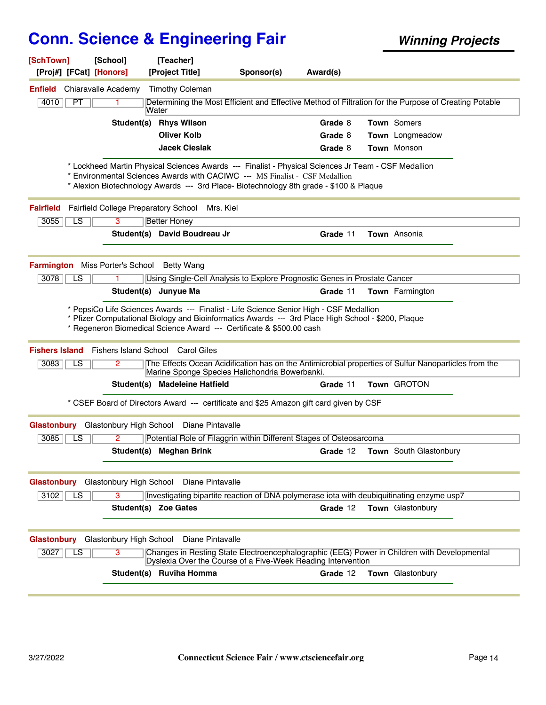| [SchTown]<br>[Proj#] [FCat] [Honors]   | [School]                             | [Teacher]<br>[Project Title]                                                                                                                                                                                                                                                                                                    | Sponsor(s) | Award(s) |                                                                                                       |
|----------------------------------------|--------------------------------------|---------------------------------------------------------------------------------------------------------------------------------------------------------------------------------------------------------------------------------------------------------------------------------------------------------------------------------|------------|----------|-------------------------------------------------------------------------------------------------------|
| <b>Enfield</b>                         | Chiaravalle Academy                  | <b>Timothy Coleman</b>                                                                                                                                                                                                                                                                                                          |            |          |                                                                                                       |
| PT<br>4010                             |                                      | Water                                                                                                                                                                                                                                                                                                                           |            |          | Determining the Most Efficient and Effective Method of Filtration for the Purpose of Creating Potable |
|                                        |                                      | Student(s) Rhys Wilson                                                                                                                                                                                                                                                                                                          |            | Grade 8  | Town Somers                                                                                           |
|                                        |                                      | <b>Oliver Kolb</b>                                                                                                                                                                                                                                                                                                              |            | Grade 8  | Town Longmeadow                                                                                       |
|                                        |                                      | <b>Jacek Cieslak</b>                                                                                                                                                                                                                                                                                                            |            | Grade 8  | <b>Town Monson</b>                                                                                    |
|                                        |                                      | * Lockheed Martin Physical Sciences Awards --- Finalist - Physical Sciences Jr Team - CSF Medallion<br>Environmental Sciences Awards with CACIWC --- MS Finalist - CSF Medallion<br>* Alexion Biotechnology Awards --- 3rd Place- Biotechnology 8th grade - \$100 & Plaque                                                      |            |          |                                                                                                       |
| <b>Fairfield</b>                       | Fairfield College Preparatory School | Mrs. Kiel                                                                                                                                                                                                                                                                                                                       |            |          |                                                                                                       |
| 3055<br>LS.                            | 3                                    | <b>Better Honey</b>                                                                                                                                                                                                                                                                                                             |            |          |                                                                                                       |
|                                        |                                      | Student(s) David Boudreau Jr                                                                                                                                                                                                                                                                                                    |            | Grade 11 | Town Ansonia                                                                                          |
| <b>Farmington</b> Miss Porter's School |                                      | Betty Wang                                                                                                                                                                                                                                                                                                                      |            |          |                                                                                                       |
| 3078<br>LS                             |                                      | Using Single-Cell Analysis to Explore Prognostic Genes in Prostate Cancer                                                                                                                                                                                                                                                       |            |          |                                                                                                       |
|                                        |                                      | Student(s) Junyue Ma                                                                                                                                                                                                                                                                                                            |            | Grade 11 | <b>Town</b> Farmington                                                                                |
|                                        |                                      | * PepsiCo Life Sciences Awards --- Finalist - Life Science Senior High - CSF Medallion<br>* Pfizer Computational Biology and Bioinformatics Awards --- 3rd Place High School - \$200, Plaque<br>* Regeneron Biomedical Science Award --- Certificate & \$500.00 cash<br><b>Fishers Island</b> Fishers Island School Carol Giles |            |          |                                                                                                       |
| 3083<br>LS                             | 2                                    | Marine Sponge Species Halichondria Bowerbanki.                                                                                                                                                                                                                                                                                  |            |          | The Effects Ocean Acidification has on the Antimicrobial properties of Sulfur Nanoparticles from the  |
|                                        |                                      | Student(s) Madeleine Hatfield                                                                                                                                                                                                                                                                                                   |            | Grade 11 | Town GROTON                                                                                           |
|                                        |                                      | * CSEF Board of Directors Award --- certificate and \$25 Amazon gift card given by CSF                                                                                                                                                                                                                                          |            |          |                                                                                                       |
| Glastonbury Glastonbury High School    |                                      | Diane Pintavalle                                                                                                                                                                                                                                                                                                                |            |          |                                                                                                       |
| 3085<br>LS                             | 2                                    | Potential Role of Filaggrin within Different Stages of Osteosarcoma                                                                                                                                                                                                                                                             |            |          |                                                                                                       |
|                                        |                                      | Student(s) Meghan Brink                                                                                                                                                                                                                                                                                                         |            | Grade 12 | <b>Town</b> South Glastonbury                                                                         |
| Glastonbury                            | Glastonbury High School              | Diane Pintavalle                                                                                                                                                                                                                                                                                                                |            |          |                                                                                                       |
| 3102<br>LS                             | 3                                    | Investigating bipartite reaction of DNA polymerase iota with deubiquitinating enzyme usp7                                                                                                                                                                                                                                       |            |          |                                                                                                       |
|                                        |                                      | Student(s) Zoe Gates                                                                                                                                                                                                                                                                                                            |            | Grade 12 | Town Glastonbury                                                                                      |
| Glastonbury Glastonbury High School    |                                      | Diane Pintavalle                                                                                                                                                                                                                                                                                                                |            |          |                                                                                                       |
| 3027<br>LS                             | 3                                    | Dyslexia Over the Course of a Five-Week Reading Intervention                                                                                                                                                                                                                                                                    |            |          | Changes in Resting State Electroencephalographic (EEG) Power in Children with Developmental           |
|                                        |                                      | Student(s) Ruviha Homma                                                                                                                                                                                                                                                                                                         |            | Grade 12 | Town Glastonbury                                                                                      |
|                                        |                                      |                                                                                                                                                                                                                                                                                                                                 |            |          |                                                                                                       |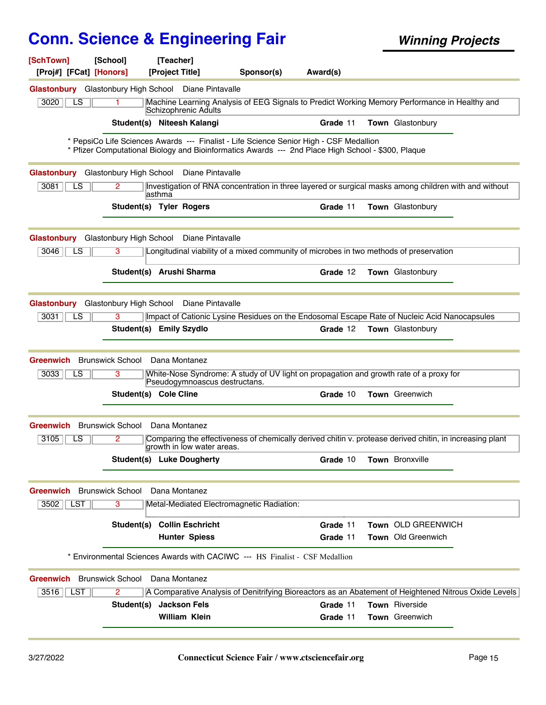| [SchTown]                                            | [School]                         | [Teacher]            |                                                                                                                                                                                              |          |                    |  |
|------------------------------------------------------|----------------------------------|----------------------|----------------------------------------------------------------------------------------------------------------------------------------------------------------------------------------------|----------|--------------------|--|
| [Proj#] [FCat] [Honors]                              |                                  | [Project Title]      | Sponsor(s)                                                                                                                                                                                   | Award(s) |                    |  |
| Glastonbury Glastonbury High School Diane Pintavalle |                                  |                      |                                                                                                                                                                                              |          |                    |  |
| 3020<br>LS                                           | 1                                | Schizophrenic Adults | Machine Learning Analysis of EEG Signals to Predict Working Memory Performance in Healthy and                                                                                                |          |                    |  |
|                                                      | Student(s) Niteesh Kalangi       |                      |                                                                                                                                                                                              | Grade 11 | Town Glastonbury   |  |
|                                                      |                                  |                      | * PepsiCo Life Sciences Awards --- Finalist - Life Science Senior High - CSF Medallion<br>* Pfizer Computational Biology and Bioinformatics Awards --- 2nd Place High School - \$300, Plaque |          |                    |  |
| <b>Glastonbury</b>                                   | Glastonbury High School          |                      | Diane Pintavalle                                                                                                                                                                             |          |                    |  |
| 3081<br>$\overline{LS}$                              | 2.                               | lasthma              | Investigation of RNA concentration in three layered or surgical masks among children with and without                                                                                        |          |                    |  |
|                                                      | <b>Student(s) Tyler Rogers</b>   |                      |                                                                                                                                                                                              | Grade 11 | Town Glastonbury   |  |
| <b>Glastonbury</b>                                   | Glastonbury High School          |                      | Diane Pintavalle                                                                                                                                                                             |          |                    |  |
| 3046<br>LS.                                          | 3                                |                      | Longitudinal viability of a mixed community of microbes in two methods of preservation                                                                                                       |          |                    |  |
|                                                      | Student(s) Arushi Sharma         |                      |                                                                                                                                                                                              | Grade 12 | Town Glastonbury   |  |
| <b>Glastonbury</b>                                   | Glastonbury High School          |                      | Diane Pintavalle                                                                                                                                                                             |          |                    |  |
| 3031<br>LS                                           | 3                                |                      | Impact of Cationic Lysine Residues on the Endosomal Escape Rate of Nucleic Acid Nanocapsules                                                                                                 |          |                    |  |
|                                                      | Student(s) Emily Szydlo          |                      |                                                                                                                                                                                              | Grade 12 | Town Glastonbury   |  |
|                                                      |                                  |                      |                                                                                                                                                                                              |          |                    |  |
| <b>Greenwich</b><br>LS                               | <b>Brunswick School</b><br>3     | Dana Montanez        | White-Nose Syndrome: A study of UV light on propagation and growth rate of a proxy for                                                                                                       |          |                    |  |
| 3033                                                 |                                  |                      | Pseudogymnoascus destructans.                                                                                                                                                                |          |                    |  |
|                                                      | Student(s) Cole Cline            |                      |                                                                                                                                                                                              | Grade 10 | Town Greenwich     |  |
| <b>Greenwich</b>                                     | <b>Brunswick School</b>          | Dana Montanez        |                                                                                                                                                                                              |          |                    |  |
| 3105<br>LS                                           | 2                                |                      | Comparing the effectiveness of chemically derived chitin v. protease derived chitin, in increasing plant<br>growth in low water areas.                                                       |          |                    |  |
|                                                      | <b>Student(s) Luke Dougherty</b> |                      |                                                                                                                                                                                              | Grade 10 | Town Bronxville    |  |
| <b>Greenwich</b> Brunswick School                    |                                  | Dana Montanez        |                                                                                                                                                                                              |          |                    |  |
| $3502$    LST                                        | 3                                |                      | Metal-Mediated Electromagnetic Radiation:                                                                                                                                                    |          |                    |  |
|                                                      | Student(s) Collin Eschricht      |                      |                                                                                                                                                                                              | Grade 11 | Town OLD GREENWICH |  |
|                                                      |                                  | <b>Hunter Spiess</b> |                                                                                                                                                                                              | Grade 11 | Town Old Greenwich |  |
|                                                      |                                  |                      | * Environmental Sciences Awards with CACIWC --- HS Finalist - CSF Medallion                                                                                                                  |          |                    |  |
| <b>Greenwich</b> Brunswick School                    |                                  | Dana Montanez        |                                                                                                                                                                                              |          |                    |  |
| $3516$   LST                                         | $\overline{2}$                   |                      | A Comparative Analysis of Denitrifying Bioreactors as an Abatement of Heightened Nitrous Oxide Levels                                                                                        |          |                    |  |
|                                                      | Student(s)                       | <b>Jackson Fels</b>  |                                                                                                                                                                                              | Grade 11 | Town Riverside     |  |
|                                                      |                                  | <b>William Klein</b> |                                                                                                                                                                                              | Grade 11 | Town Greenwich     |  |
|                                                      |                                  |                      |                                                                                                                                                                                              |          |                    |  |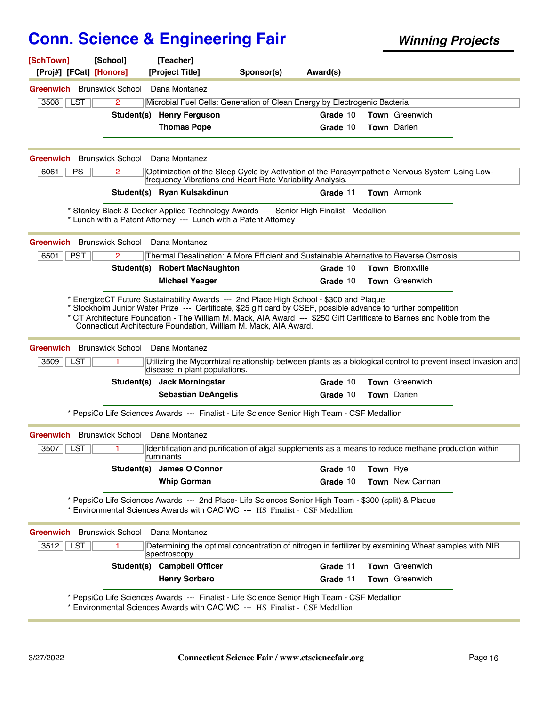| [SchTown]<br>[Proj#] [FCat] [Honors] | [School]                     | [Teacher]<br>[Project Title]                                                                                                                                                                                                                                                                                                                                                                       | Sponsor(s) | Award(s) |          |                       |  |
|--------------------------------------|------------------------------|----------------------------------------------------------------------------------------------------------------------------------------------------------------------------------------------------------------------------------------------------------------------------------------------------------------------------------------------------------------------------------------------------|------------|----------|----------|-----------------------|--|
| <b>Greenwich</b> Brunswick School    |                              | Dana Montanez                                                                                                                                                                                                                                                                                                                                                                                      |            |          |          |                       |  |
| <b>LST</b><br>3508                   | $\mathbf{2}^{\prime}$        | Microbial Fuel Cells: Generation of Clean Energy by Electrogenic Bacteria                                                                                                                                                                                                                                                                                                                          |            |          |          |                       |  |
|                                      |                              | Student(s) Henry Ferguson                                                                                                                                                                                                                                                                                                                                                                          |            | Grade 10 |          | <b>Town</b> Greenwich |  |
|                                      |                              | <b>Thomas Pope</b>                                                                                                                                                                                                                                                                                                                                                                                 |            | Grade 10 |          | <b>Town</b> Darien    |  |
| <b>Greenwich</b> Brunswick School    |                              | Dana Montanez                                                                                                                                                                                                                                                                                                                                                                                      |            |          |          |                       |  |
| 6061<br><b>PS</b>                    | 2                            | Optimization of the Sleep Cycle by Activation of the Parasympathetic Nervous System Using Low-<br>frequency Vibrations and Heart Rate Variability Analysis.                                                                                                                                                                                                                                        |            |          |          |                       |  |
|                                      |                              | Student(s) Ryan Kulsakdinun                                                                                                                                                                                                                                                                                                                                                                        |            | Grade 11 |          | <b>Town</b> Armonk    |  |
|                                      |                              | * Stanley Black & Decker Applied Technology Awards --- Senior High Finalist - Medallion<br>* Lunch with a Patent Attorney --- Lunch with a Patent Attorney                                                                                                                                                                                                                                         |            |          |          |                       |  |
| <b>Greenwich</b> Brunswick School    |                              | Dana Montanez                                                                                                                                                                                                                                                                                                                                                                                      |            |          |          |                       |  |
| <b>PST</b><br>6501                   | 2                            | Thermal Desalination: A More Efficient and Sustainable Alternative to Reverse Osmosis                                                                                                                                                                                                                                                                                                              |            |          |          |                       |  |
|                                      |                              | Student(s) Robert MacNaughton                                                                                                                                                                                                                                                                                                                                                                      |            | Grade 10 |          | Town Bronxville       |  |
|                                      |                              | <b>Michael Yeager</b>                                                                                                                                                                                                                                                                                                                                                                              |            | Grade 10 |          | <b>Town</b> Greenwich |  |
|                                      |                              | EnergizeCT Future Sustainability Awards --- 2nd Place High School - \$300 and Plaque<br>Stockholm Junior Water Prize --- Certificate, \$25 gift card by CSEF, possible advance to further competition<br>* CT Architecture Foundation - The William M. Mack, AIA Award --- \$250 Gift Certificate to Barnes and Noble from the<br>Connecticut Architecture Foundation, William M. Mack, AIA Award. |            |          |          |                       |  |
| Greenwich<br>$3509$   <br><b>LST</b> | <b>Brunswick School</b><br>1 | Dana Montanez<br>Utilizing the Mycorrhizal relationship between plants as a biological control to prevent insect invasion and<br>disease in plant populations.                                                                                                                                                                                                                                     |            |          |          |                       |  |
|                                      |                              | Student(s) Jack Morningstar                                                                                                                                                                                                                                                                                                                                                                        |            | Grade 10 |          | <b>Town</b> Greenwich |  |
|                                      |                              | <b>Sebastian DeAngelis</b><br>* PepsiCo Life Sciences Awards --- Finalist - Life Science Senior High Team - CSF Medallion                                                                                                                                                                                                                                                                          |            | Grade 10 |          | Town Darien           |  |
| Greenwich                            | <b>Brunswick School</b>      | Dana Montanez                                                                                                                                                                                                                                                                                                                                                                                      |            |          |          |                       |  |
| <b>LST</b><br>3507                   | 1                            | Identification and purification of algal supplements as a means to reduce methane production within<br>∣rumınants                                                                                                                                                                                                                                                                                  |            |          |          |                       |  |
|                                      | Student(s)                   | James O'Connor                                                                                                                                                                                                                                                                                                                                                                                     |            | Grade 10 | Town Rye |                       |  |
|                                      |                              | <b>Whip Gorman</b>                                                                                                                                                                                                                                                                                                                                                                                 |            | Grade 10 |          | Town New Cannan       |  |
|                                      |                              | * PepsiCo Life Sciences Awards --- 2nd Place- Life Sciences Senior High Team - \$300 (split) & Plaque<br>* Environmental Sciences Awards with CACIWC --- HS Finalist - CSF Medallion                                                                                                                                                                                                               |            |          |          |                       |  |
| <b>Greenwich</b> Brunswick School    |                              | Dana Montanez                                                                                                                                                                                                                                                                                                                                                                                      |            |          |          |                       |  |
| 3512<br>LST                          |                              | Determining the optimal concentration of nitrogen in fertilizer by examining Wheat samples with NIR<br>spectroscopy.                                                                                                                                                                                                                                                                               |            |          |          |                       |  |
|                                      |                              | Student(s) Campbell Officer                                                                                                                                                                                                                                                                                                                                                                        |            | Grade 11 |          | Town Greenwich        |  |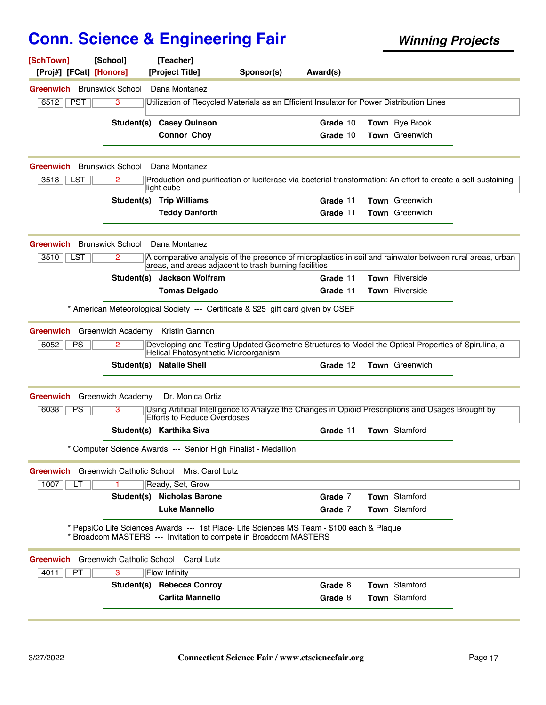| [SchTown]<br>[Proj#] [FCat] [Honors] | [School]                 | [Teacher]<br>[Project Title]                                                                                                                                      | Sponsor(s) | Award(s) |                       |  |
|--------------------------------------|--------------------------|-------------------------------------------------------------------------------------------------------------------------------------------------------------------|------------|----------|-----------------------|--|
| <b>Greenwich</b> Brunswick School    |                          | Dana Montanez                                                                                                                                                     |            |          |                       |  |
| 6512<br><b>PST</b>                   | 3                        | Utilization of Recycled Materials as an Efficient Insulator for Power Distribution Lines                                                                          |            |          |                       |  |
|                                      |                          | <b>Student(s) Casey Quinson</b>                                                                                                                                   |            | Grade 10 | Town Rye Brook        |  |
|                                      |                          | <b>Connor Choy</b>                                                                                                                                                |            | Grade 10 | Town Greenwich        |  |
| Greenwich                            | <b>Brunswick School</b>  | Dana Montanez                                                                                                                                                     |            |          |                       |  |
| 3518<br>LST                          | 2                        | Production and purification of luciferase via bacterial transformation: An effort to create a self-sustaining<br>light cube                                       |            |          |                       |  |
|                                      |                          | Student(s) Trip Williams                                                                                                                                          |            | Grade 11 | <b>Town</b> Greenwich |  |
|                                      |                          | <b>Teddy Danforth</b>                                                                                                                                             |            | Grade 11 | <b>Town</b> Greenwich |  |
| <b>Greenwich</b>                     | <b>Brunswick School</b>  | Dana Montanez                                                                                                                                                     |            |          |                       |  |
| $3510$   <br>LST                     | 2                        | A comparative analysis of the presence of microplastics in soil and rainwater between rural areas, urban<br>areas, and areas adjacent to trash burning facilities |            |          |                       |  |
|                                      |                          | Student(s) Jackson Wolfram                                                                                                                                        |            | Grade 11 | Town Riverside        |  |
|                                      |                          | <b>Tomas Delgado</b>                                                                                                                                              |            | Grade 11 | Town Riverside        |  |
|                                      |                          | * American Meteorological Society --- Certificate & \$25 gift card given by CSEF                                                                                  |            |          |                       |  |
| <b>Greenwich</b>                     | Greenwich Academy        | Kristin Gannon                                                                                                                                                    |            |          |                       |  |
| 6052<br>PS                           | 2                        | Developing and Testing Updated Geometric Structures to Model the Optical Properties of Spirulina, a<br>Helical Photosynthetic Microorganism                       |            |          |                       |  |
|                                      | Student(s)               | <b>Natalie Shell</b>                                                                                                                                              |            | Grade 12 | <b>Town</b> Greenwich |  |
| <b>Greenwich</b>                     | <b>Greenwich Academy</b> | Dr. Monica Ortiz                                                                                                                                                  |            |          |                       |  |
| 6038<br><b>PS</b>                    | 3                        | Using Artificial Intelligence to Analyze the Changes in Opioid Prescriptions and Usages Brought by<br>Efforts to Reduce Overdoses                                 |            |          |                       |  |
|                                      |                          | Student(s) Karthika Siva                                                                                                                                          |            | Grade 11 | <b>Town</b> Stamford  |  |
|                                      |                          | * Computer Science Awards --- Senior High Finalist - Medallion                                                                                                    |            |          |                       |  |
| <b>Greenwich</b>                     |                          | Greenwich Catholic School Mrs. Carol Lutz                                                                                                                         |            |          |                       |  |
| 1007<br>LT                           |                          | Ready, Set, Grow<br><b>Student(s) Nicholas Barone</b>                                                                                                             |            | Grade 7  | <b>Town</b> Stamford  |  |
|                                      |                          | Luke Mannello                                                                                                                                                     |            | Grade 7  | <b>Town</b> Stamford  |  |
|                                      |                          | * PepsiCo Life Sciences Awards --- 1st Place- Life Sciences MS Team - \$100 each & Plaque<br>Broadcom MASTERS --- Invitation to compete in Broadcom MASTERS       |            |          |                       |  |
| <b>Greenwich</b>                     |                          | Greenwich Catholic School Carol Lutz                                                                                                                              |            |          |                       |  |
| PT<br>4011                           | 3                        | Flow Infinity                                                                                                                                                     |            |          |                       |  |
|                                      |                          | Student(s) Rebecca Conroy                                                                                                                                         |            | Grade 8  | Town Stamford         |  |
|                                      |                          | <b>Carlita Mannello</b>                                                                                                                                           |            | Grade 8  | Town Stamford         |  |
|                                      |                          |                                                                                                                                                                   |            |          |                       |  |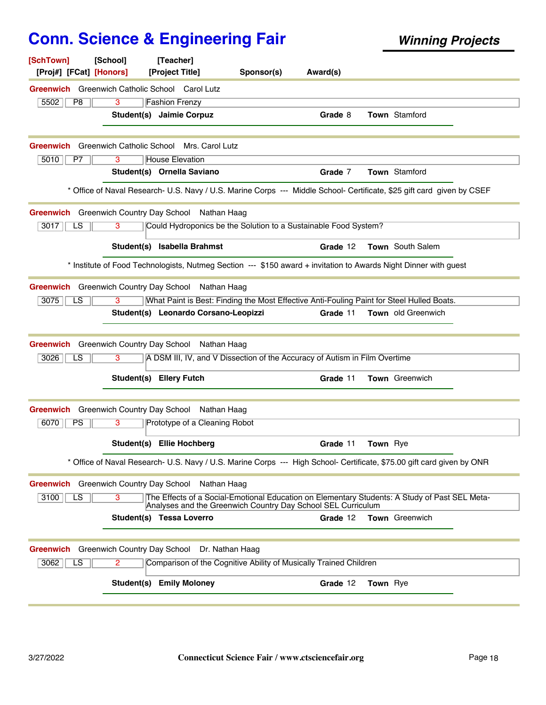| [SchTown]<br>[Proj#] [FCat] [Honors]                             | [School] | [Teacher]<br>[Project Title]                                               | Sponsor(s) | Award(s) |                                                                                                                        |  |
|------------------------------------------------------------------|----------|----------------------------------------------------------------------------|------------|----------|------------------------------------------------------------------------------------------------------------------------|--|
| <b>Greenwich</b> Greenwich Catholic School Carol Lutz            |          |                                                                            |            |          |                                                                                                                        |  |
| 5502<br>P8                                                       | 3        | <b>Fashion Frenzy</b>                                                      |            |          |                                                                                                                        |  |
|                                                                  |          | Student(s) Jaimie Corpuz                                                   |            | Grade 8  | <b>Town</b> Stamford                                                                                                   |  |
|                                                                  |          |                                                                            |            |          |                                                                                                                        |  |
| Greenwich<br>5010<br>P7                                          | 3        | Greenwich Catholic School Mrs. Carol Lutz<br><b>House Elevation</b>        |            |          |                                                                                                                        |  |
|                                                                  |          | Student(s) Ornella Saviano                                                 |            | Grade 7  | <b>Town</b> Stamford                                                                                                   |  |
|                                                                  |          |                                                                            |            |          | * Office of Naval Research- U.S. Navy / U.S. Marine Corps --- Middle School- Certificate, \$25 gift card given by CSEF |  |
| Greenwich Greenwich Country Day School Nathan Haag               |          |                                                                            |            |          |                                                                                                                        |  |
| 3017<br>LS                                                       | 3        | Could Hydroponics be the Solution to a Sustainable Food System?            |            |          |                                                                                                                        |  |
|                                                                  |          | Student(s) Isabella Brahmst                                                |            | Grade 12 | <b>Town</b> South Salem                                                                                                |  |
|                                                                  |          |                                                                            |            |          | * Institute of Food Technologists, Nutmeg Section --- \$150 award + invitation to Awards Night Dinner with guest       |  |
| Greenwich Greenwich Country Day School Nathan Haag               |          |                                                                            |            |          |                                                                                                                        |  |
| 3075<br>LS                                                       | 3        |                                                                            |            |          | What Paint is Best: Finding the Most Effective Anti-Fouling Paint for Steel Hulled Boats.                              |  |
|                                                                  |          | Student(s) Leonardo Corsano-Leopizzi                                       |            | Grade 11 | Town old Greenwich                                                                                                     |  |
|                                                                  |          |                                                                            |            |          |                                                                                                                        |  |
| Greenwich Greenwich Country Day School Nathan Haag<br>3026<br>LS | 3        | A DSM III, IV, and V Dissection of the Accuracy of Autism in Film Overtime |            |          |                                                                                                                        |  |
|                                                                  |          | Student(s) Ellery Futch                                                    |            | Grade 11 | Town Greenwich                                                                                                         |  |
|                                                                  |          |                                                                            |            |          |                                                                                                                        |  |
| Greenwich Greenwich Country Day School Nathan Haag               |          |                                                                            |            |          |                                                                                                                        |  |
| 6070<br><b>PS</b>                                                | 3        | Prototype of a Cleaning Robot                                              |            |          |                                                                                                                        |  |
|                                                                  |          | Student(s) Ellie Hochberg                                                  |            | Grade 11 | Town Rye                                                                                                               |  |
|                                                                  |          |                                                                            |            |          | * Office of Naval Research- U.S. Navy / U.S. Marine Corps --- High School- Certificate, \$75.00 gift card given by ONR |  |
| <b>Greenwich</b> Greenwich Country Day School                    |          | Nathan Haag                                                                |            |          |                                                                                                                        |  |
| 3100<br>LS                                                       | 3        | Analyses and the Greenwich Country Day School SEL Curriculum               |            |          | The Effects of a Social-Emotional Education on Elementary Students: A Study of Past SEL Meta-                          |  |
|                                                                  |          | Student(s) Tessa Loverro                                                   |            | Grade 12 | <b>Town</b> Greenwich                                                                                                  |  |
| Greenwich Greenwich Country Day School Dr. Nathan Haag           |          |                                                                            |            |          |                                                                                                                        |  |
| 3062<br>LS                                                       | 2        | Comparison of the Cognitive Ability of Musically Trained Children          |            |          |                                                                                                                        |  |
|                                                                  |          | <b>Student(s) Emily Moloney</b>                                            |            | Grade 12 | Town Rye                                                                                                               |  |
|                                                                  |          |                                                                            |            |          |                                                                                                                        |  |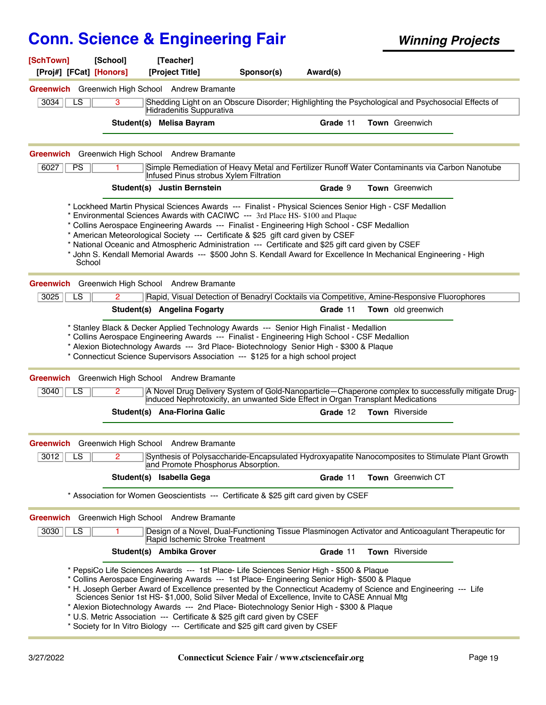| [SchTown]                                                   | [School] | [Teacher]                                                                                                                                                                                                                                                                                                                                                                                                                                                                                                                                                                                                                                                               |            |          |                    |  |
|-------------------------------------------------------------|----------|-------------------------------------------------------------------------------------------------------------------------------------------------------------------------------------------------------------------------------------------------------------------------------------------------------------------------------------------------------------------------------------------------------------------------------------------------------------------------------------------------------------------------------------------------------------------------------------------------------------------------------------------------------------------------|------------|----------|--------------------|--|
| [Proj#] [FCat] [Honors]                                     |          | [Project Title]                                                                                                                                                                                                                                                                                                                                                                                                                                                                                                                                                                                                                                                         | Sponsor(s) | Award(s) |                    |  |
|                                                             |          | Greenwich Greenwich High School Andrew Bramante                                                                                                                                                                                                                                                                                                                                                                                                                                                                                                                                                                                                                         |            |          |                    |  |
| 3034<br>LS                                                  | 3        | Shedding Light on an Obscure Disorder; Highlighting the Psychological and Psychosocial Effects of<br>Hidradenitis Suppurativa                                                                                                                                                                                                                                                                                                                                                                                                                                                                                                                                           |            |          |                    |  |
|                                                             |          | Student(s) Melisa Bayram                                                                                                                                                                                                                                                                                                                                                                                                                                                                                                                                                                                                                                                |            | Grade 11 | Town Greenwich     |  |
|                                                             |          |                                                                                                                                                                                                                                                                                                                                                                                                                                                                                                                                                                                                                                                                         |            |          |                    |  |
|                                                             |          | Greenwich Greenwich High School Andrew Bramante                                                                                                                                                                                                                                                                                                                                                                                                                                                                                                                                                                                                                         |            |          |                    |  |
| 6027<br><b>PS</b>                                           |          | Simple Remediation of Heavy Metal and Fertilizer Runoff Water Contaminants via Carbon Nanotube<br>Infused Pinus strobus Xylem Filtration                                                                                                                                                                                                                                                                                                                                                                                                                                                                                                                                |            |          |                    |  |
|                                                             |          | Student(s) Justin Bernstein                                                                                                                                                                                                                                                                                                                                                                                                                                                                                                                                                                                                                                             |            | Grade 9  | Town Greenwich     |  |
| School                                                      |          | * Lockheed Martin Physical Sciences Awards --- Finalist - Physical Sciences Senior High - CSF Medallion<br>* Environmental Sciences Awards with CACIWC --- 3rd Place HS- \$100 and Plaque<br>* Collins Aerospace Engineering Awards --- Finalist - Engineering High School - CSF Medallion<br>* American Meteorological Society --- Certificate & \$25 gift card given by CSEF<br>* National Oceanic and Atmospheric Administration --- Certificate and \$25 gift card given by CSEF<br>* John S. Kendall Memorial Awards --- \$500 John S. Kendall Award for Excellence In Mechanical Engineering - High                                                               |            |          |                    |  |
|                                                             |          | Greenwich Greenwich High School Andrew Bramante                                                                                                                                                                                                                                                                                                                                                                                                                                                                                                                                                                                                                         |            |          |                    |  |
| 3025<br>LS.                                                 | 2        | Rapid, Visual Detection of Benadryl Cocktails via Competitive, Amine-Responsive Fluorophores                                                                                                                                                                                                                                                                                                                                                                                                                                                                                                                                                                            |            |          |                    |  |
|                                                             |          | Student(s) Angelina Fogarty                                                                                                                                                                                                                                                                                                                                                                                                                                                                                                                                                                                                                                             |            | Grade 11 | Town old greenwich |  |
| 3040<br>LS                                                  | 2        | * Connecticut Science Supervisors Association --- \$125 for a high school project<br>Greenwich Greenwich High School Andrew Bramante<br>A Novel Drug Delivery System of Gold-Nanoparticle-Chaperone complex to successfully mitigate Drug-                                                                                                                                                                                                                                                                                                                                                                                                                              |            |          |                    |  |
|                                                             |          | induced Nephrotoxicity, an unwanted Side Effect in Organ Transplant Medications<br>Student(s) Ana-Florina Galic                                                                                                                                                                                                                                                                                                                                                                                                                                                                                                                                                         |            | Grade 12 | Town Riverside     |  |
|                                                             |          |                                                                                                                                                                                                                                                                                                                                                                                                                                                                                                                                                                                                                                                                         |            |          |                    |  |
|                                                             |          | Greenwich Greenwich High School Andrew Bramante                                                                                                                                                                                                                                                                                                                                                                                                                                                                                                                                                                                                                         |            |          |                    |  |
| $3012$ $\overline{\phantom{0}}$ LS $\overline{\phantom{0}}$ |          | Synthesis of Polysaccharide-Encapsulated Hydroxyapatite Nanocomposites to Stimulate Plant Growth<br>and Promote Phosphorus Absorption.                                                                                                                                                                                                                                                                                                                                                                                                                                                                                                                                  |            |          |                    |  |
|                                                             |          | Student(s) Isabella Gega                                                                                                                                                                                                                                                                                                                                                                                                                                                                                                                                                                                                                                                |            | Grade 11 | Town Greenwich CT  |  |
|                                                             |          | * Association for Women Geoscientists --- Certificate & \$25 gift card given by CSEF                                                                                                                                                                                                                                                                                                                                                                                                                                                                                                                                                                                    |            |          |                    |  |
|                                                             |          | Greenwich Greenwich High School Andrew Bramante                                                                                                                                                                                                                                                                                                                                                                                                                                                                                                                                                                                                                         |            |          |                    |  |
| 3030<br>LS                                                  |          | Design of a Novel, Dual-Functioning Tissue Plasminogen Activator and Anticoagulant Therapeutic for<br>Rapid Ischemic Stroke Treatment                                                                                                                                                                                                                                                                                                                                                                                                                                                                                                                                   |            |          |                    |  |
|                                                             |          | Student(s) Ambika Grover                                                                                                                                                                                                                                                                                                                                                                                                                                                                                                                                                                                                                                                |            | Grade 11 | Town Riverside     |  |
|                                                             |          | * PepsiCo Life Sciences Awards --- 1st Place- Life Sciences Senior High - \$500 & Plaque<br>* Collins Aerospace Engineering Awards --- 1st Place- Engineering Senior High- \$500 & Plaque<br>* H. Joseph Gerber Award of Excellence presented by the Connecticut Academy of Science and Engineering --- Life<br>Sciences Senior 1st HS- \$1,000, Solid Silver Medal of Excellence, Invite to CASE Annual Mtg<br>* Alexion Biotechnology Awards --- 2nd Place- Biotechnology Senior High - \$300 & Plaque<br>* U.S. Metric Association --- Certificate & \$25 gift card given by CSEF<br>* Society for In Vitro Biology --- Certificate and \$25 gift card given by CSEF |            |          |                    |  |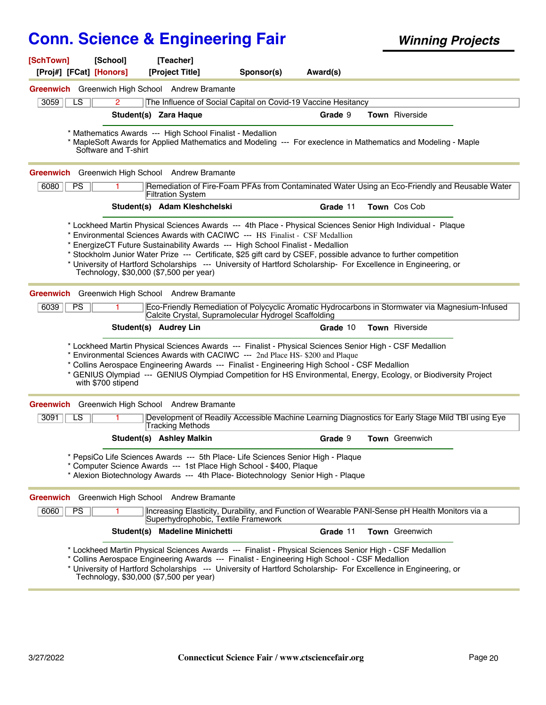| [SchTown] | [School]                   | [Teacher]                                                                                                                                                                                                                                                                                                                                                                                                                                      |            |          |                       |  |
|-----------|----------------------------|------------------------------------------------------------------------------------------------------------------------------------------------------------------------------------------------------------------------------------------------------------------------------------------------------------------------------------------------------------------------------------------------------------------------------------------------|------------|----------|-----------------------|--|
|           | [Proj#] [FCat] [Honors]    | [Project Title]                                                                                                                                                                                                                                                                                                                                                                                                                                | Sponsor(s) | Award(s) |                       |  |
|           |                            | Greenwich Greenwich High School Andrew Bramante                                                                                                                                                                                                                                                                                                                                                                                                |            |          |                       |  |
| 3059      | LS<br>$\mathbf{2}^{\circ}$ | The Influence of Social Capital on Covid-19 Vaccine Hesitancy                                                                                                                                                                                                                                                                                                                                                                                  |            |          |                       |  |
|           |                            | Student(s) Zara Haque                                                                                                                                                                                                                                                                                                                                                                                                                          |            | Grade 9  | Town Riverside        |  |
|           | Software and T-shirt       | * Mathematics Awards --- High School Finalist - Medallion<br>* MapleSoft Awards for Applied Mathematics and Modeling --- For execlence in Mathematics and Modeling - Maple                                                                                                                                                                                                                                                                     |            |          |                       |  |
|           |                            | Greenwich Greenwich High School Andrew Bramante                                                                                                                                                                                                                                                                                                                                                                                                |            |          |                       |  |
| 6080      | <b>PS</b>                  | Remediation of Fire-Foam PFAs from Contaminated Water Using an Eco-Friendly and Reusable Water<br><b>Filtration System</b>                                                                                                                                                                                                                                                                                                                     |            |          |                       |  |
|           |                            | Student(s) Adam Kleshchelski                                                                                                                                                                                                                                                                                                                                                                                                                   |            | Grade 11 | Town Cos Cob          |  |
|           |                            | * Environmental Sciences Awards with CACIWC --- HS Finalist - CSF Medallion<br>* EnergizeCT Future Sustainability Awards --- High School Finalist - Medallion<br>* Stockholm Junior Water Prize --- Certificate, \$25 gift card by CSEF, possible advance to further competition<br>* University of Hartford Scholarships --- University of Hartford Scholarship- For Excellence in Engineering, or<br>Technology, \$30,000 (\$7,500 per year) |            |          |                       |  |
|           |                            | Greenwich Greenwich High School Andrew Bramante                                                                                                                                                                                                                                                                                                                                                                                                |            |          |                       |  |
| 6039      | PS<br>1.                   | Eco-Friendly Remediation of Polycyclic Aromatic Hydrocarbons in Stormwater via Magnesium-Infused<br>Calcite Crystal, Supramolecular Hydrogel Scaffolding                                                                                                                                                                                                                                                                                       |            |          |                       |  |
|           |                            | Student(s) Audrey Lin                                                                                                                                                                                                                                                                                                                                                                                                                          |            | Grade 10 | Town Riverside        |  |
|           | with \$700 stipend         | * Lockheed Martin Physical Sciences Awards --- Finalist - Physical Sciences Senior High - CSF Medallion<br>* Environmental Sciences Awards with CACIWC --- 2nd Place HS- \$200 and Plaque<br>* Collins Aerospace Engineering Awards --- Finalist - Engineering High School - CSF Medallion<br>* GENIUS Olympiad --- GENIUS Olympiad Competition for HS Environmental, Energy, Ecology, or Biodiversity Project                                 |            |          |                       |  |
|           |                            | Greenwich Greenwich High School Andrew Bramante                                                                                                                                                                                                                                                                                                                                                                                                |            |          |                       |  |
| 3091      | $\overline{\text{LS}}$     | Development of Readily Accessible Machine Learning Diagnostics for Early Stage Mild TBI using Eye<br><b>Tracking Methods</b>                                                                                                                                                                                                                                                                                                                   |            |          |                       |  |
|           |                            | Student(s) Ashley Malkin                                                                                                                                                                                                                                                                                                                                                                                                                       |            | Grade 9  | Town Greenwich        |  |
|           |                            | * PepsiCo Life Sciences Awards --- 5th Place- Life Sciences Senior High - Plaque<br>* Computer Science Awards --- 1st Place High School - \$400, Plaque<br>* Alexion Biotechnology Awards --- 4th Place- Biotechnology Senior High - Plaque                                                                                                                                                                                                    |            |          |                       |  |
|           |                            | Greenwich Greenwich High School Andrew Bramante                                                                                                                                                                                                                                                                                                                                                                                                |            |          |                       |  |
| 6060      | <b>PS</b><br>1.            | Increasing Elasticity, Durability, and Function of Wearable PANI-Sense pH Health Monitors via a<br>Superhydrophobic, Textile Framework                                                                                                                                                                                                                                                                                                         |            |          |                       |  |
|           |                            | Student(s) Madeline Minichetti                                                                                                                                                                                                                                                                                                                                                                                                                 |            | Grade 11 | <b>Town</b> Greenwich |  |
|           |                            | * Lockheed Martin Physical Sciences Awards --- Finalist - Physical Sciences Senior High - CSF Medallion<br>* Collins Aerospace Engineering Awards --- Finalist - Engineering High School - CSF Medallion<br>* University of Hartford Scholarships --- University of Hartford Scholarship- For Excellence in Engineering, or<br>Technology, \$30,000 (\$7,500 per year)                                                                         |            |          |                       |  |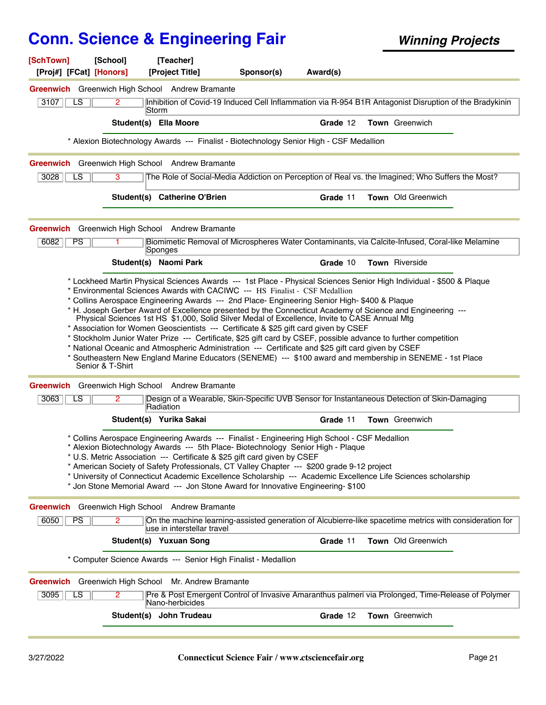**Sponsor(s) [SchTown] [School] [Teacher] [Proj#] [FCat] [Honors] [Project Title] Award(s)** 3107 **IDENTIFY 2** Inhibition of Covid-19 Induced Cell Inflammation via R-954 B1R Antagonist Disruption of the Bradykinin Storm 2 **Greenwich** Greenwich High School Andrew Bramante LS **Student(s) Ella Moore Grade** 12 **Town** Greenwich \* Alexion Biotechnology Awards --- Finalist - Biotechnology Senior High - CSF Medallion 3028 **I** LS **S** 3 The Role of Social-Media Addiction on Perception of Real vs. the Imagined; Who Suffers the Most? **Greenwich** Greenwich High School Andrew Bramante LS **Student(s) Catherine O'Brien Grade** 11 **Town** Old Greenwich 6082 **Biomimetic Removal of Microspheres Water Contaminants, via Calcite-Infused, Coral-like Melamine** Sponges 1 **Greenwich** Greenwich High School Andrew Bramante PS **Student(s) Naomi Park Grade** 10 **Town** Riverside \* Lockheed Martin Physical Sciences Awards --- 1st Place - Physical Sciences Senior High Individual - \$500 & Plaque \* Environmental Sciences Awards with CACIWC --- HS Finalist - CSF Medallion \* Collins Aerospace Engineering Awards --- 2nd Place- Engineering Senior High- \$400 & Plaque \* H. Joseph Gerber Award of Excellence presented by the Connecticut Academy of Science and Engineering --- Physical Sciences 1st HS \$1,000, Solid Silver Medal of Excellence, Invite to CASE Annual Mtg \* Association for Women Geoscientists --- Certificate & \$25 gift card given by CSEF \* Stockholm Junior Water Prize --- Certificate, \$25 gift card by CSEF, possible advance to further competition \* National Oceanic and Atmospheric Administration --- Certificate and \$25 gift card given by CSEF \* Southeastern New England Marine Educators (SENEME) --- \$100 award and membership in SENEME - 1st Place Senior & T-Shirt 3063 | LS | 2 | Design of a Wearable, Skin-Specific UVB Sensor for Instantaneous Detection of Skin-Damaging Radiation 2 **Greenwich** Greenwich High School Andrew Bramante LS **Student(s) Yurika Sakai Grade** 11 **Town** Greenwich \* Collins Aerospace Engineering Awards --- Finalist - Engineering High School - CSF Medallion \* Alexion Biotechnology Awards --- 5th Place- Biotechnology Senior High - Plaque \* U.S. Metric Association --- Certificate & \$25 gift card given by CSEF \* American Society of Safety Professionals, CT Valley Chapter --- \$200 grade 9-12 project \* University of Connecticut Academic Excellence Scholarship --- Academic Excellence Life Sciences scholarship \* Jon Stone Memorial Award --- Jon Stone Award for Innovative Engineering- \$100 6050 **PS On the machine learning-assisted generation of Alcubierre-like spacetime metrics with consideration for** use in interstellar travel 2 **Greenwich** Greenwich High School Andrew Bramante PS **Student(s) Yuxuan Song Grade** 11 **Town** Old Greenwich \* Computer Science Awards --- Senior High Finalist - Medallion 3095 Pre & Post Emergent Control of Invasive Amaranthus palmeri via Prolonged, Time-Release of Polymer Nano-herbicides 2 **Greenwich** Greenwich High School Mr. Andrew Bramante LS **Student(s) John Trudeau Grade** 12 **Town** Greenwich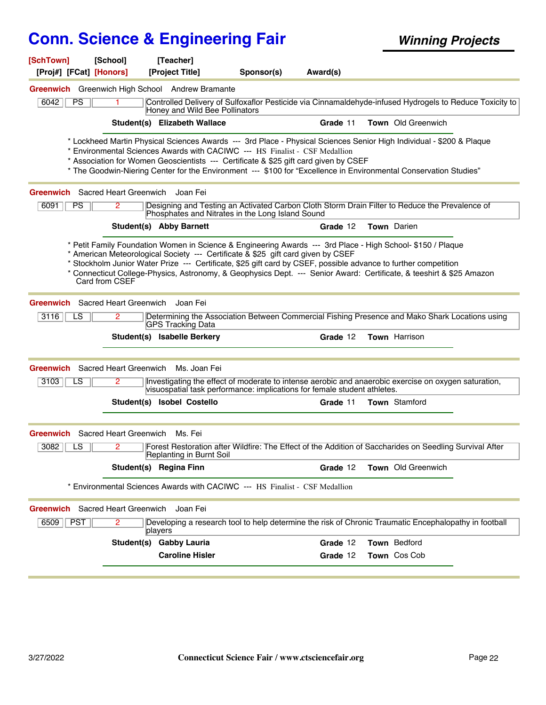| [SchTown]<br>[Proj#] [FCat] [Honors]      | [School]       | [Teacher]<br>[Project Title]                                                                                                                                                                        | Sponsor(s) | Award(s) |                                                                                                                                                                                                                                           |  |
|-------------------------------------------|----------------|-----------------------------------------------------------------------------------------------------------------------------------------------------------------------------------------------------|------------|----------|-------------------------------------------------------------------------------------------------------------------------------------------------------------------------------------------------------------------------------------------|--|
|                                           |                | Greenwich Greenwich High School Andrew Bramante                                                                                                                                                     |            |          |                                                                                                                                                                                                                                           |  |
| 6042<br>PS                                | 1.             | Honey and Wild Bee Pollinators                                                                                                                                                                      |            |          | Controlled Delivery of Sulfoxaflor Pesticide via Cinnamaldehyde-infused Hydrogels to Reduce Toxicity to                                                                                                                                   |  |
|                                           |                | Student(s) Elizabeth Wallace                                                                                                                                                                        |            | Grade 11 | Town Old Greenwich                                                                                                                                                                                                                        |  |
|                                           |                | * Environmental Sciences Awards with CACIWC --- HS Finalist - CSF Medallion<br>* Association for Women Geoscientists --- Certificate & \$25 gift card given by CSEF                                 |            |          | * Lockheed Martin Physical Sciences Awards --- 3rd Place - Physical Sciences Senior High Individual - \$200 & Plaque<br>* The Goodwin-Niering Center for the Environment --- \$100 for "Excellence in Environmental Conservation Studies" |  |
| Greenwich Sacred Heart Greenwich Joan Fei |                |                                                                                                                                                                                                     |            |          |                                                                                                                                                                                                                                           |  |
| PS<br>6091                                | $\overline{2}$ | Phosphates and Nitrates in the Long Island Sound                                                                                                                                                    |            |          | Designing and Testing an Activated Carbon Cloth Storm Drain Filter to Reduce the Prevalence of                                                                                                                                            |  |
|                                           |                | Student(s) Abby Barnett                                                                                                                                                                             |            | Grade 12 | <b>Town</b> Darien                                                                                                                                                                                                                        |  |
|                                           | Card from CSEF | * American Meteorological Society --- Certificate & \$25 gift card given by CSEF<br>* Stockholm Junior Water Prize --- Certificate, \$25 gift card by CSEF, possible advance to further competition |            |          | * Petit Family Foundation Women in Science & Engineering Awards --- 3rd Place - High School- \$150 / Plaque<br>* Connecticut College-Physics, Astronomy, & Geophysics Dept. --- Senior Award: Certificate, & teeshirt & \$25 Amazon       |  |
| Greenwich Sacred Heart Greenwich          |                | Joan Fei                                                                                                                                                                                            |            |          |                                                                                                                                                                                                                                           |  |
| 3116<br>LS                                | 2              | GPS Tracking Data                                                                                                                                                                                   |            |          | Determining the Association Between Commercial Fishing Presence and Mako Shark Locations using                                                                                                                                            |  |
|                                           |                | Student(s) Isabelle Berkery                                                                                                                                                                         |            | Grade 12 | <b>Town</b> Harrison                                                                                                                                                                                                                      |  |
| <b>Greenwich</b> Sacred Heart Greenwich   |                | Ms. Joan Fei                                                                                                                                                                                        |            |          |                                                                                                                                                                                                                                           |  |
| 3103<br>LS                                |                | visuospatial task performance: implications for female student athletes.                                                                                                                            |            |          | Investigating the effect of moderate to intense aerobic and anaerobic exercise on oxygen saturation,                                                                                                                                      |  |
|                                           |                | Student(s) Isobel Costello                                                                                                                                                                          |            | Grade 11 | <b>Town</b> Stamford                                                                                                                                                                                                                      |  |
| Greenwich Sacred Heart Greenwich Ms. Fei  |                |                                                                                                                                                                                                     |            |          |                                                                                                                                                                                                                                           |  |
| 3082<br>LS                                | 2              | Replanting in Burnt Soil                                                                                                                                                                            |            |          | Forest Restoration after Wildfire: The Effect of the Addition of Saccharides on Seedling Survival After                                                                                                                                   |  |
|                                           |                | Student(s) Regina Finn                                                                                                                                                                              |            | Grade 12 | Town Old Greenwich                                                                                                                                                                                                                        |  |
|                                           |                | * Environmental Sciences Awards with CACIWC --- HS Finalist - CSF Medallion                                                                                                                         |            |          |                                                                                                                                                                                                                                           |  |
| Greenwich Sacred Heart Greenwich          |                | Joan Fei                                                                                                                                                                                            |            |          |                                                                                                                                                                                                                                           |  |
| $\sqrt{PST}$<br>6509                      | $\overline{2}$ | players                                                                                                                                                                                             |            |          | Developing a research tool to help determine the risk of Chronic Traumatic Encephalopathy in football                                                                                                                                     |  |
|                                           |                | Student(s) Gabby Lauria                                                                                                                                                                             |            | Grade 12 | Town Bedford                                                                                                                                                                                                                              |  |
|                                           |                | <b>Caroline Hisler</b>                                                                                                                                                                              |            | Grade 12 | Town Cos Cob                                                                                                                                                                                                                              |  |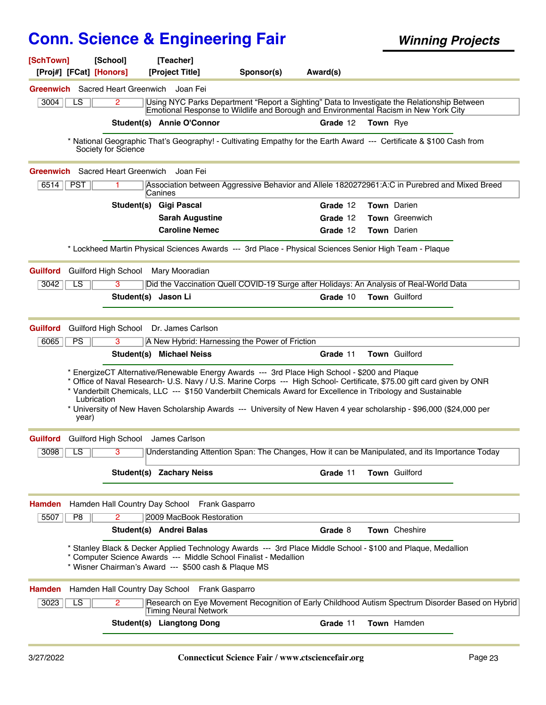| [SchTown]       |                 | [School]                                     | [Teacher]                                     |                                                                                                                          |          |                                                                                                                                                                                                                                                                                                                                                                |
|-----------------|-----------------|----------------------------------------------|-----------------------------------------------|--------------------------------------------------------------------------------------------------------------------------|----------|----------------------------------------------------------------------------------------------------------------------------------------------------------------------------------------------------------------------------------------------------------------------------------------------------------------------------------------------------------------|
|                 |                 | [Proj#] [FCat] [Honors]                      | [Project Title]                               | Sponsor(s)                                                                                                               | Award(s) |                                                                                                                                                                                                                                                                                                                                                                |
|                 |                 | <b>Greenwich</b> Sacred Heart Greenwich      | Joan Fei                                      |                                                                                                                          |          |                                                                                                                                                                                                                                                                                                                                                                |
| 3004            | LS              | 2                                            |                                               |                                                                                                                          |          | Using NYC Parks Department "Report a Sighting" Data to Investigate the Relationship Between<br>Emotional Response to Wildlife and Borough and Environmental Racism in New York City                                                                                                                                                                            |
|                 |                 |                                              | Student(s) Annie O'Connor                     |                                                                                                                          | Grade 12 | <b>Town</b> Rye                                                                                                                                                                                                                                                                                                                                                |
|                 |                 | Society for Science                          |                                               |                                                                                                                          |          | * National Geographic That's Geography! - Cultivating Empathy for the Earth Award --- Certificate & \$100 Cash from                                                                                                                                                                                                                                            |
|                 |                 |                                              |                                               |                                                                                                                          |          |                                                                                                                                                                                                                                                                                                                                                                |
| $6514$ PST      |                 | <b>Greenwich</b> Sacred Heart Greenwich<br>1 | Joan Fei                                      |                                                                                                                          |          | Association between Aggressive Behavior and Allele 1820272961:A:C in Purebred and Mixed Breed                                                                                                                                                                                                                                                                  |
|                 |                 |                                              | Canines                                       |                                                                                                                          |          |                                                                                                                                                                                                                                                                                                                                                                |
|                 |                 |                                              | Student(s) Gigi Pascal                        |                                                                                                                          | Grade 12 | Town Darien                                                                                                                                                                                                                                                                                                                                                    |
|                 |                 |                                              | <b>Sarah Augustine</b>                        |                                                                                                                          | Grade 12 | Town Greenwich                                                                                                                                                                                                                                                                                                                                                 |
|                 |                 |                                              | <b>Caroline Nemec</b>                         |                                                                                                                          | Grade 12 | <b>Town</b> Darien                                                                                                                                                                                                                                                                                                                                             |
|                 |                 |                                              |                                               | * Lockheed Martin Physical Sciences Awards --- 3rd Place - Physical Sciences Senior High Team - Plaque                   |          |                                                                                                                                                                                                                                                                                                                                                                |
| <b>Guilford</b> |                 | Guilford High School                         | Mary Mooradian                                |                                                                                                                          |          |                                                                                                                                                                                                                                                                                                                                                                |
| 3042            | LS              | 3                                            |                                               |                                                                                                                          |          | Did the Vaccination Quell COVID-19 Surge after Holidays: An Analysis of Real-World Data                                                                                                                                                                                                                                                                        |
|                 |                 |                                              | Student(s) Jason Li                           |                                                                                                                          | Grade 10 | Town Guilford                                                                                                                                                                                                                                                                                                                                                  |
|                 |                 |                                              |                                               |                                                                                                                          |          |                                                                                                                                                                                                                                                                                                                                                                |
| <b>Guilford</b> |                 | Guilford High School                         | Dr. James Carlson                             |                                                                                                                          |          |                                                                                                                                                                                                                                                                                                                                                                |
| 6065            | PS              | 3                                            |                                               | A New Hybrid: Harnessing the Power of Friction                                                                           |          |                                                                                                                                                                                                                                                                                                                                                                |
|                 |                 |                                              | Student(s) Michael Neiss                      |                                                                                                                          | Grade 11 | Town Guilford                                                                                                                                                                                                                                                                                                                                                  |
|                 | year)           | Lubrication                                  |                                               | * EnergizeCT Alternative/Renewable Energy Awards --- 3rd Place High School - \$200 and Plaque                            |          | * Office of Naval Research- U.S. Navy / U.S. Marine Corps --- High School- Certificate, \$75.00 gift card given by ONR<br>* Vanderbilt Chemicals, LLC --- \$150 Vanderbilt Chemicals Award for Excellence in Tribology and Sustainable<br>* University of New Haven Scholarship Awards --- University of New Haven 4 year scholarship - \$96,000 (\$24,000 per |
|                 |                 | <b>Guilford</b> Guilford High School         | James Carlson                                 |                                                                                                                          |          |                                                                                                                                                                                                                                                                                                                                                                |
| 3098            | LS              | 3                                            |                                               |                                                                                                                          |          | Understanding Attention Span: The Changes, How it can be Manipulated, and its Importance Today                                                                                                                                                                                                                                                                 |
|                 |                 |                                              | <b>Student(s) Zachary Neiss</b>               |                                                                                                                          | Grade 11 | Town Guilford                                                                                                                                                                                                                                                                                                                                                  |
| <b>Hamden</b>   |                 |                                              | Hamden Hall Country Day School Frank Gasparro |                                                                                                                          |          |                                                                                                                                                                                                                                                                                                                                                                |
| 5507            | P8              | $\overline{2}$                               | 2009 MacBook Restoration                      |                                                                                                                          |          |                                                                                                                                                                                                                                                                                                                                                                |
|                 |                 |                                              | Student(s) Andrei Balas                       |                                                                                                                          | Grade 8  | Town Cheshire                                                                                                                                                                                                                                                                                                                                                  |
|                 |                 |                                              |                                               | * Computer Science Awards --- Middle School Finalist - Medallion<br>* Wisner Chairman's Award --- \$500 cash & Plaque MS |          | Stanley Black & Decker Applied Technology Awards --- 3rd Place Middle School - \$100 and Plaque, Medallion *                                                                                                                                                                                                                                                   |
| <b>Hamden</b>   |                 |                                              | Hamden Hall Country Day School Frank Gasparro |                                                                                                                          |          |                                                                                                                                                                                                                                                                                                                                                                |
| 3023            | $\overline{LS}$ | $\overline{2}$                               | Timing Neural Network                         |                                                                                                                          |          | Research on Eye Movement Recognition of Early Childhood Autism Spectrum Disorder Based on Hybrid                                                                                                                                                                                                                                                               |
|                 |                 |                                              | <b>Student(s) Liangtong Dong</b>              |                                                                                                                          | Grade 11 | Town Hamden                                                                                                                                                                                                                                                                                                                                                    |
|                 |                 |                                              |                                               |                                                                                                                          |          |                                                                                                                                                                                                                                                                                                                                                                |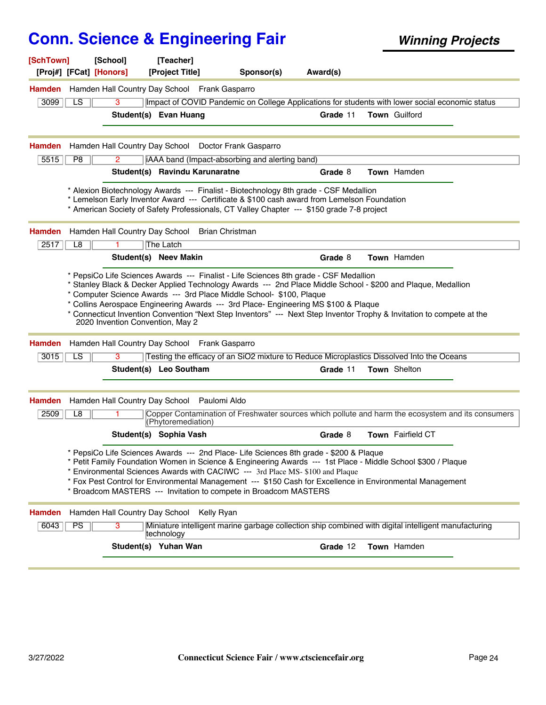| [SchTown]     | [School]<br>[Proj#] [FCat] [Honors] |                | [Teacher]<br>[Project Title]                                                      | Sponsor(s)                                                                                                                                                                                                                                                                                                                                                                                                                                                               | Award(s) |                                                                                                                       |
|---------------|-------------------------------------|----------------|-----------------------------------------------------------------------------------|--------------------------------------------------------------------------------------------------------------------------------------------------------------------------------------------------------------------------------------------------------------------------------------------------------------------------------------------------------------------------------------------------------------------------------------------------------------------------|----------|-----------------------------------------------------------------------------------------------------------------------|
| <b>Hamden</b> |                                     |                | Hamden Hall Country Day School Frank Gasparro                                     |                                                                                                                                                                                                                                                                                                                                                                                                                                                                          |          |                                                                                                                       |
| 3099          | LS                                  | 3              |                                                                                   |                                                                                                                                                                                                                                                                                                                                                                                                                                                                          |          | Impact of COVID Pandemic on College Applications for students with lower social economic status                       |
|               |                                     |                | Student(s) Evan Huang                                                             |                                                                                                                                                                                                                                                                                                                                                                                                                                                                          | Grade 11 | Town Guilford                                                                                                         |
| Hamden        |                                     |                |                                                                                   | Hamden Hall Country Day School Doctor Frank Gasparro                                                                                                                                                                                                                                                                                                                                                                                                                     |          |                                                                                                                       |
| 5515          | P <sub>8</sub>                      | $\overline{2}$ |                                                                                   | iAAA band (Impact-absorbing and alerting band)                                                                                                                                                                                                                                                                                                                                                                                                                           |          |                                                                                                                       |
|               |                                     |                | Student(s) Ravindu Karunaratne                                                    |                                                                                                                                                                                                                                                                                                                                                                                                                                                                          | Grade 8  | Town Hamden                                                                                                           |
|               |                                     |                |                                                                                   | * Alexion Biotechnology Awards --- Finalist - Biotechnology 8th grade - CSF Medallion<br>* Lemelson Early Inventor Award --- Certificate & \$100 cash award from Lemelson Foundation<br>* American Society of Safety Professionals, CT Valley Chapter --- \$150 grade 7-8 project                                                                                                                                                                                        |          |                                                                                                                       |
| Hamden        |                                     |                | Hamden Hall Country Day School Brian Christman                                    |                                                                                                                                                                                                                                                                                                                                                                                                                                                                          |          |                                                                                                                       |
| 2517          | L8                                  | 1.             | The Latch                                                                         |                                                                                                                                                                                                                                                                                                                                                                                                                                                                          |          |                                                                                                                       |
|               |                                     |                | Student(s) Neev Makin                                                             |                                                                                                                                                                                                                                                                                                                                                                                                                                                                          | Grade 8  | Town Hamden                                                                                                           |
| <b>Hamden</b> |                                     |                | 2020 Invention Convention, May 2<br>Hamden Hall Country Day School Frank Gasparro | * Collins Aerospace Engineering Awards --- 3rd Place- Engineering MS \$100 & Plaque                                                                                                                                                                                                                                                                                                                                                                                      |          | * Connecticut Invention Convention "Next Step Inventors" --- Next Step Inventor Trophy & Invitation to compete at the |
| 3015          | LS                                  | 3              |                                                                                   | Testing the efficacy of an SiO2 mixture to Reduce Microplastics Dissolved Into the Oceans                                                                                                                                                                                                                                                                                                                                                                                |          |                                                                                                                       |
|               |                                     |                | Student(s) Leo Southam                                                            |                                                                                                                                                                                                                                                                                                                                                                                                                                                                          | Grade 11 | Town Shelton                                                                                                          |
| <b>Hamden</b> |                                     |                | Hamden Hall Country Day School Paulomi Aldo                                       |                                                                                                                                                                                                                                                                                                                                                                                                                                                                          |          |                                                                                                                       |
| 2509          | L8                                  |                | (Phytoremediation)                                                                |                                                                                                                                                                                                                                                                                                                                                                                                                                                                          |          | Copper Contamination of Freshwater sources which pollute and harm the ecosystem and its consumers                     |
|               |                                     |                | Student(s) Sophia Vash                                                            |                                                                                                                                                                                                                                                                                                                                                                                                                                                                          | Grade 8  | Town Fairfield CT                                                                                                     |
|               |                                     |                |                                                                                   | * PepsiCo Life Sciences Awards --- 2nd Place- Life Sciences 8th grade - \$200 & Plaque<br>* Petit Family Foundation Women in Science & Engineering Awards --- 1st Place - Middle School \$300 / Plaque<br>* Environmental Sciences Awards with CACIWC --- 3rd Place MS-\$100 and Plaque<br>* Fox Pest Control for Environmental Management --- \$150 Cash for Excellence in Environmental Management<br>* Broadcom MASTERS --- Invitation to compete in Broadcom MASTERS |          |                                                                                                                       |
| <b>Hamden</b> | Hamden Hall Country Day School      |                |                                                                                   | Kelly Ryan                                                                                                                                                                                                                                                                                                                                                                                                                                                               |          |                                                                                                                       |
| 6043          | <b>PS</b>                           | 3              | ∣technology                                                                       |                                                                                                                                                                                                                                                                                                                                                                                                                                                                          |          | Miniature intelligent marine garbage collection ship combined with digital intelligent manufacturing                  |
|               |                                     |                | Student(s) Yuhan Wan                                                              |                                                                                                                                                                                                                                                                                                                                                                                                                                                                          | Grade 12 | Town Hamden                                                                                                           |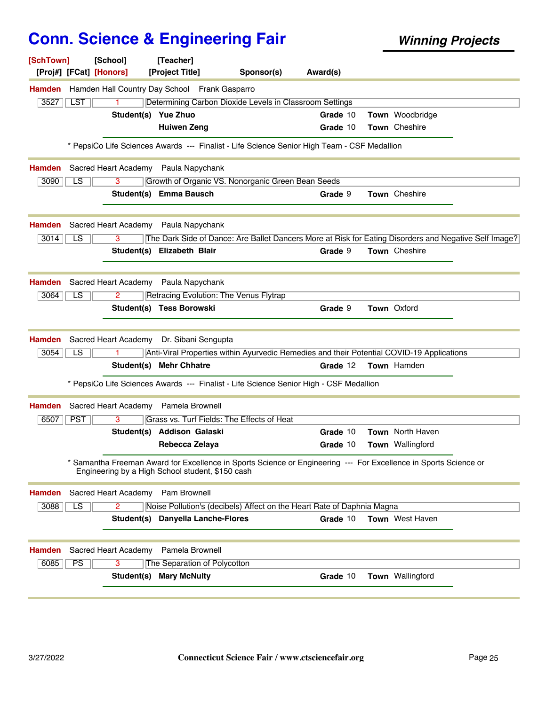| [SchTown]<br>[Proj#] [FCat] [Honors] | [School]                          | [Teacher]<br>[Project Title]                     | Sponsor(s)                                                                                                     | Award(s) |                        |  |
|--------------------------------------|-----------------------------------|--------------------------------------------------|----------------------------------------------------------------------------------------------------------------|----------|------------------------|--|
| <b>Hamden</b>                        |                                   | Hamden Hall Country Day School Frank Gasparro    |                                                                                                                |          |                        |  |
| 3527<br><b>LST</b>                   | 1                                 |                                                  | Determining Carbon Dioxide Levels in Classroom Settings                                                        |          |                        |  |
|                                      | Student(s) Yue Zhuo               |                                                  |                                                                                                                | Grade 10 | Town Woodbridge        |  |
|                                      |                                   | <b>Huiwen Zeng</b>                               |                                                                                                                | Grade 10 | Town Cheshire          |  |
|                                      |                                   |                                                  | * PepsiCo Life Sciences Awards --- Finalist - Life Science Senior High Team - CSF Medallion                    |          |                        |  |
| <b>Hamden</b>                        |                                   | Sacred Heart Academy Paula Napychank             |                                                                                                                |          |                        |  |
| 3090<br>LS.                          | 3                                 |                                                  | Growth of Organic VS. Nonorganic Green Bean Seeds                                                              |          |                        |  |
|                                      |                                   | Student(s) Emma Bausch                           |                                                                                                                | Grade 9  | Town Cheshire          |  |
| <b>Hamden</b>                        |                                   | Sacred Heart Academy Paula Napychank             |                                                                                                                |          |                        |  |
| $\overline{LS}$<br>3014              | 3                                 |                                                  | The Dark Side of Dance: Are Ballet Dancers More at Risk for Eating Disorders and Negative Self Image?          |          |                        |  |
|                                      |                                   | Student(s) Elizabeth Blair                       |                                                                                                                | Grade 9  | Town Cheshire          |  |
| <b>Hamden</b>                        |                                   | Sacred Heart Academy Paula Napychank             |                                                                                                                |          |                        |  |
| 3064<br>LS                           | 2                                 |                                                  | Retracing Evolution: The Venus Flytrap                                                                         |          |                        |  |
|                                      |                                   | Student(s) Tess Borowski                         |                                                                                                                | Grade 9  | Town Oxford            |  |
| <b>Hamden</b>                        |                                   | Sacred Heart Academy Dr. Sibani Sengupta         |                                                                                                                |          |                        |  |
| LS<br>3054                           |                                   |                                                  | Anti-Viral Properties within Ayurvedic Remedies and their Potential COVID-19 Applications                      |          |                        |  |
|                                      |                                   | Student(s) Mehr Chhatre                          |                                                                                                                | Grade 12 | Town Hamden            |  |
|                                      |                                   |                                                  | * PepsiCo Life Sciences Awards --- Finalist - Life Science Senior High - CSF Medallion                         |          |                        |  |
| Hamden                               | Sacred Heart Academy              | Pamela Brownell                                  |                                                                                                                |          |                        |  |
| 6507<br><b>PST</b>                   | 3                                 |                                                  | Grass vs. Turf Fields: The Effects of Heat                                                                     |          |                        |  |
|                                      |                                   | Student(s) Addison Galaski                       |                                                                                                                | Grade 10 | Town North Haven       |  |
|                                      |                                   | Rebecca Zelaya                                   |                                                                                                                | Grade 10 | Town Wallingford       |  |
|                                      |                                   | Engineering by a High School student, \$150 cash | Samantha Freeman Award for Excellence in Sports Science or Engineering --- For Excellence in Sports Science or |          |                        |  |
| <b>Hamden</b>                        | Sacred Heart Academy Pam Brownell |                                                  |                                                                                                                |          |                        |  |
| 3088<br>LS.                          | 2                                 |                                                  | Noise Pollution's (decibels) Affect on the Heart Rate of Daphnia Magna                                         |          |                        |  |
|                                      |                                   | Student(s) Danyella Lanche-Flores                |                                                                                                                | Grade 10 | <b>Town</b> West Haven |  |
| <b>Hamden</b>                        | Sacred Heart Academy              | Pamela Brownell                                  |                                                                                                                |          |                        |  |
| PS<br>6085                           | 3                                 | The Separation of Polycotton                     |                                                                                                                |          |                        |  |
|                                      | Student(s)                        | <b>Mary McNulty</b>                              |                                                                                                                | Grade 10 | Town Wallingford       |  |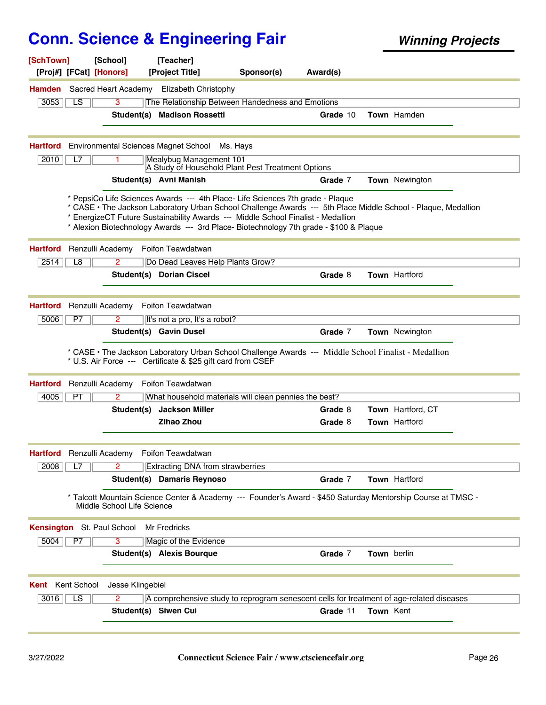| [SchTown]<br>[Proj#] [FCat] [Honors]        | [School]                   | [Teacher]<br>[Project Title]                                                                                                                                                                                                                                 | Sponsor(s) | Award(s) |             |                                                                                                               |
|---------------------------------------------|----------------------------|--------------------------------------------------------------------------------------------------------------------------------------------------------------------------------------------------------------------------------------------------------------|------------|----------|-------------|---------------------------------------------------------------------------------------------------------------|
| <b>Hamden</b>                               | Sacred Heart Academy       | <b>Elizabeth Christophy</b>                                                                                                                                                                                                                                  |            |          |             |                                                                                                               |
| 3053<br>LS                                  | 3                          | The Relationship Between Handedness and Emotions                                                                                                                                                                                                             |            |          |             |                                                                                                               |
|                                             |                            | Student(s) Madison Rossetti                                                                                                                                                                                                                                  |            | Grade 10 |             | Town Hamden                                                                                                   |
| <b>Hartford</b>                             |                            | Environmental Sciences Magnet School                                                                                                                                                                                                                         | Ms. Havs   |          |             |                                                                                                               |
| 2010<br>L7                                  |                            | Mealybug Management 101<br>A Study of Household Plant Pest Treatment Options                                                                                                                                                                                 |            |          |             |                                                                                                               |
|                                             |                            | Student(s) Avni Manish                                                                                                                                                                                                                                       |            | Grade 7  |             | <b>Town</b> Newington                                                                                         |
|                                             |                            | * PepsiCo Life Sciences Awards --- 4th Place- Life Sciences 7th grade - Plaque<br>* EnergizeCT Future Sustainability Awards --- Middle School Finalist - Medallion<br>* Alexion Biotechnology Awards --- 3rd Place- Biotechnology 7th grade - \$100 & Plaque |            |          |             | * CASE • The Jackson Laboratory Urban School Challenge Awards --- 5th Place Middle School - Plaque, Medallion |
| Renzulli Academy<br><b>Hartford</b>         |                            | Foifon Teawdatwan                                                                                                                                                                                                                                            |            |          |             |                                                                                                               |
| 2514<br>L8                                  | 2                          | Do Dead Leaves Help Plants Grow?                                                                                                                                                                                                                             |            |          |             |                                                                                                               |
|                                             |                            | Student(s) Dorian Ciscel                                                                                                                                                                                                                                     |            | Grade 8  |             | <b>Town Hartford</b>                                                                                          |
| <b>Hartford</b><br>Renzulli Academy         |                            | Foifon Teawdatwan                                                                                                                                                                                                                                            |            |          |             |                                                                                                               |
| P7<br>5006                                  | 2                          | It's not a pro, It's a robot?                                                                                                                                                                                                                                |            |          |             |                                                                                                               |
|                                             |                            | Student(s) Gavin Dusel                                                                                                                                                                                                                                       |            | Grade 7  |             | Town Newington                                                                                                |
|                                             |                            | * CASE · The Jackson Laboratory Urban School Challenge Awards --- Middle School Finalist - Medallion<br>* U.S. Air Force --- Certificate & \$25 gift card from CSEF                                                                                          |            |          |             |                                                                                                               |
| Renzulli Academy<br><b>Hartford</b>         |                            | Foifon Teawdatwan                                                                                                                                                                                                                                            |            |          |             |                                                                                                               |
| PT<br>4005                                  | 2                          | What household materials will clean pennies the best?                                                                                                                                                                                                        |            |          |             |                                                                                                               |
|                                             | Student(s)                 | <b>Jackson Miller</b>                                                                                                                                                                                                                                        |            | Grade 8  |             | <b>Town</b> Hartford, CT                                                                                      |
|                                             |                            | <b>Zihao Zhou</b>                                                                                                                                                                                                                                            |            | Grade 8  |             | <b>Town Hartford</b>                                                                                          |
| Hartford Renzulli Academy Foifon Teawdatwan |                            |                                                                                                                                                                                                                                                              |            |          |             |                                                                                                               |
| 2008<br>L7                                  | 2                          | <b>Extracting DNA from strawberries</b>                                                                                                                                                                                                                      |            |          |             |                                                                                                               |
|                                             |                            | Student(s) Damaris Reynoso                                                                                                                                                                                                                                   |            | Grade 7  |             | Town Hartford                                                                                                 |
|                                             | Middle School Life Science |                                                                                                                                                                                                                                                              |            |          |             | * Talcott Mountain Science Center & Academy --- Founder's Award - \$450 Saturday Mentorship Course at TMSC -  |
| Kensington St. Paul School                  |                            | Mr Fredricks                                                                                                                                                                                                                                                 |            |          |             |                                                                                                               |
| 5004<br>P7                                  | 3                          | Magic of the Evidence                                                                                                                                                                                                                                        |            |          |             |                                                                                                               |
|                                             |                            | Student(s) Alexis Bourque                                                                                                                                                                                                                                    |            | Grade 7  | Town berlin |                                                                                                               |
| <b>Kent</b> Kent School                     | Jesse Klingebiel           |                                                                                                                                                                                                                                                              |            |          |             |                                                                                                               |
| $\overline{LS}$<br>3016                     | 2                          | A comprehensive study to reprogram senescent cells for treatment of age-related diseases                                                                                                                                                                     |            |          |             |                                                                                                               |
|                                             | Student(s) Siwen Cui       |                                                                                                                                                                                                                                                              |            | Grade 11 | Town Kent   |                                                                                                               |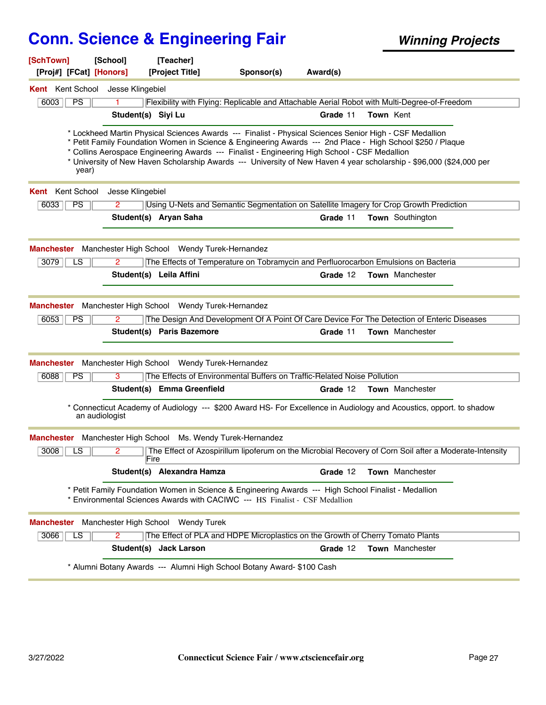| [SchTown]<br>[Proj#] [FCat] [Honors]                                   | [School]               | [Teacher]<br>[Project Title]                                                     | Sponsor(s)                                                                                                                                                                                                                                                                                                                                                                                                                                     | Award(s) |                         |  |
|------------------------------------------------------------------------|------------------------|----------------------------------------------------------------------------------|------------------------------------------------------------------------------------------------------------------------------------------------------------------------------------------------------------------------------------------------------------------------------------------------------------------------------------------------------------------------------------------------------------------------------------------------|----------|-------------------------|--|
| Kent Kent School Jesse Klingebiel                                      |                        |                                                                                  |                                                                                                                                                                                                                                                                                                                                                                                                                                                |          |                         |  |
| PS<br>6003                                                             |                        |                                                                                  | Flexibility with Flying: Replicable and Attachable Aerial Robot with Multi-Degree-of-Freedom                                                                                                                                                                                                                                                                                                                                                   |          |                         |  |
|                                                                        | Student(s) Siyi Lu     |                                                                                  |                                                                                                                                                                                                                                                                                                                                                                                                                                                | Grade 11 | Town Kent               |  |
| year)                                                                  |                        |                                                                                  | * Lockheed Martin Physical Sciences Awards --- Finalist - Physical Sciences Senior High - CSF Medallion<br>* Petit Family Foundation Women in Science & Engineering Awards --- 2nd Place - High School \$250 / Plaque<br>* Collins Aerospace Engineering Awards --- Finalist - Engineering High School - CSF Medallion<br>* University of New Haven Scholarship Awards --- University of New Haven 4 year scholarship - \$96,000 (\$24,000 per |          |                         |  |
| <b>Kent</b> Kent School                                                | Jesse Klingebiel       |                                                                                  |                                                                                                                                                                                                                                                                                                                                                                                                                                                |          |                         |  |
| PS<br>6033                                                             | 2                      |                                                                                  | Using U-Nets and Semantic Segmentation on Satellite Imagery for Crop Growth Prediction                                                                                                                                                                                                                                                                                                                                                         |          |                         |  |
|                                                                        |                        | Student(s) Aryan Saha                                                            |                                                                                                                                                                                                                                                                                                                                                                                                                                                | Grade 11 | <b>Town</b> Southington |  |
| Manchester Manchester High School Wendy Turek-Hernandez<br>3079<br>LS. | 2                      |                                                                                  | The Effects of Temperature on Tobramycin and Perfluorocarbon Emulsions on Bacteria                                                                                                                                                                                                                                                                                                                                                             |          |                         |  |
|                                                                        |                        | Student(s) Leila Affini                                                          |                                                                                                                                                                                                                                                                                                                                                                                                                                                | Grade 12 | <b>Town</b> Manchester  |  |
| <b>Manchester</b><br>6053<br><b>PS</b>                                 | 2                      | Manchester High School Wendy Turek-Hernandez<br><b>Student(s) Paris Bazemore</b> | The Design And Development Of A Point Of Care Device For The Detection of Enteric Diseases                                                                                                                                                                                                                                                                                                                                                     | Grade 11 | <b>Town</b> Manchester  |  |
| Manchester                                                             |                        | Manchester High School Wendy Turek-Hernandez                                     |                                                                                                                                                                                                                                                                                                                                                                                                                                                |          |                         |  |
| 6088<br>PS                                                             | 3                      |                                                                                  | The Effects of Environmental Buffers on Traffic-Related Noise Pollution                                                                                                                                                                                                                                                                                                                                                                        |          |                         |  |
|                                                                        |                        | Student(s) Emma Greenfield                                                       |                                                                                                                                                                                                                                                                                                                                                                                                                                                | Grade 12 | <b>Town</b> Manchester  |  |
|                                                                        | an audiologist         |                                                                                  | * Connecticut Academy of Audiology --- \$200 Award HS- For Excellence in Audiology and Acoustics, opport. to shadow                                                                                                                                                                                                                                                                                                                            |          |                         |  |
| Manchester Manchester High School Ms. Wendy Turek-Hernandez            |                        |                                                                                  |                                                                                                                                                                                                                                                                                                                                                                                                                                                |          |                         |  |
| $3008$ $\vert$ LS $\vert$                                              | $\overline{2}$<br>Fire |                                                                                  | The Effect of Azospirillum lipoferum on the Microbial Recovery of Corn Soil after a Moderate-Intensity                                                                                                                                                                                                                                                                                                                                         |          |                         |  |
|                                                                        |                        | Student(s) Alexandra Hamza                                                       |                                                                                                                                                                                                                                                                                                                                                                                                                                                | Grade 12 | Town Manchester         |  |
|                                                                        |                        |                                                                                  | * Petit Family Foundation Women in Science & Engineering Awards --- High School Finalist - Medallion<br>* Environmental Sciences Awards with CACIWC --- HS Finalist - CSF Medallion                                                                                                                                                                                                                                                            |          |                         |  |
| Manchester Manchester High School Wendy Turek                          |                        |                                                                                  |                                                                                                                                                                                                                                                                                                                                                                                                                                                |          |                         |  |
| 3066<br>LS                                                             | 2                      |                                                                                  | The Effect of PLA and HDPE Microplastics on the Growth of Cherry Tomato Plants                                                                                                                                                                                                                                                                                                                                                                 |          |                         |  |
|                                                                        |                        | Student(s) Jack Larson                                                           |                                                                                                                                                                                                                                                                                                                                                                                                                                                | Grade 12 | <b>Town</b> Manchester  |  |
|                                                                        |                        |                                                                                  | * Alumni Botany Awards --- Alumni High School Botany Award- \$100 Cash                                                                                                                                                                                                                                                                                                                                                                         |          |                         |  |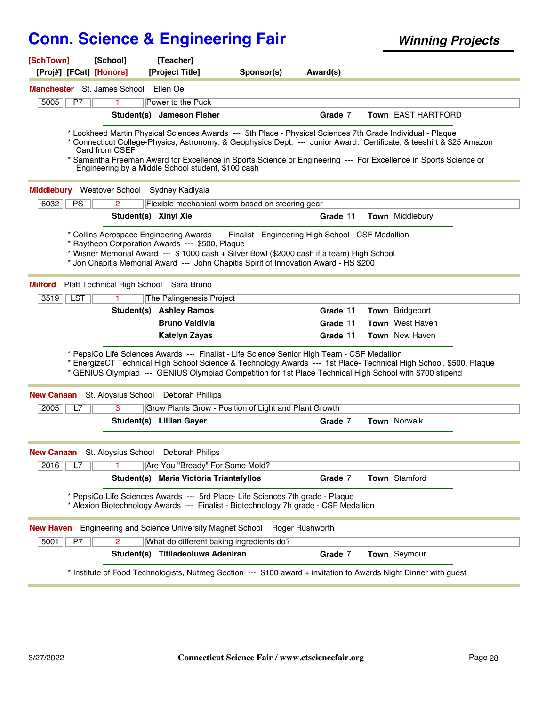| [SchTown]                             | [School]             | [Teacher]                                                                                                                                                                                                                              |            |                 |                                                                                                                                                                                                                                          |
|---------------------------------------|----------------------|----------------------------------------------------------------------------------------------------------------------------------------------------------------------------------------------------------------------------------------|------------|-----------------|------------------------------------------------------------------------------------------------------------------------------------------------------------------------------------------------------------------------------------------|
| [Proj#] [FCat] [Honors]               |                      | [Project Title]                                                                                                                                                                                                                        | Sponsor(s) | Award(s)        |                                                                                                                                                                                                                                          |
| Manchester St. James School Ellen Oei |                      |                                                                                                                                                                                                                                        |            |                 |                                                                                                                                                                                                                                          |
| P7<br>5005                            |                      | Power to the Puck                                                                                                                                                                                                                      |            |                 |                                                                                                                                                                                                                                          |
|                                       |                      | Student(s) Jameson Fisher                                                                                                                                                                                                              |            | Grade 7         | <b>Town EAST HARTFORD</b>                                                                                                                                                                                                                |
|                                       | Card from CSEF       | * Lockheed Martin Physical Sciences Awards --- 5th Place - Physical Sciences 7th Grade Individual - Plaque<br>Engineering by a Middle School student, \$100 cash                                                                       |            |                 | * Connecticut College-Physics, Astronomy, & Geophysics Dept. --- Junior Award: Certificate, & teeshirt & \$25 Amazon<br>* Samantha Freeman Award for Excellence in Sports Science or Engineering --- For Excellence in Sports Science or |
| <b>Middlebury</b> Westover School     |                      | Sydney Kadiyala                                                                                                                                                                                                                        |            |                 |                                                                                                                                                                                                                                          |
| 6032<br><b>PS</b>                     | 2                    | Flexible mechanical worm based on steering gear                                                                                                                                                                                        |            |                 |                                                                                                                                                                                                                                          |
|                                       | Student(s) Xinyi Xie |                                                                                                                                                                                                                                        |            | Grade 11        | <b>Town</b> Middlebury                                                                                                                                                                                                                   |
|                                       |                      | * Raytheon Corporation Awards --- \$500, Plaque<br>* Wisner Memorial Award --- \$ 1000 cash + Silver Bowl (\$2000 cash if a team) High School<br>* Jon Chapitis Memorial Award --- John Chapitis Spirit of Innovation Award - HS \$200 |            |                 |                                                                                                                                                                                                                                          |
| <b>Milford</b>                        |                      | Platt Technical High School Sara Bruno                                                                                                                                                                                                 |            |                 |                                                                                                                                                                                                                                          |
| $\sqrt{LST}$<br>3519                  |                      | The Palingenesis Project                                                                                                                                                                                                               |            |                 |                                                                                                                                                                                                                                          |
|                                       |                      | <b>Student(s) Ashley Ramos</b>                                                                                                                                                                                                         |            | Grade 11        | <b>Town</b> Bridgeport                                                                                                                                                                                                                   |
|                                       |                      | <b>Bruno Valdivia</b>                                                                                                                                                                                                                  |            | Grade 11        | Town West Haven                                                                                                                                                                                                                          |
|                                       |                      | Katelyn Zayas                                                                                                                                                                                                                          |            | Grade 11        | <b>Town</b> New Haven                                                                                                                                                                                                                    |
|                                       |                      | * PepsiCo Life Sciences Awards --- Finalist - Life Science Senior High Team - CSF Medallion<br>* GENIUS Olympiad --- GENIUS Olympiad Competition for 1st Place Technical High School with \$700 stipend                                |            |                 | * EnergizeCT Technical High School Science & Technology Awards --- 1st Place- Technical High School, \$500, Plaque                                                                                                                       |
| <b>New Canaan</b>                     | St. Aloysius School  | Deborah Phillips                                                                                                                                                                                                                       |            |                 |                                                                                                                                                                                                                                          |
| 2005<br>L7                            | 3                    | Grow Plants Grow - Position of Light and Plant Growth                                                                                                                                                                                  |            |                 |                                                                                                                                                                                                                                          |
|                                       |                      | Student(s) Lillian Gayer                                                                                                                                                                                                               |            | Grade 7         | <b>Town Norwalk</b>                                                                                                                                                                                                                      |
| <b>New Canaan</b>                     | St. Aloysius School  | Deborah Philips                                                                                                                                                                                                                        |            |                 |                                                                                                                                                                                                                                          |
| 2016<br>L7                            |                      | Are You "Bready" For Some Mold?                                                                                                                                                                                                        |            |                 |                                                                                                                                                                                                                                          |
|                                       | Student(s)           | <b>Maria Victoria Triantafyllos</b>                                                                                                                                                                                                    |            | Grade 7         | Town Stamford                                                                                                                                                                                                                            |
|                                       |                      | * PepsiCo Life Sciences Awards --- 5rd Place- Life Sciences 7th grade - Plaque<br>* Alexion Biotechnology Awards --- Finalist - Biotechnology 7h grade - CSF Medallion                                                                 |            |                 |                                                                                                                                                                                                                                          |
| <b>New Haven</b>                      |                      | Engineering and Science University Magnet School                                                                                                                                                                                       |            | Roger Rushworth |                                                                                                                                                                                                                                          |
| 5001<br>P7                            | $\overline{2}$       | What do different baking ingredients do?                                                                                                                                                                                               |            |                 |                                                                                                                                                                                                                                          |
|                                       | Student(s)           | Titiladeoluwa Adeniran                                                                                                                                                                                                                 |            | Grade 7         | Town Seymour                                                                                                                                                                                                                             |
|                                       |                      |                                                                                                                                                                                                                                        |            |                 | * Institute of Food Technologists, Nutmeg Section --- \$100 award + invitation to Awards Night Dinner with guest                                                                                                                         |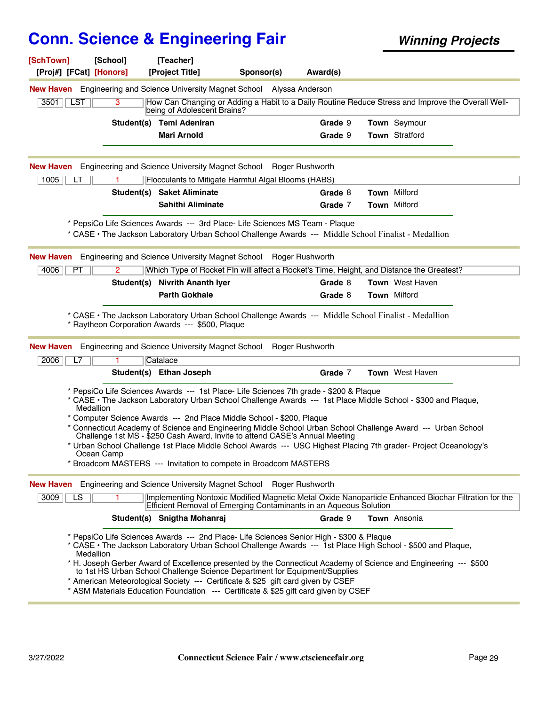| [SchTown]<br>[Proj#] [FCat] [Honors] | [School]                | [Teacher]<br>[Project Title]   | Sponsor(s)                                                                                                                                                                                                                                                                                                                                                                                                                                                                                                                                                                                                                                                            | Award(s) |                        |  |
|--------------------------------------|-------------------------|--------------------------------|-----------------------------------------------------------------------------------------------------------------------------------------------------------------------------------------------------------------------------------------------------------------------------------------------------------------------------------------------------------------------------------------------------------------------------------------------------------------------------------------------------------------------------------------------------------------------------------------------------------------------------------------------------------------------|----------|------------------------|--|
|                                      |                         |                                | <b>New Haven</b> Engineering and Science University Magnet School Alyssa Anderson                                                                                                                                                                                                                                                                                                                                                                                                                                                                                                                                                                                     |          |                        |  |
| LST<br>3501                          | 3                       | being of Adolescent Brains?    | How Can Changing or Adding a Habit to a Daily Routine Reduce Stress and Improve the Overall Well-                                                                                                                                                                                                                                                                                                                                                                                                                                                                                                                                                                     |          |                        |  |
|                                      |                         | Student(s) Temi Adeniran       |                                                                                                                                                                                                                                                                                                                                                                                                                                                                                                                                                                                                                                                                       | Grade 9  | Town Seymour           |  |
|                                      |                         | <b>Mari Arnold</b>             |                                                                                                                                                                                                                                                                                                                                                                                                                                                                                                                                                                                                                                                                       | Grade 9  | <b>Town Stratford</b>  |  |
| <b>New Haven</b>                     |                         |                                | Engineering and Science University Magnet School Roger Rushworth                                                                                                                                                                                                                                                                                                                                                                                                                                                                                                                                                                                                      |          |                        |  |
| 1005<br>LT                           |                         |                                | Flocculants to Mitigate Harmful Algal Blooms (HABS)                                                                                                                                                                                                                                                                                                                                                                                                                                                                                                                                                                                                                   |          |                        |  |
|                                      |                         | Student(s) Saket Aliminate     |                                                                                                                                                                                                                                                                                                                                                                                                                                                                                                                                                                                                                                                                       | Grade 8  | <b>Town Milford</b>    |  |
|                                      |                         | <b>Sahithi Aliminate</b>       |                                                                                                                                                                                                                                                                                                                                                                                                                                                                                                                                                                                                                                                                       | Grade 7  | <b>Town Milford</b>    |  |
|                                      |                         |                                | * PepsiCo Life Sciences Awards --- 3rd Place- Life Sciences MS Team - Plaque<br>* CASE • The Jackson Laboratory Urban School Challenge Awards --- Middle School Finalist - Medallion                                                                                                                                                                                                                                                                                                                                                                                                                                                                                  |          |                        |  |
| <b>New Haven</b>                     |                         |                                | Engineering and Science University Magnet School Roger Rushworth                                                                                                                                                                                                                                                                                                                                                                                                                                                                                                                                                                                                      |          |                        |  |
| 4006<br>PT                           | $\overline{2}$          |                                | Which Type of Rocket FIn will affect a Rocket's Time, Height, and Distance the Greatest?                                                                                                                                                                                                                                                                                                                                                                                                                                                                                                                                                                              |          |                        |  |
|                                      |                         | Student(s) Nivrith Ananth Iyer |                                                                                                                                                                                                                                                                                                                                                                                                                                                                                                                                                                                                                                                                       | Grade 8  | <b>Town</b> West Haven |  |
|                                      |                         | <b>Parth Gokhale</b>           |                                                                                                                                                                                                                                                                                                                                                                                                                                                                                                                                                                                                                                                                       | Grade 8  | Town Milford           |  |
| <b>New Haven</b><br>2006<br>L7       |                         | Catalace                       | Engineering and Science University Magnet School Roger Rushworth                                                                                                                                                                                                                                                                                                                                                                                                                                                                                                                                                                                                      |          |                        |  |
|                                      |                         | Student(s) Ethan Joseph        |                                                                                                                                                                                                                                                                                                                                                                                                                                                                                                                                                                                                                                                                       | Grade 7  | <b>Town</b> West Haven |  |
|                                      | Medallion<br>Ocean Camp |                                | * PepsiCo Life Sciences Awards --- 1st Place- Life Sciences 7th grade - \$200 & Plaque<br>* CASE • The Jackson Laboratory Urban School Challenge Awards --- 1st Place Middle School - \$300 and Plaque,<br>* Computer Science Awards --- 2nd Place Middle School - \$200, Plaque<br>* Connecticut Academy of Science and Engineering Middle School Urban School Challenge Award --- Urban School<br>Challenge 1st MS - \$250 Cash Award, Invite to attend CASE's Annual Meeting<br>* Urban School Challenge 1st Place Middle School Awards --- USC Highest Placing 7th grader- Project Oceanology's<br>Broadcom MASTERS --- Invitation to compete in Broadcom MASTERS |          |                        |  |
| <b>New Haven</b>                     |                         |                                | Engineering and Science University Magnet School Roger Rushworth                                                                                                                                                                                                                                                                                                                                                                                                                                                                                                                                                                                                      |          |                        |  |
| 3009<br>LS                           |                         |                                | Implementing Nontoxic Modified Magnetic Metal Oxide Nanoparticle Enhanced Biochar Filtration for the<br>Efficient Removal of Emerging Contaminants in an Aqueous Solution                                                                                                                                                                                                                                                                                                                                                                                                                                                                                             |          |                        |  |
|                                      |                         | Student(s) Snigtha Mohanraj    |                                                                                                                                                                                                                                                                                                                                                                                                                                                                                                                                                                                                                                                                       | Grade 9  | Town Ansonia           |  |
|                                      | Medallion               |                                | * PepsiCo Life Sciences Awards --- 2nd Place- Life Sciences Senior High - \$300 & Plaque<br>* CASE • The Jackson Laboratory Urban School Challenge Awards --- 1st Place High School - \$500 and Plaque,<br>* H. Joseph Gerber Award of Excellence presented by the Connecticut Academy of Science and Engineering --- \$500<br>to 1st HS Urban School Challenge Science Department for Equipment/Supplies<br>* American Meteorological Society --- Certificate & \$25 gift card given by CSEF<br>* ASM Materials Education Foundation --- Certificate & \$25 gift card given by CSEF                                                                                  |          |                        |  |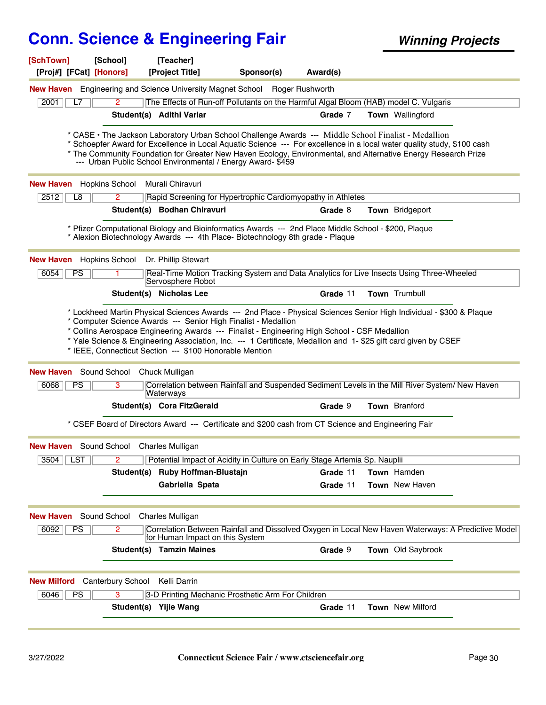| [SchTown]<br>[Proj#] [FCat] [Honors] | [School]                                       | [Teacher]<br>[Project Title]                                                                                                                                                                                                                                                                                                                                                                                     | Sponsor(s) | Award(s) |                         |  |
|--------------------------------------|------------------------------------------------|------------------------------------------------------------------------------------------------------------------------------------------------------------------------------------------------------------------------------------------------------------------------------------------------------------------------------------------------------------------------------------------------------------------|------------|----------|-------------------------|--|
|                                      |                                                | <b>New Haven</b> Engineering and Science University Magnet School Roger Rushworth                                                                                                                                                                                                                                                                                                                                |            |          |                         |  |
| 2001<br>L7                           | 2                                              | The Effects of Run-off Pollutants on the Harmful Algal Bloom (HAB) model C. Vulgaris                                                                                                                                                                                                                                                                                                                             |            |          |                         |  |
|                                      |                                                | Student(s) Adithi Variar                                                                                                                                                                                                                                                                                                                                                                                         |            | Grade 7  | Town Wallingford        |  |
|                                      |                                                | * CASE • The Jackson Laboratory Urban School Challenge Awards --- Middle School Finalist - Medallion<br>* Schoepfer Award for Excellence in Local Aquatic Science --- For excellence in a local water quality study, \$100 cash<br>* The Community Foundation for Greater New Haven Ecology, Environmental, and Alternative Energy Research Prize<br>--- Urban Public School Environmental / Energy Award- \$459 |            |          |                         |  |
| <b>New Haven</b>                     | <b>Hopkins School</b>                          | Murali Chiravuri                                                                                                                                                                                                                                                                                                                                                                                                 |            |          |                         |  |
| 2512<br>L8                           | $\overline{2}$                                 | Rapid Screening for Hypertrophic Cardiomyopathy in Athletes                                                                                                                                                                                                                                                                                                                                                      |            |          |                         |  |
|                                      |                                                | Student(s) Bodhan Chiravuri                                                                                                                                                                                                                                                                                                                                                                                      |            | Grade 8  | Town Bridgeport         |  |
|                                      |                                                | * Pfizer Computational Biology and Bioinformatics Awards --- 2nd Place Middle School - \$200, Plaque<br>* Alexion Biotechnology Awards --- 4th Place- Biotechnology 8th grade - Plaque                                                                                                                                                                                                                           |            |          |                         |  |
| <b>New Haven</b> Hopkins School      |                                                | Dr. Phillip Stewart                                                                                                                                                                                                                                                                                                                                                                                              |            |          |                         |  |
| 6054<br><b>PS</b>                    |                                                | Real-Time Motion Tracking System and Data Analytics for Live Insects Using Three-Wheeled<br>Servosphere Robot                                                                                                                                                                                                                                                                                                    |            |          |                         |  |
|                                      |                                                | Student(s) Nicholas Lee                                                                                                                                                                                                                                                                                                                                                                                          |            | Grade 11 | Town Trumbull           |  |
| <b>New Haven</b><br>6068<br>PS       | Sound School Chuck Mulligan<br>3               | * IEEE, Connecticut Section --- \$100 Honorable Mention<br>Correlation between Rainfall and Suspended Sediment Levels in the Mill River System/ New Haven<br>Waterways                                                                                                                                                                                                                                           |            |          |                         |  |
|                                      |                                                | Student(s) Cora FitzGerald                                                                                                                                                                                                                                                                                                                                                                                       |            | Grade 9  | <b>Town</b> Branford    |  |
|                                      |                                                | * CSEF Board of Directors Award --- Certificate and \$200 cash from CT Science and Engineering Fair                                                                                                                                                                                                                                                                                                              |            |          |                         |  |
|                                      | <b>New Haven</b> Sound School Charles Mulligan |                                                                                                                                                                                                                                                                                                                                                                                                                  |            |          |                         |  |
| <b>LST</b><br>3504                   | 2                                              | Potential Impact of Acidity in Culture on Early Stage Artemia Sp. Nauplii                                                                                                                                                                                                                                                                                                                                        |            |          |                         |  |
|                                      | Student(s)                                     | Ruby Hoffman-Blustajn                                                                                                                                                                                                                                                                                                                                                                                            |            | Grade 11 | Town Hamden             |  |
|                                      |                                                | Gabriella Spata                                                                                                                                                                                                                                                                                                                                                                                                  |            | Grade 11 | <b>Town</b> New Haven   |  |
| <b>New Haven</b>                     | Sound School                                   | <b>Charles Mulligan</b>                                                                                                                                                                                                                                                                                                                                                                                          |            |          |                         |  |
| 6092<br>PS                           | 2                                              | Correlation Between Rainfall and Dissolved Oxygen in Local New Haven Waterways: A Predictive Model<br>for Human Impact on this System                                                                                                                                                                                                                                                                            |            |          |                         |  |
|                                      |                                                | <b>Student(s) Tamzin Maines</b>                                                                                                                                                                                                                                                                                                                                                                                  |            | Grade 9  | Town Old Saybrook       |  |
| <b>New Milford</b>                   | <b>Canterbury School</b>                       | Kelli Darrin                                                                                                                                                                                                                                                                                                                                                                                                     |            |          |                         |  |
| 6046<br>PS                           | 3                                              | 3-D Printing Mechanic Prosthetic Arm For Children                                                                                                                                                                                                                                                                                                                                                                |            |          |                         |  |
|                                      |                                                | Student(s) Yijie Wang                                                                                                                                                                                                                                                                                                                                                                                            |            | Grade 11 | <b>Town</b> New Milford |  |
|                                      |                                                |                                                                                                                                                                                                                                                                                                                                                                                                                  |            |          |                         |  |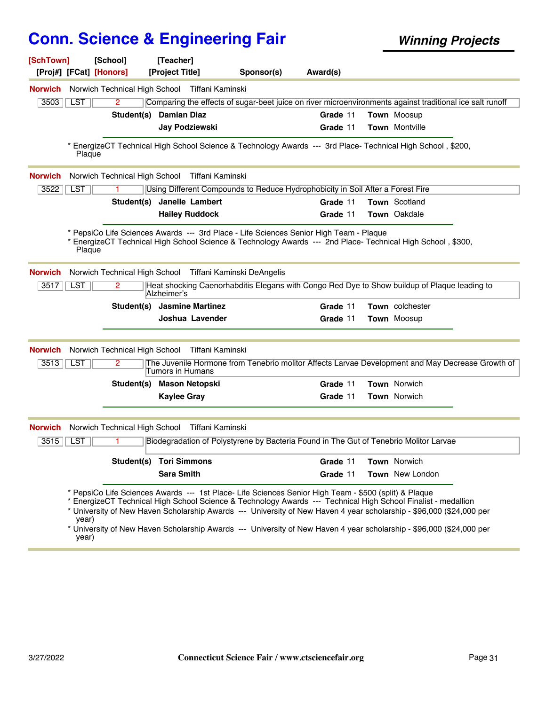| [SchTown]      |                | [School]<br>[Proj#] [FCat] [Honors] | [Teacher]<br>[Project Title]                             | Sponsor(s)                                                                                                                                                                                                                                                                                                                                                                                                                                                             | Award(s) |                     |  |
|----------------|----------------|-------------------------------------|----------------------------------------------------------|------------------------------------------------------------------------------------------------------------------------------------------------------------------------------------------------------------------------------------------------------------------------------------------------------------------------------------------------------------------------------------------------------------------------------------------------------------------------|----------|---------------------|--|
|                |                |                                     |                                                          |                                                                                                                                                                                                                                                                                                                                                                                                                                                                        |          |                     |  |
| <b>Norwich</b> |                | Norwich Technical High School       | Tiffani Kaminski                                         |                                                                                                                                                                                                                                                                                                                                                                                                                                                                        |          |                     |  |
| 3503           | LST            | $\overline{2}$                      |                                                          | Comparing the effects of sugar-beet juice on river microenvironments against traditional ice salt runoff                                                                                                                                                                                                                                                                                                                                                               |          |                     |  |
|                |                | Student(s)                          | <b>Damian Diaz</b>                                       |                                                                                                                                                                                                                                                                                                                                                                                                                                                                        | Grade 11 | <b>Town Moosup</b>  |  |
|                |                |                                     | Jay Podziewski                                           |                                                                                                                                                                                                                                                                                                                                                                                                                                                                        | Grade 11 | Town Montville      |  |
|                | Plaque         |                                     |                                                          | EnergizeCT Technical High School Science & Technology Awards --- 3rd Place- Technical High School, \$200,                                                                                                                                                                                                                                                                                                                                                              |          |                     |  |
| <b>Norwich</b> |                | Norwich Technical High School       | Tiffani Kaminski                                         |                                                                                                                                                                                                                                                                                                                                                                                                                                                                        |          |                     |  |
| 3522           | <b>LST</b>     |                                     |                                                          | Using Different Compounds to Reduce Hydrophobicity in Soil After a Forest Fire                                                                                                                                                                                                                                                                                                                                                                                         |          |                     |  |
|                |                | Student(s)                          | Janelle Lambert                                          |                                                                                                                                                                                                                                                                                                                                                                                                                                                                        | Grade 11 | Town Scotland       |  |
|                |                |                                     | <b>Hailey Ruddock</b>                                    |                                                                                                                                                                                                                                                                                                                                                                                                                                                                        | Grade 11 | Town Oakdale        |  |
| <b>Norwich</b> | Plaque         |                                     | Norwich Technical High School Tiffani Kaminski DeAngelis | EnergizeCT Technical High School Science & Technology Awards --- 2nd Place- Technical High School, \$300,                                                                                                                                                                                                                                                                                                                                                              |          |                     |  |
|                |                |                                     |                                                          |                                                                                                                                                                                                                                                                                                                                                                                                                                                                        |          |                     |  |
| 3517           | <b>LST</b>     |                                     | Alzheimer's                                              | Heat shocking Caenorhabditis Elegans with Congo Red Dye to Show buildup of Plaque leading to                                                                                                                                                                                                                                                                                                                                                                           |          |                     |  |
|                |                | Student(s)                          | <b>Jasmine Martinez</b>                                  |                                                                                                                                                                                                                                                                                                                                                                                                                                                                        | Grade 11 | Town colchester     |  |
|                |                |                                     | Joshua Lavender                                          |                                                                                                                                                                                                                                                                                                                                                                                                                                                                        | Grade 11 | Town Moosup         |  |
| <b>Norwich</b> |                | Norwich Technical High School       | Tiffani Kaminski                                         |                                                                                                                                                                                                                                                                                                                                                                                                                                                                        |          |                     |  |
| 3513           | <b>LST</b>     | 2                                   | Tumors in Humans                                         | The Juvenile Hormone from Tenebrio molitor Affects Larvae Development and May Decrease Growth of                                                                                                                                                                                                                                                                                                                                                                       |          |                     |  |
|                |                | Student(s)                          | <b>Mason Netopski</b>                                    |                                                                                                                                                                                                                                                                                                                                                                                                                                                                        | Grade 11 | <b>Town Norwich</b> |  |
|                |                |                                     | <b>Kaylee Gray</b>                                       |                                                                                                                                                                                                                                                                                                                                                                                                                                                                        | Grade 11 | Town Norwich        |  |
| <b>Norwich</b> |                | Norwich Technical High School       | Tiffani Kaminski                                         |                                                                                                                                                                                                                                                                                                                                                                                                                                                                        |          |                     |  |
| 3515           | <b>LST</b>     |                                     |                                                          | Biodegradation of Polystyrene by Bacteria Found in The Gut of Tenebrio Molitor Larvae                                                                                                                                                                                                                                                                                                                                                                                  |          |                     |  |
|                |                |                                     | <b>Student(s) Tori Simmons</b>                           |                                                                                                                                                                                                                                                                                                                                                                                                                                                                        | Grade 11 | Town Norwich        |  |
|                |                |                                     |                                                          |                                                                                                                                                                                                                                                                                                                                                                                                                                                                        |          |                     |  |
|                | year)<br>year) |                                     | <b>Sara Smith</b>                                        | * PepsiCo Life Sciences Awards --- 1st Place- Life Sciences Senior High Team - \$500 (split) & Plaque<br>* EnergizeCT Technical High School Science & Technology Awards --- Technical High School Finalist - medallion<br>* University of New Haven Scholarship Awards --- University of New Haven 4 year scholarship - \$96,000 (\$24,000 per<br>* University of New Haven Scholarship Awards --- University of New Haven 4 year scholarship - \$96,000 (\$24,000 per | Grade 11 | Town New London     |  |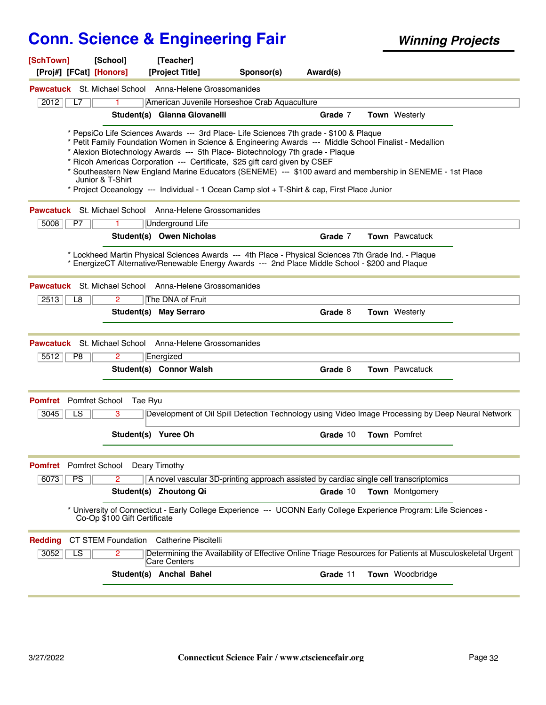| [SchTown]<br>[Proj#] [FCat] [Honors] | [School]                     | [Teacher]<br>[Project Title]                                                                                                                                                                                                                                                                                                                                                                                                                                                                                                                                                 | Sponsor(s) | Award(s) |                       |  |
|--------------------------------------|------------------------------|------------------------------------------------------------------------------------------------------------------------------------------------------------------------------------------------------------------------------------------------------------------------------------------------------------------------------------------------------------------------------------------------------------------------------------------------------------------------------------------------------------------------------------------------------------------------------|------------|----------|-----------------------|--|
|                                      |                              | <b>Pawcatuck</b> St. Michael School Anna-Helene Grossomanides                                                                                                                                                                                                                                                                                                                                                                                                                                                                                                                |            |          |                       |  |
| 2012<br>L7                           |                              | American Juvenile Horseshoe Crab Aquaculture                                                                                                                                                                                                                                                                                                                                                                                                                                                                                                                                 |            |          |                       |  |
|                                      |                              | Student(s) Gianna Giovanelli                                                                                                                                                                                                                                                                                                                                                                                                                                                                                                                                                 |            | Grade 7  | Town Westerly         |  |
|                                      | Junior & T-Shirt             | * PepsiCo Life Sciences Awards --- 3rd Place- Life Sciences 7th grade - \$100 & Plaque<br>* Petit Family Foundation Women in Science & Engineering Awards --- Middle School Finalist - Medallion<br>* Alexion Biotechnology Awards --- 5th Place- Biotechnology 7th grade - Plaque<br>* Ricoh Americas Corporation --- Certificate, \$25 gift card given by CSEF<br>* Southeastern New England Marine Educators (SENEME) --- \$100 award and membership in SENEME - 1st Place<br>* Project Oceanology --- Individual - 1 Ocean Camp slot + T-Shirt & cap, First Place Junior |            |          |                       |  |
|                                      |                              | <b>Pawcatuck</b> St. Michael School Anna-Helene Grossomanides                                                                                                                                                                                                                                                                                                                                                                                                                                                                                                                |            |          |                       |  |
| 5008<br>P7                           | 1                            | <b>Underground Life</b>                                                                                                                                                                                                                                                                                                                                                                                                                                                                                                                                                      |            |          |                       |  |
|                                      |                              | Student(s) Owen Nicholas                                                                                                                                                                                                                                                                                                                                                                                                                                                                                                                                                     |            | Grade 7  | <b>Town</b> Pawcatuck |  |
|                                      |                              | * Lockheed Martin Physical Sciences Awards --- 4th Place - Physical Sciences 7th Grade Ind. - Plaque<br>* EnergizeCT Alternative/Renewable Energy Awards --- 2nd Place Middle School - \$200 and Plaque                                                                                                                                                                                                                                                                                                                                                                      |            |          |                       |  |
|                                      |                              | <b>Pawcatuck</b> St. Michael School Anna-Helene Grossomanides                                                                                                                                                                                                                                                                                                                                                                                                                                                                                                                |            |          |                       |  |
| 2513<br>L8                           | 2                            | The DNA of Fruit                                                                                                                                                                                                                                                                                                                                                                                                                                                                                                                                                             |            |          |                       |  |
|                                      |                              | Student(s) May Serraro                                                                                                                                                                                                                                                                                                                                                                                                                                                                                                                                                       |            | Grade 8  | Town Westerly         |  |
|                                      |                              | <b>Pawcatuck</b> St. Michael School Anna-Helene Grossomanides                                                                                                                                                                                                                                                                                                                                                                                                                                                                                                                |            |          |                       |  |
| 5512<br>P8                           | 2                            | Energized                                                                                                                                                                                                                                                                                                                                                                                                                                                                                                                                                                    |            |          |                       |  |
|                                      |                              | Student(s) Connor Walsh                                                                                                                                                                                                                                                                                                                                                                                                                                                                                                                                                      |            | Grade 8  | <b>Town</b> Pawcatuck |  |
| <b>Pomfret</b> Pomfret School        | Tae Ryu                      |                                                                                                                                                                                                                                                                                                                                                                                                                                                                                                                                                                              |            |          |                       |  |
| 3045<br>LS                           | 3                            | Development of Oil Spill Detection Technology using Video Image Processing by Deep Neural Network                                                                                                                                                                                                                                                                                                                                                                                                                                                                            |            |          |                       |  |
|                                      |                              | Student(s) Yuree Oh                                                                                                                                                                                                                                                                                                                                                                                                                                                                                                                                                          |            | Grade 10 | Town Pomfret          |  |
| <b>Pomfret</b> Pomfret School        |                              | Deary Timothy                                                                                                                                                                                                                                                                                                                                                                                                                                                                                                                                                                |            |          |                       |  |
| PS<br>6073                           | 2                            | A novel vascular 3D-printing approach assisted by cardiac single cell transcriptomics                                                                                                                                                                                                                                                                                                                                                                                                                                                                                        |            |          |                       |  |
|                                      |                              | Student(s) Zhoutong Qi                                                                                                                                                                                                                                                                                                                                                                                                                                                                                                                                                       |            | Grade 10 | Town Montgomery       |  |
|                                      | Co-Op \$100 Gift Certificate | * University of Connecticut - Early College Experience --- UCONN Early College Experience Program: Life Sciences -                                                                                                                                                                                                                                                                                                                                                                                                                                                           |            |          |                       |  |
| <b>Redding</b>                       | <b>CT STEM Foundation</b>    | Catherine Piscitelli                                                                                                                                                                                                                                                                                                                                                                                                                                                                                                                                                         |            |          |                       |  |
| $\overline{LS}$<br>3052              | 2                            | Determining the Availability of Effective Online Triage Resources for Patients at Musculoskeletal Urgent<br>Care Centers                                                                                                                                                                                                                                                                                                                                                                                                                                                     |            |          |                       |  |
|                                      |                              | Student(s) Anchal Bahel                                                                                                                                                                                                                                                                                                                                                                                                                                                                                                                                                      |            | Grade 11 | Town Woodbridge       |  |
|                                      |                              |                                                                                                                                                                                                                                                                                                                                                                                                                                                                                                                                                                              |            |          |                       |  |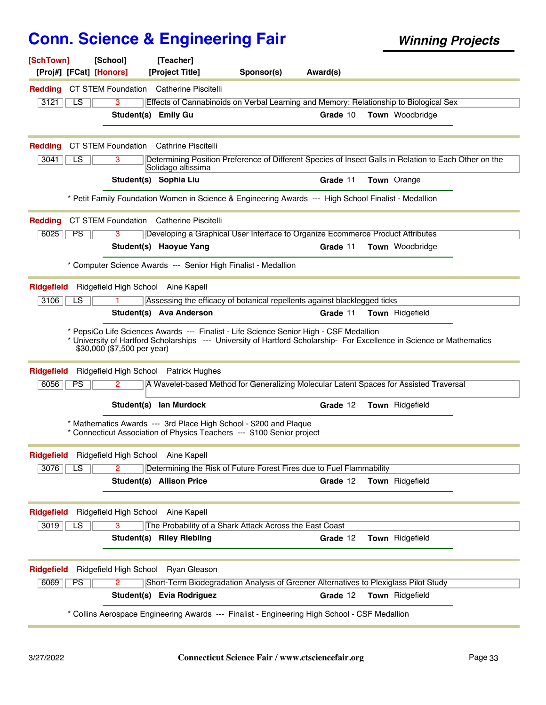| [SchTown]<br>[Proj#] [FCat] [Honors]          | [School]                    | [Teacher]<br>[Project Title]                                   | Sponsor(s)                                                                                                                                                                                                       | Award(s) |                        |  |
|-----------------------------------------------|-----------------------------|----------------------------------------------------------------|------------------------------------------------------------------------------------------------------------------------------------------------------------------------------------------------------------------|----------|------------------------|--|
| <b>Redding</b>                                |                             | <b>CT STEM Foundation</b> Catherine Piscitelli                 |                                                                                                                                                                                                                  |          |                        |  |
| 3121<br>LS                                    | 3                           |                                                                | Effects of Cannabinoids on Verbal Learning and Memory: Relationship to Biological Sex                                                                                                                            |          |                        |  |
|                                               | Student(s) Emily Gu         |                                                                |                                                                                                                                                                                                                  | Grade 10 | <b>Town</b> Woodbridge |  |
|                                               |                             |                                                                |                                                                                                                                                                                                                  |          |                        |  |
| <b>Redding</b>                                |                             | <b>CT STEM Foundation</b> Cathrine Piscitelli                  |                                                                                                                                                                                                                  |          |                        |  |
| 3041<br>LS                                    | 3                           | Solidago altissima                                             | Determining Position Preference of Different Species of Insect Galls in Relation to Each Other on the                                                                                                            |          |                        |  |
|                                               |                             | Student(s) Sophia Liu                                          |                                                                                                                                                                                                                  | Grade 11 | <b>Town</b> Orange     |  |
|                                               |                             |                                                                | * Petit Family Foundation Women in Science & Engineering Awards --- High School Finalist - Medallion                                                                                                             |          |                        |  |
| <b>Redding</b>                                |                             | <b>CT STEM Foundation</b> Catherine Piscitelli                 |                                                                                                                                                                                                                  |          |                        |  |
| 6025<br><b>PS</b>                             | 3                           |                                                                | Developing a Graphical User Interface to Organize Ecommerce Product Attributes                                                                                                                                   |          |                        |  |
|                                               |                             | Student(s) Haoyue Yang                                         |                                                                                                                                                                                                                  | Grade 11 | <b>Town</b> Woodbridge |  |
|                                               |                             | * Computer Science Awards --- Senior High Finalist - Medallion |                                                                                                                                                                                                                  |          |                        |  |
| <b>Ridgefield</b>                             |                             | Ridgefield High School Aine Kapell                             |                                                                                                                                                                                                                  |          |                        |  |
| 3106<br>LS                                    |                             |                                                                | Assessing the efficacy of botanical repellents against blacklegged ticks                                                                                                                                         |          |                        |  |
|                                               |                             | Student(s) Ava Anderson                                        |                                                                                                                                                                                                                  | Grade 11 | Town Ridgefield        |  |
|                                               | \$30,000 (\$7,500 per year) |                                                                | * PepsiCo Life Sciences Awards --- Finalist - Life Science Senior High - CSF Medallion<br>* University of Hartford Scholarships --- University of Hartford Scholarship- For Excellence in Science or Mathematics |          |                        |  |
| <b>Ridgefield</b>                             |                             | Ridgefield High School Patrick Hughes                          |                                                                                                                                                                                                                  |          |                        |  |
| 6056<br><b>PS</b>                             | 2.                          |                                                                | A Wavelet-based Method for Generalizing Molecular Latent Spaces for Assisted Traversal                                                                                                                           |          |                        |  |
|                                               |                             | Student(s) lan Murdock                                         |                                                                                                                                                                                                                  | Grade 12 | Town Ridgefield        |  |
|                                               |                             |                                                                | * Mathematics Awards --- 3rd Place High School - \$200 and Plaque<br>* Connecticut Association of Physics Teachers --- \$100 Senior project                                                                      |          |                        |  |
| Ridgefield Ridgefield High School Aine Kapell |                             |                                                                |                                                                                                                                                                                                                  |          |                        |  |
| 3076<br>LS.                                   | 2                           |                                                                | Determining the Risk of Future Forest Fires due to Fuel Flammability                                                                                                                                             |          |                        |  |
|                                               |                             | <b>Student(s) Allison Price</b>                                |                                                                                                                                                                                                                  | Grade 12 | Town Ridgefield        |  |
| <b>Ridgefield</b>                             |                             | Ridgefield High School Aine Kapell                             |                                                                                                                                                                                                                  |          |                        |  |
| 3019<br>LS                                    | 3                           |                                                                | The Probability of a Shark Attack Across the East Coast                                                                                                                                                          |          |                        |  |
|                                               |                             | <b>Student(s) Riley Riebling</b>                               |                                                                                                                                                                                                                  | Grade 12 | Town Ridgefield        |  |
| <b>Ridgefield</b>                             | Ridgefield High School      | Ryan Gleason                                                   |                                                                                                                                                                                                                  |          |                        |  |
| 6069<br><b>PS</b>                             | 2                           |                                                                | Short-Term Biodegradation Analysis of Greener Alternatives to Plexiglass Pilot Study                                                                                                                             |          |                        |  |
|                                               |                             | Student(s) Evia Rodriguez                                      |                                                                                                                                                                                                                  | Grade 12 | Town Ridgefield        |  |
|                                               |                             |                                                                | * Collins Aerospace Engineering Awards --- Finalist - Engineering High School - CSF Medallion                                                                                                                    |          |                        |  |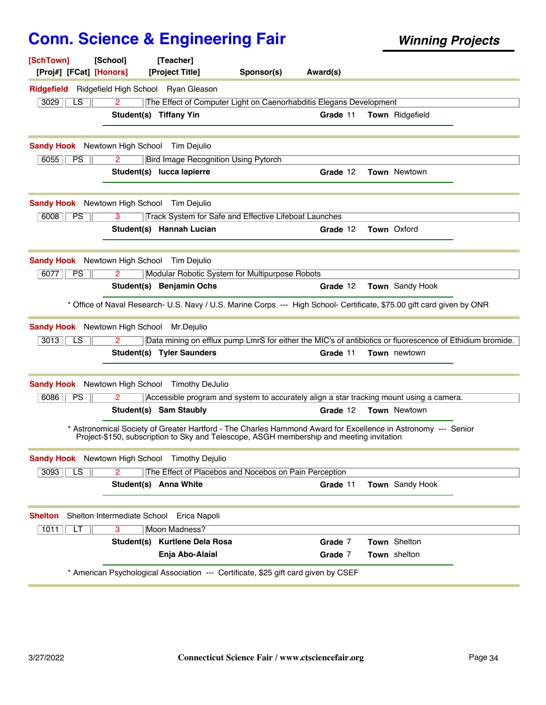| [SchTown]<br>[Proj#] [FCat] [Honors]             | [School]                    | [Teacher]<br>[Project Title]                          | Sponsor(s)                                                                                                                                                                                                | Award(s) |                     |  |
|--------------------------------------------------|-----------------------------|-------------------------------------------------------|-----------------------------------------------------------------------------------------------------------------------------------------------------------------------------------------------------------|----------|---------------------|--|
| <b>Ridgefield</b>                                |                             | Ridgefield High School Ryan Gleason                   |                                                                                                                                                                                                           |          |                     |  |
| 3029<br>LS                                       | 2                           |                                                       | The Effect of Computer Light on Caenorhabditis Elegans Development                                                                                                                                        |          |                     |  |
|                                                  |                             | Student(s) Tiffany Yin                                |                                                                                                                                                                                                           | Grade 11 | Town Ridgefield     |  |
|                                                  |                             | <b>Sandy Hook</b> Newtown High School Tim Dejulio     |                                                                                                                                                                                                           |          |                     |  |
| 6055<br><b>PS</b>                                | $\overline{2}$              | <b>Bird Image Recognition Using Pytorch</b>           |                                                                                                                                                                                                           |          |                     |  |
|                                                  |                             | Student(s) lucca lapierre                             |                                                                                                                                                                                                           | Grade 12 | <b>Town Newtown</b> |  |
|                                                  |                             | <b>Sandy Hook</b> Newtown High School Tim Dejulio     |                                                                                                                                                                                                           |          |                     |  |
| 6008<br>PS                                       | 3                           |                                                       | Track System for Safe and Effective Lifeboat Launches                                                                                                                                                     |          |                     |  |
|                                                  |                             | Student(s) Hannah Lucian                              |                                                                                                                                                                                                           | Grade 12 | <b>Town Oxford</b>  |  |
|                                                  |                             | <b>Sandy Hook</b> Newtown High School Tim Dejulio     |                                                                                                                                                                                                           |          |                     |  |
| PS<br>6077                                       | $\mathbf{2}^{\prime}$       |                                                       | Modular Robotic System for Multipurpose Robots                                                                                                                                                            |          |                     |  |
|                                                  |                             | Student(s) Benjamin Ochs                              |                                                                                                                                                                                                           | Grade 12 | Town Sandy Hook     |  |
|                                                  |                             |                                                       | * Office of Naval Research- U.S. Navy / U.S. Marine Corps --- High School- Certificate, \$75.00 gift card given by ONR                                                                                    |          |                     |  |
| <b>Sandy Hook</b> Newtown High School Mr.Dejulio |                             |                                                       |                                                                                                                                                                                                           |          |                     |  |
| 3013<br>LS                                       | $\overline{2}$              |                                                       | Data mining on efflux pump LmrS for either the MIC's of antibiotics or fluorescence of Ethidium bromide.                                                                                                  |          |                     |  |
|                                                  |                             | <b>Student(s) Tyler Saunders</b>                      |                                                                                                                                                                                                           | Grade 11 | <b>Town</b> newtown |  |
|                                                  |                             | <b>Sandy Hook</b> Newtown High School Timothy DeJulio |                                                                                                                                                                                                           |          |                     |  |
| 6086<br>PS                                       | 2                           |                                                       | Accessible program and system to accurately align a star tracking mount using a camera.                                                                                                                   |          |                     |  |
|                                                  |                             | Student(s) Sam Staubly                                |                                                                                                                                                                                                           | Grade 12 | Town Newtown        |  |
|                                                  |                             |                                                       | * Astronomical Society of Greater Hartford - The Charles Hammond Award for Excellence in Astronomy --- Senior<br>Project-\$150, subscription to Sky and Telescope, ASGH membership and meeting invitation |          |                     |  |
|                                                  |                             | <b>Sandy Hook</b> Newtown High School Timothy Dejulio |                                                                                                                                                                                                           |          |                     |  |
| 3093<br>LS                                       |                             |                                                       | The Effect of Placebos and Nocebos on Pain Perception                                                                                                                                                     |          |                     |  |
|                                                  |                             | Student(s) Anna White                                 |                                                                                                                                                                                                           | Grade 11 | Town Sandy Hook     |  |
| <b>Shelton</b>                                   | Shelton Intermediate School | Erica Napoli                                          |                                                                                                                                                                                                           |          |                     |  |
| 1011<br>LT                                       | 3                           | <b>Moon Madness?</b>                                  |                                                                                                                                                                                                           |          |                     |  |
|                                                  |                             | Student(s) Kurtlene Dela Rosa                         |                                                                                                                                                                                                           | Grade 7  | Town Shelton        |  |
|                                                  |                             | Enja Abo-Alaial                                       |                                                                                                                                                                                                           | Grade 7  | Town shelton        |  |
|                                                  |                             |                                                       | * American Psychological Association --- Certificate, \$25 gift card given by CSEF                                                                                                                        |          |                     |  |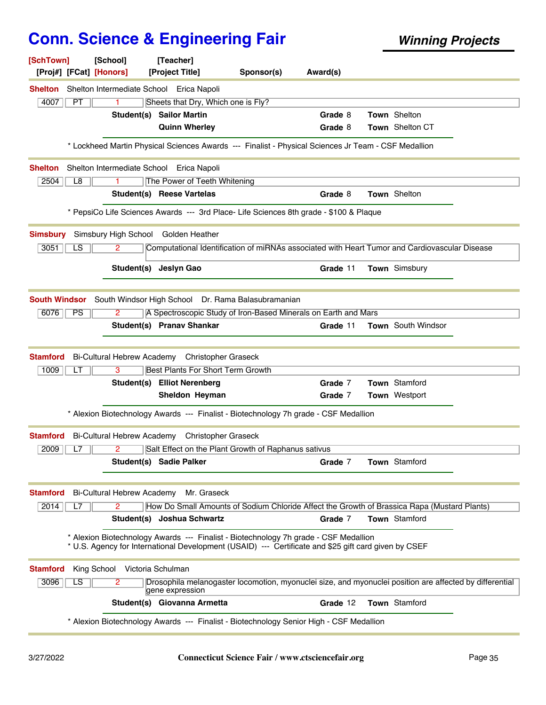| [SchTown]         | [School]<br>[Proj#] [FCat] [Honors]                                                                                                                                                          | [Teacher]<br>[Project Title]             | Sponsor(s)                                                                                              | Award(s) |                      |  |
|-------------------|----------------------------------------------------------------------------------------------------------------------------------------------------------------------------------------------|------------------------------------------|---------------------------------------------------------------------------------------------------------|----------|----------------------|--|
| <b>Shelton</b>    | Shelton Intermediate School Erica Napoli                                                                                                                                                     |                                          |                                                                                                         |          |                      |  |
| 4007<br>PT        | 1.                                                                                                                                                                                           | Sheets that Dry, Which one is Fly?       |                                                                                                         |          |                      |  |
|                   |                                                                                                                                                                                              | <b>Student(s) Sailor Martin</b>          |                                                                                                         | Grade 8  | Town Shelton         |  |
|                   |                                                                                                                                                                                              | <b>Quinn Wherley</b>                     |                                                                                                         | Grade 8  | Town Shelton CT      |  |
|                   | * Lockheed Martin Physical Sciences Awards --- Finalist - Physical Sciences Jr Team - CSF Medallion                                                                                          |                                          |                                                                                                         |          |                      |  |
| <b>Shelton</b>    | Shelton Intermediate School Erica Napoli                                                                                                                                                     |                                          |                                                                                                         |          |                      |  |
| L8<br>2504        | 1.                                                                                                                                                                                           | The Power of Teeth Whitening             |                                                                                                         |          |                      |  |
|                   |                                                                                                                                                                                              | Student(s) Reese Vartelas                |                                                                                                         | Grade 8  | Town Shelton         |  |
|                   | * PepsiCo Life Sciences Awards --- 3rd Place- Life Sciences 8th grade - \$100 & Plaque                                                                                                       |                                          |                                                                                                         |          |                      |  |
| <b>Simsbury</b>   | Simsbury High School Golden Heather                                                                                                                                                          |                                          |                                                                                                         |          |                      |  |
| 3051<br>LS        | 2                                                                                                                                                                                            |                                          | Computational Identification of miRNAs associated with Heart Tumor and Cardiovascular Disease           |          |                      |  |
|                   |                                                                                                                                                                                              | Student(s) Jeslyn Gao                    |                                                                                                         | Grade 11 | Town Simsbury        |  |
|                   | South Windsor South Windsor High School Dr. Rama Balasubramanian                                                                                                                             |                                          |                                                                                                         |          |                      |  |
| 6076<br><b>PS</b> | 2                                                                                                                                                                                            |                                          | A Spectroscopic Study of Iron-Based Minerals on Earth and Mars                                          |          |                      |  |
|                   |                                                                                                                                                                                              | Student(s) Pranav Shankar                |                                                                                                         | Grade 11 | Town South Windsor   |  |
| <b>Stamford</b>   | Bi-Cultural Hebrew Academy Christopher Graseck                                                                                                                                               |                                          |                                                                                                         |          |                      |  |
| 1009              | 3<br>LT                                                                                                                                                                                      | <b>Best Plants For Short Term Growth</b> |                                                                                                         |          |                      |  |
|                   |                                                                                                                                                                                              | Student(s) Elliot Nerenberg              |                                                                                                         | Grade 7  | <b>Town</b> Stamford |  |
|                   |                                                                                                                                                                                              | Sheldon Heyman                           |                                                                                                         | Grade 7  | Town Westport        |  |
|                   | * Alexion Biotechnology Awards --- Finalist - Biotechnology 7h grade - CSF Medallion                                                                                                         |                                          |                                                                                                         |          |                      |  |
| Stamford          | Bi-Cultural Hebrew Academy                                                                                                                                                                   | <b>Christopher Graseck</b>               |                                                                                                         |          |                      |  |
| 2009<br>L7        | 2                                                                                                                                                                                            |                                          | Salt Effect on the Plant Growth of Raphanus sativus                                                     |          |                      |  |
|                   |                                                                                                                                                                                              | Student(s) Sadie Palker                  |                                                                                                         | Grade 7  | Town Stamford        |  |
| <b>Stamford</b>   | <b>Bi-Cultural Hebrew Academy</b>                                                                                                                                                            | Mr. Graseck                              |                                                                                                         |          |                      |  |
| 2014              | L7<br>$\mathbf{2}^{\prime}$                                                                                                                                                                  |                                          | How Do Small Amounts of Sodium Chloride Affect the Growth of Brassica Rapa (Mustard Plants)             |          |                      |  |
|                   |                                                                                                                                                                                              | Student(s) Joshua Schwartz               |                                                                                                         | Grade 7  | Town Stamford        |  |
|                   | * Alexion Biotechnology Awards --- Finalist - Biotechnology 7h grade - CSF Medallion<br>* U.S. Agency for International Development (USAID) --- Certificate and \$25 gift card given by CSEF |                                          |                                                                                                         |          |                      |  |
| <b>Stamford</b>   | King School Victoria Schulman                                                                                                                                                                |                                          |                                                                                                         |          |                      |  |
| 3096              | $\overline{\text{LS}}$<br>$\overline{2}$                                                                                                                                                     | gene expression                          | Drosophila melanogaster locomotion, myonuclei size, and myonuclei position are affected by differential |          |                      |  |
|                   |                                                                                                                                                                                              | Student(s) Giovanna Armetta              |                                                                                                         | Grade 12 | Town Stamford        |  |
|                   | * Alexion Biotechnology Awards --- Finalist - Biotechnology Senior High - CSF Medallion                                                                                                      |                                          |                                                                                                         |          |                      |  |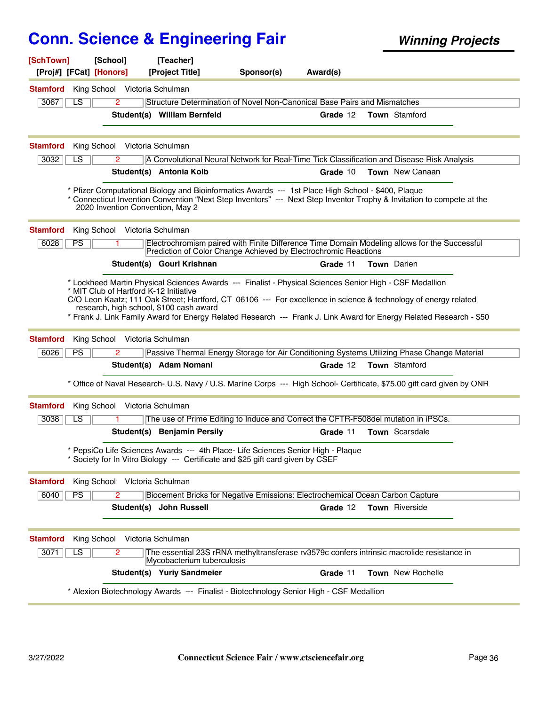| [SchTown]<br>[Proj#] [FCat] [Honors] | [School]                               | [Teacher]<br>[Project Title]            | Sponsor(s)                                                                                                                                                        | Award(s) |                                                                                                                                                                                                                                        |
|--------------------------------------|----------------------------------------|-----------------------------------------|-------------------------------------------------------------------------------------------------------------------------------------------------------------------|----------|----------------------------------------------------------------------------------------------------------------------------------------------------------------------------------------------------------------------------------------|
| <b>Stamford</b>                      | King School Victoria Schulman          |                                         |                                                                                                                                                                   |          |                                                                                                                                                                                                                                        |
| 3067<br>LS                           | $\mathbf{2}^{\circ}$                   |                                         | Structure Determination of Novel Non-Canonical Base Pairs and Mismatches                                                                                          |          |                                                                                                                                                                                                                                        |
|                                      |                                        | Student(s) William Bernfeld             |                                                                                                                                                                   | Grade 12 | <b>Town</b> Stamford                                                                                                                                                                                                                   |
| <b>Stamford</b>                      | King School Victoria Schulman          |                                         |                                                                                                                                                                   |          |                                                                                                                                                                                                                                        |
| 3032<br>LS                           | 2                                      |                                         |                                                                                                                                                                   |          | A Convolutional Neural Network for Real-Time Tick Classification and Disease Risk Analysis                                                                                                                                             |
|                                      |                                        | Student(s) Antonia Kolb                 |                                                                                                                                                                   | Grade 10 | Town New Canaan                                                                                                                                                                                                                        |
|                                      | 2020 Invention Convention, May 2       |                                         | * Pfizer Computational Biology and Bioinformatics Awards --- 1st Place High School - \$400, Plaque                                                                |          | * Connecticut Invention Convention "Next Step Inventors" --- Next Step Inventor Trophy & Invitation to compete at the                                                                                                                  |
| <b>Stamford</b>                      | King School Victoria Schulman          |                                         |                                                                                                                                                                   |          |                                                                                                                                                                                                                                        |
| 6028<br><b>PS</b>                    |                                        |                                         | Prediction of Color Change Achieved by Electrochromic Reactions                                                                                                   |          | Electrochromism paired with Finite Difference Time Domain Modeling allows for the Successful                                                                                                                                           |
|                                      |                                        | Student(s) Gouri Krishnan               |                                                                                                                                                                   | Grade 11 | <b>Town</b> Darien                                                                                                                                                                                                                     |
|                                      | * MIT Club of Hartford K-12 Initiative | research, high school, \$100 cash award | * Lockheed Martin Physical Sciences Awards --- Finalist - Physical Sciences Senior High - CSF Medallion                                                           |          | C/O Leon Kaatz; 111 Oak Street; Hartford, CT 06106 --- For excellence in science & technology of energy related<br>* Frank J. Link Family Award for Energy Related Research --- Frank J. Link Award for Energy Related Research - \$50 |
| <b>Stamford</b>                      | King School Victoria Schulman          |                                         |                                                                                                                                                                   |          |                                                                                                                                                                                                                                        |
| 6026<br><b>PS</b>                    | 2                                      |                                         |                                                                                                                                                                   |          | Passive Thermal Energy Storage for Air Conditioning Systems Utilizing Phase Change Material                                                                                                                                            |
|                                      |                                        | Student(s) Adam Nomani                  |                                                                                                                                                                   | Grade 12 | <b>Town</b> Stamford                                                                                                                                                                                                                   |
|                                      |                                        |                                         |                                                                                                                                                                   |          | * Office of Naval Research- U.S. Navy / U.S. Marine Corps --- High School- Certificate, \$75.00 gift card given by ONR                                                                                                                 |
| <b>Stamford</b>                      | King School Victoria Schulman          |                                         |                                                                                                                                                                   |          |                                                                                                                                                                                                                                        |
| 3038<br>LS                           |                                        |                                         | The use of Prime Editing to Induce and Correct the CFTR-F508del mutation in iPSCs.                                                                                |          |                                                                                                                                                                                                                                        |
|                                      |                                        | Student(s) Benjamin Persily             |                                                                                                                                                                   | Grade 11 | Town Scarsdale                                                                                                                                                                                                                         |
|                                      |                                        |                                         | * PepsiCo Life Sciences Awards --- 4th Place- Life Sciences Senior High - Plaque<br>Society for In Vitro Biology --- Certificate and \$25 gift card given by CSEF |          |                                                                                                                                                                                                                                        |
| <b>Stamford</b>                      | King School                            | Vlctoria Schulman                       |                                                                                                                                                                   |          |                                                                                                                                                                                                                                        |
| PS<br>6040                           | $\overline{2}$                         |                                         | Biocement Bricks for Negative Emissions: Electrochemical Ocean Carbon Capture                                                                                     |          |                                                                                                                                                                                                                                        |
|                                      |                                        | Student(s) John Russell                 |                                                                                                                                                                   | Grade 12 | <b>Town</b> Riverside                                                                                                                                                                                                                  |
| <b>Stamford</b>                      | King School Victoria Schulman          |                                         |                                                                                                                                                                   |          |                                                                                                                                                                                                                                        |
| 3071<br>LS                           | $\overline{2}$                         | Mycobacterium tuberculosis              |                                                                                                                                                                   |          | The essential 23S rRNA methyltransferase rv3579c confers intrinsic macrolide resistance in                                                                                                                                             |
|                                      |                                        | Student(s) Yuriy Sandmeier              |                                                                                                                                                                   | Grade 11 | Town New Rochelle                                                                                                                                                                                                                      |
|                                      |                                        |                                         | * Alexion Biotechnology Awards --- Finalist - Biotechnology Senior High - CSF Medallion                                                                           |          |                                                                                                                                                                                                                                        |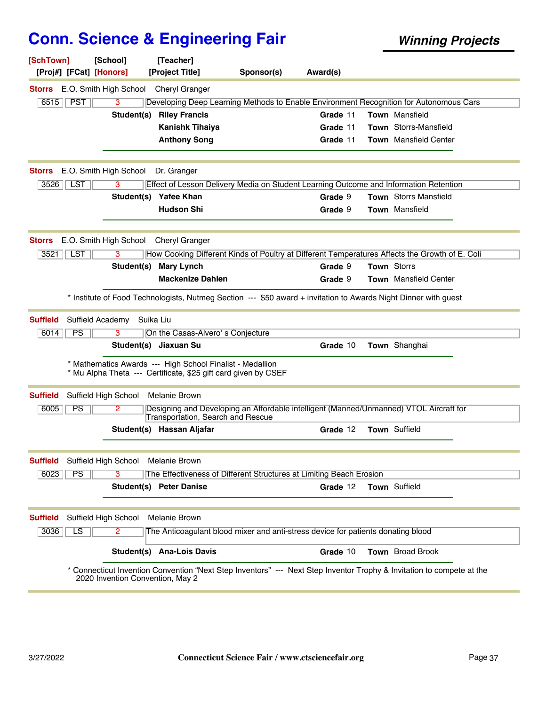| E.O. Smith High School<br><b>Cheryl Granger</b><br>Storrs<br><b>PST</b><br>6515<br>3<br>Developing Deep Learning Methods to Enable Environment Recognition for Autonomous Cars<br><b>Riley Francis</b><br>Student(s)<br>Grade 11<br><b>Town</b> Mansfield<br>Town Storrs-Mansfield<br><b>Kanishk Tihaiya</b><br>Grade 11<br><b>Anthony Song</b><br><b>Town</b> Mansfield Center<br>Grade 11<br>E.O. Smith High School<br>Dr. Granger<br><b>Storrs</b><br>3526   LST<br>Effect of Lesson Delivery Media on Student Learning Outcome and Information Retention<br>3<br><b>Town</b> Storrs Mansfield<br>Student(s)<br><b>Yafee Khan</b><br>Grade 9<br><b>Hudson Shi</b><br><b>Town Mansfield</b><br>Grade 9<br>E.O. Smith High School<br><b>Cheryl Granger</b><br><b>Storrs</b><br>3521<br>LST<br>3<br>How Cooking Different Kinds of Poultry at Different Temperatures Affects the Growth of E. Coli<br>Town Storrs<br>Student(s)<br><b>Mary Lynch</b><br>Grade 9<br><b>Mackenize Dahlen</b><br><b>Town</b> Mansfield Center<br>Grade 9<br>* Institute of Food Technologists, Nutmeg Section --- \$50 award + invitation to Awards Night Dinner with guest<br>Suffield Academy<br>Suika Liu<br><b>Suffield</b><br>PS<br>On the Casas-Alvero's Conjecture<br>6014<br>з |  |
|---------------------------------------------------------------------------------------------------------------------------------------------------------------------------------------------------------------------------------------------------------------------------------------------------------------------------------------------------------------------------------------------------------------------------------------------------------------------------------------------------------------------------------------------------------------------------------------------------------------------------------------------------------------------------------------------------------------------------------------------------------------------------------------------------------------------------------------------------------------------------------------------------------------------------------------------------------------------------------------------------------------------------------------------------------------------------------------------------------------------------------------------------------------------------------------------------------------------------------------------------------------------|--|
|                                                                                                                                                                                                                                                                                                                                                                                                                                                                                                                                                                                                                                                                                                                                                                                                                                                                                                                                                                                                                                                                                                                                                                                                                                                                     |  |
|                                                                                                                                                                                                                                                                                                                                                                                                                                                                                                                                                                                                                                                                                                                                                                                                                                                                                                                                                                                                                                                                                                                                                                                                                                                                     |  |
|                                                                                                                                                                                                                                                                                                                                                                                                                                                                                                                                                                                                                                                                                                                                                                                                                                                                                                                                                                                                                                                                                                                                                                                                                                                                     |  |
|                                                                                                                                                                                                                                                                                                                                                                                                                                                                                                                                                                                                                                                                                                                                                                                                                                                                                                                                                                                                                                                                                                                                                                                                                                                                     |  |
|                                                                                                                                                                                                                                                                                                                                                                                                                                                                                                                                                                                                                                                                                                                                                                                                                                                                                                                                                                                                                                                                                                                                                                                                                                                                     |  |
|                                                                                                                                                                                                                                                                                                                                                                                                                                                                                                                                                                                                                                                                                                                                                                                                                                                                                                                                                                                                                                                                                                                                                                                                                                                                     |  |
|                                                                                                                                                                                                                                                                                                                                                                                                                                                                                                                                                                                                                                                                                                                                                                                                                                                                                                                                                                                                                                                                                                                                                                                                                                                                     |  |
|                                                                                                                                                                                                                                                                                                                                                                                                                                                                                                                                                                                                                                                                                                                                                                                                                                                                                                                                                                                                                                                                                                                                                                                                                                                                     |  |
|                                                                                                                                                                                                                                                                                                                                                                                                                                                                                                                                                                                                                                                                                                                                                                                                                                                                                                                                                                                                                                                                                                                                                                                                                                                                     |  |
|                                                                                                                                                                                                                                                                                                                                                                                                                                                                                                                                                                                                                                                                                                                                                                                                                                                                                                                                                                                                                                                                                                                                                                                                                                                                     |  |
|                                                                                                                                                                                                                                                                                                                                                                                                                                                                                                                                                                                                                                                                                                                                                                                                                                                                                                                                                                                                                                                                                                                                                                                                                                                                     |  |
|                                                                                                                                                                                                                                                                                                                                                                                                                                                                                                                                                                                                                                                                                                                                                                                                                                                                                                                                                                                                                                                                                                                                                                                                                                                                     |  |
|                                                                                                                                                                                                                                                                                                                                                                                                                                                                                                                                                                                                                                                                                                                                                                                                                                                                                                                                                                                                                                                                                                                                                                                                                                                                     |  |
|                                                                                                                                                                                                                                                                                                                                                                                                                                                                                                                                                                                                                                                                                                                                                                                                                                                                                                                                                                                                                                                                                                                                                                                                                                                                     |  |
|                                                                                                                                                                                                                                                                                                                                                                                                                                                                                                                                                                                                                                                                                                                                                                                                                                                                                                                                                                                                                                                                                                                                                                                                                                                                     |  |
|                                                                                                                                                                                                                                                                                                                                                                                                                                                                                                                                                                                                                                                                                                                                                                                                                                                                                                                                                                                                                                                                                                                                                                                                                                                                     |  |
|                                                                                                                                                                                                                                                                                                                                                                                                                                                                                                                                                                                                                                                                                                                                                                                                                                                                                                                                                                                                                                                                                                                                                                                                                                                                     |  |
| Student(s) Jiaxuan Su<br>Town Shanghai<br>Grade 10                                                                                                                                                                                                                                                                                                                                                                                                                                                                                                                                                                                                                                                                                                                                                                                                                                                                                                                                                                                                                                                                                                                                                                                                                  |  |
| * Mathematics Awards --- High School Finalist - Medallion<br>* Mu Alpha Theta --- Certificate, \$25 gift card given by CSEF                                                                                                                                                                                                                                                                                                                                                                                                                                                                                                                                                                                                                                                                                                                                                                                                                                                                                                                                                                                                                                                                                                                                         |  |
| Suffield High School<br><b>Suffield</b><br><b>Melanie Brown</b>                                                                                                                                                                                                                                                                                                                                                                                                                                                                                                                                                                                                                                                                                                                                                                                                                                                                                                                                                                                                                                                                                                                                                                                                     |  |
| PS<br>Designing and Developing an Affordable intelligent (Manned/Unmanned) VTOL Aircraft for<br>6005<br>2<br>Transportation, Search and Rescue                                                                                                                                                                                                                                                                                                                                                                                                                                                                                                                                                                                                                                                                                                                                                                                                                                                                                                                                                                                                                                                                                                                      |  |
| Town Suffield<br>Student(s) Hassan Aljafar<br>Grade 12                                                                                                                                                                                                                                                                                                                                                                                                                                                                                                                                                                                                                                                                                                                                                                                                                                                                                                                                                                                                                                                                                                                                                                                                              |  |
| Suffield High School Melanie Brown<br><b>Suffield</b>                                                                                                                                                                                                                                                                                                                                                                                                                                                                                                                                                                                                                                                                                                                                                                                                                                                                                                                                                                                                                                                                                                                                                                                                               |  |
| 6023<br>PS<br>3<br>The Effectiveness of Different Structures at Limiting Beach Erosion                                                                                                                                                                                                                                                                                                                                                                                                                                                                                                                                                                                                                                                                                                                                                                                                                                                                                                                                                                                                                                                                                                                                                                              |  |
| Town Suffield<br>Student(s) Peter Danise<br>Grade 12                                                                                                                                                                                                                                                                                                                                                                                                                                                                                                                                                                                                                                                                                                                                                                                                                                                                                                                                                                                                                                                                                                                                                                                                                |  |
| Suffield High School<br><b>Melanie Brown</b><br><b>Suffield</b>                                                                                                                                                                                                                                                                                                                                                                                                                                                                                                                                                                                                                                                                                                                                                                                                                                                                                                                                                                                                                                                                                                                                                                                                     |  |
| $\overline{LS}$<br>The Anticoagulant blood mixer and anti-stress device for patients donating blood<br>3036<br>2.                                                                                                                                                                                                                                                                                                                                                                                                                                                                                                                                                                                                                                                                                                                                                                                                                                                                                                                                                                                                                                                                                                                                                   |  |
|                                                                                                                                                                                                                                                                                                                                                                                                                                                                                                                                                                                                                                                                                                                                                                                                                                                                                                                                                                                                                                                                                                                                                                                                                                                                     |  |
| Student(s) Ana-Lois Davis<br><b>Town</b> Broad Brook<br>Grade 10                                                                                                                                                                                                                                                                                                                                                                                                                                                                                                                                                                                                                                                                                                                                                                                                                                                                                                                                                                                                                                                                                                                                                                                                    |  |
| Connecticut Invention Convention "Next Step Inventors" --- Next Step Inventor Trophy & Invitation to compete at the<br>2020 Invention Convention, May 2                                                                                                                                                                                                                                                                                                                                                                                                                                                                                                                                                                                                                                                                                                                                                                                                                                                                                                                                                                                                                                                                                                             |  |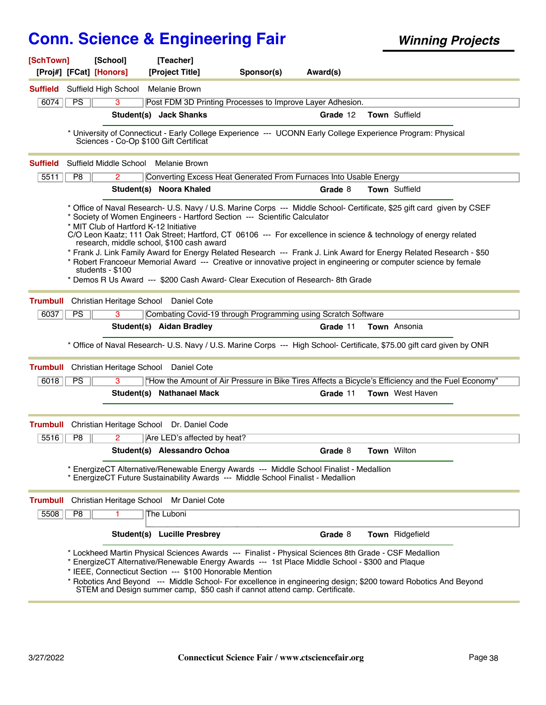| [SchTown]       |                 | [School]<br>[Proj#] [FCat] [Honors]                        | [Teacher]<br>[Project Title]                            | Sponsor(s)                                                                                                                                                                                                                                                                                                                                                                                                                                                                                                                                                                                                                                            | Award(s) |                     |                                                                                                    |
|-----------------|-----------------|------------------------------------------------------------|---------------------------------------------------------|-------------------------------------------------------------------------------------------------------------------------------------------------------------------------------------------------------------------------------------------------------------------------------------------------------------------------------------------------------------------------------------------------------------------------------------------------------------------------------------------------------------------------------------------------------------------------------------------------------------------------------------------------------|----------|---------------------|----------------------------------------------------------------------------------------------------|
|                 |                 | <b>Suffield</b> Suffield High School                       | Melanie Brown                                           |                                                                                                                                                                                                                                                                                                                                                                                                                                                                                                                                                                                                                                                       |          |                     |                                                                                                    |
| 6074            | PS              | 3                                                          |                                                         | Post FDM 3D Printing Processes to Improve Layer Adhesion.                                                                                                                                                                                                                                                                                                                                                                                                                                                                                                                                                                                             |          |                     |                                                                                                    |
|                 |                 |                                                            | Student(s) Jack Shanks                                  |                                                                                                                                                                                                                                                                                                                                                                                                                                                                                                                                                                                                                                                       | Grade 12 | Town Suffield       |                                                                                                    |
|                 |                 |                                                            | Sciences - Co-Op \$100 Gift Certificat                  | * University of Connecticut - Early College Experience --- UCONN Early College Experience Program: Physical                                                                                                                                                                                                                                                                                                                                                                                                                                                                                                                                           |          |                     |                                                                                                    |
| <b>Suffield</b> |                 |                                                            | Suffield Middle School Melanie Brown                    |                                                                                                                                                                                                                                                                                                                                                                                                                                                                                                                                                                                                                                                       |          |                     |                                                                                                    |
| 5511            | P8              | $\overline{2}$                                             |                                                         | Converting Excess Heat Generated From Furnaces Into Usable Energy                                                                                                                                                                                                                                                                                                                                                                                                                                                                                                                                                                                     |          |                     |                                                                                                    |
|                 |                 |                                                            | Student(s) Noora Khaled                                 |                                                                                                                                                                                                                                                                                                                                                                                                                                                                                                                                                                                                                                                       | Grade 8  | Town Suffield       |                                                                                                    |
|                 |                 | * MIT Club of Hartford K-12 Initiative<br>students - \$100 | research, middle school, \$100 cash award               | * Office of Naval Research- U.S. Navy / U.S. Marine Corps --- Middle School- Certificate, \$25 gift card given by CSEF<br>* Society of Women Engineers - Hartford Section --- Scientific Calculator<br>C/O Leon Kaatz; 111 Oak Street; Hartford, CT 06106 --- For excellence in science & technology of energy related<br>* Frank J. Link Family Award for Energy Related Research --- Frank J. Link Award for Energy Related Research - \$50<br>* Robert Francoeur Memorial Award --- Creative or innovative project in engineering or computer science by female<br>* Demos R Us Award --- \$200 Cash Award- Clear Execution of Research- 8th Grade |          |                     |                                                                                                    |
| <b>Trumbull</b> |                 |                                                            | Christian Heritage School Daniel Cote                   |                                                                                                                                                                                                                                                                                                                                                                                                                                                                                                                                                                                                                                                       |          |                     |                                                                                                    |
| 6037            | $\overline{PS}$ | 3                                                          |                                                         | Combating Covid-19 through Programming using Scratch Software                                                                                                                                                                                                                                                                                                                                                                                                                                                                                                                                                                                         |          |                     |                                                                                                    |
|                 |                 |                                                            | Student(s) Aidan Bradley                                |                                                                                                                                                                                                                                                                                                                                                                                                                                                                                                                                                                                                                                                       | Grade 11 | <b>Town</b> Ansonia |                                                                                                    |
|                 |                 |                                                            |                                                         | * Office of Naval Research- U.S. Navy / U.S. Marine Corps --- High School- Certificate, \$75.00 gift card given by ONR                                                                                                                                                                                                                                                                                                                                                                                                                                                                                                                                |          |                     |                                                                                                    |
| <b>Trumbull</b> |                 |                                                            | Christian Heritage School Daniel Cote                   |                                                                                                                                                                                                                                                                                                                                                                                                                                                                                                                                                                                                                                                       |          |                     |                                                                                                    |
| 6018            | PS              | 3                                                          |                                                         |                                                                                                                                                                                                                                                                                                                                                                                                                                                                                                                                                                                                                                                       |          |                     | "How the Amount of Air Pressure in Bike Tires Affects a Bicycle's Efficiency and the Fuel Economy" |
|                 |                 |                                                            | Student(s) Nathanael Mack                               |                                                                                                                                                                                                                                                                                                                                                                                                                                                                                                                                                                                                                                                       | Grade 11 | Town West Haven     |                                                                                                    |
| <b>Trumbull</b> |                 |                                                            | Christian Heritage School Dr. Daniel Code               |                                                                                                                                                                                                                                                                                                                                                                                                                                                                                                                                                                                                                                                       |          |                     |                                                                                                    |
| 5516            | P8              | 2                                                          | Are LED's affected by heat?                             |                                                                                                                                                                                                                                                                                                                                                                                                                                                                                                                                                                                                                                                       |          |                     |                                                                                                    |
|                 |                 |                                                            | Student(s) Alessandro Ochoa                             |                                                                                                                                                                                                                                                                                                                                                                                                                                                                                                                                                                                                                                                       | Grade 8  | Town Wilton         |                                                                                                    |
|                 |                 |                                                            |                                                         | EnergizeCT Alternative/Renewable Energy Awards --- Middle School Finalist - Medallion<br>* EnergizeCT Future Sustainability Awards --- Middle School Finalist - Medallion                                                                                                                                                                                                                                                                                                                                                                                                                                                                             |          |                     |                                                                                                    |
| <b>Trumbull</b> |                 | Christian Heritage School                                  | Mr Daniel Cote                                          |                                                                                                                                                                                                                                                                                                                                                                                                                                                                                                                                                                                                                                                       |          |                     |                                                                                                    |
| 5508            | P <sub>8</sub>  |                                                            | The Luboni                                              |                                                                                                                                                                                                                                                                                                                                                                                                                                                                                                                                                                                                                                                       |          |                     |                                                                                                    |
|                 |                 |                                                            | Student(s) Lucille Presbrey                             |                                                                                                                                                                                                                                                                                                                                                                                                                                                                                                                                                                                                                                                       | Grade 8  | Town Ridgefield     |                                                                                                    |
|                 |                 |                                                            | * IEEE, Connecticut Section --- \$100 Honorable Mention | * Lockheed Martin Physical Sciences Awards --- Finalist - Physical Sciences 8th Grade - CSF Medallion<br>* EnergizeCT Alternative/Renewable Energy Awards --- 1st Place Middle School - \$300 and Plaque<br>* Robotics And Beyond --- Middle School- For excellence in engineering design; \$200 toward Robotics And Beyond<br>STEM and Design summer camp, \$50 cash if cannot attend camp. Certificate.                                                                                                                                                                                                                                             |          |                     |                                                                                                    |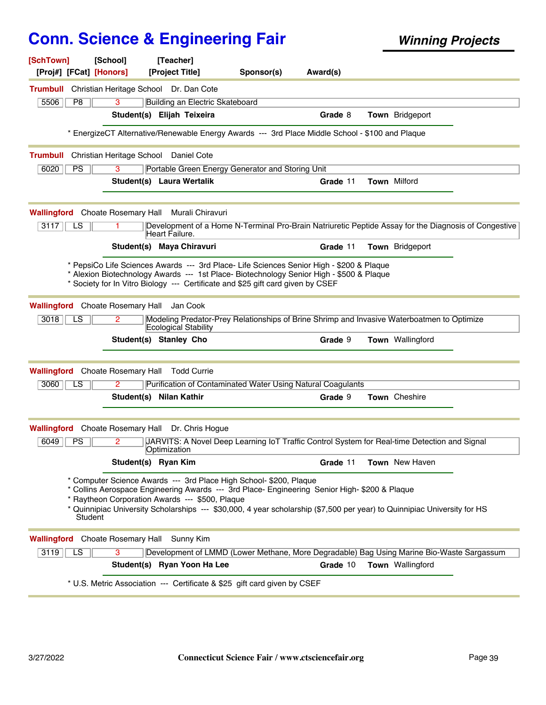| [SchTown]<br>[Proj#] [FCat] [Honors]    | [School]             | [Teacher]<br>[Project Title]                                                                                                                                                                                                                                                                                                                     | Sponsor(s) | Award(s) |                        |  |
|-----------------------------------------|----------------------|--------------------------------------------------------------------------------------------------------------------------------------------------------------------------------------------------------------------------------------------------------------------------------------------------------------------------------------------------|------------|----------|------------------------|--|
| <b>Trumbull</b>                         |                      | Christian Heritage School Dr. Dan Cote                                                                                                                                                                                                                                                                                                           |            |          |                        |  |
| 5506<br>P <sub>8</sub>                  | 3                    | Building an Electric Skateboard                                                                                                                                                                                                                                                                                                                  |            |          |                        |  |
|                                         |                      | Student(s) Elijah Teixeira                                                                                                                                                                                                                                                                                                                       |            | Grade 8  | <b>Town</b> Bridgeport |  |
|                                         |                      | EnergizeCT Alternative/Renewable Energy Awards --- 3rd Place Middle School - \$100 and Plaque                                                                                                                                                                                                                                                    |            |          |                        |  |
| <b>Trumbull</b>                         |                      | Christian Heritage School Daniel Cote                                                                                                                                                                                                                                                                                                            |            |          |                        |  |
| 6020<br><b>PS</b>                       | 3                    | Portable Green Energy Generator and Storing Unit                                                                                                                                                                                                                                                                                                 |            |          |                        |  |
|                                         |                      | Student(s) Laura Wertalik                                                                                                                                                                                                                                                                                                                        |            | Grade 11 | <b>Town Milford</b>    |  |
| <b>Wallingford</b> Choate Rosemary Hall |                      | Murali Chiravuri                                                                                                                                                                                                                                                                                                                                 |            |          |                        |  |
| $\overline{\text{LS}}$<br>3117          |                      | Development of a Home N-Terminal Pro-Brain Natriuretic Peptide Assay for the Diagnosis of Congestive<br>Heart Failure.                                                                                                                                                                                                                           |            |          |                        |  |
|                                         |                      | Student(s) Maya Chiravuri                                                                                                                                                                                                                                                                                                                        |            | Grade 11 | <b>Town</b> Bridgeport |  |
|                                         |                      | * PepsiCo Life Sciences Awards --- 3rd Place- Life Sciences Senior High - \$200 & Plaque<br>* Alexion Biotechnology Awards --- 1st Place- Biotechnology Senior High - \$500 & Plaque<br>* Society for In Vitro Biology --- Certificate and \$25 gift card given by CSEF                                                                          |            |          |                        |  |
| <b>Wallingford</b> Choate Rosemary Hall |                      | Jan Cook                                                                                                                                                                                                                                                                                                                                         |            |          |                        |  |
| 3018<br>LS                              | 2                    | Modeling Predator-Prey Relationships of Brine Shrimp and Invasive Waterboatmen to Optimize<br>Ecological Stability                                                                                                                                                                                                                               |            |          |                        |  |
|                                         |                      | Student(s) Stanley Cho                                                                                                                                                                                                                                                                                                                           |            | Grade 9  | Town Wallingford       |  |
| <b>Wallingford</b> Choate Rosemary Hall |                      | <b>Todd Currie</b>                                                                                                                                                                                                                                                                                                                               |            |          |                        |  |
| 3060<br>LS                              | 2                    | Purification of Contaminated Water Using Natural Coagulants                                                                                                                                                                                                                                                                                      |            |          |                        |  |
|                                         |                      | Student(s) Nilan Kathir                                                                                                                                                                                                                                                                                                                          |            | Grade 9  | Town Cheshire          |  |
| Wallingford                             | Choate Rosemary Hall | Dr. Chris Hogue                                                                                                                                                                                                                                                                                                                                  |            |          |                        |  |
| 6049<br><b>PS</b>                       | 2                    | JARVITS: A Novel Deep Learning IoT Traffic Control System for Real-time Detection and Signal<br>Optimization                                                                                                                                                                                                                                     |            |          |                        |  |
|                                         | Student(s) Ryan Kim  |                                                                                                                                                                                                                                                                                                                                                  |            | Grade 11 | Town New Haven         |  |
| Student                                 |                      | * Computer Science Awards --- 3rd Place High School- \$200, Plaque<br>* Collins Aerospace Engineering Awards --- 3rd Place- Engineering Senior High- \$200 & Plaque<br>Raytheon Corporation Awards --- \$500, Plaque<br>* Quinnipiac University Scholarships --- \$30,000, 4 year scholarship (\$7,500 per year) to Quinnipiac University for HS |            |          |                        |  |
| <b>Wallingford</b> Choate Rosemary Hall |                      | Sunny Kim                                                                                                                                                                                                                                                                                                                                        |            |          |                        |  |
| $\overline{\text{LS}}$<br>3119          | 3                    | Development of LMMD (Lower Methane, More Degradable) Bag Using Marine Bio-Waste Sargassum                                                                                                                                                                                                                                                        |            |          |                        |  |
|                                         |                      | Student(s) Ryan Yoon Ha Lee                                                                                                                                                                                                                                                                                                                      |            | Grade 10 | Town Wallingford       |  |
|                                         |                      | * U.S. Metric Association --- Certificate & \$25 gift card given by CSEF                                                                                                                                                                                                                                                                         |            |          |                        |  |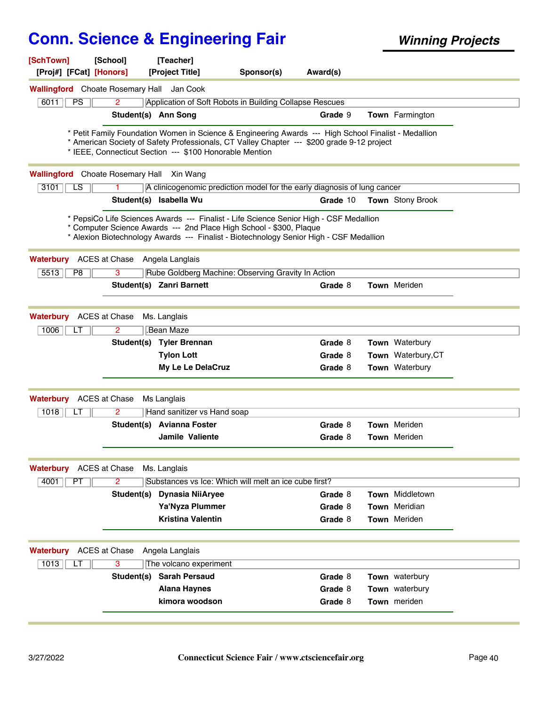| [SchTown]                                        | [School]             | [Teacher]                                               |                                                                                                                                                                                                                                                          |          |                       |  |
|--------------------------------------------------|----------------------|---------------------------------------------------------|----------------------------------------------------------------------------------------------------------------------------------------------------------------------------------------------------------------------------------------------------------|----------|-----------------------|--|
| [Proj#] [FCat] [Honors]                          |                      | [Project Title]                                         | Sponsor(s)                                                                                                                                                                                                                                               | Award(s) |                       |  |
| <b>Wallingford</b> Choate Rosemary Hall          |                      | Jan Cook                                                |                                                                                                                                                                                                                                                          |          |                       |  |
| 6011<br>PS                                       | $\overline{2}$       |                                                         | Application of Soft Robots in Building Collapse Rescues                                                                                                                                                                                                  |          |                       |  |
|                                                  | Student(s) Ann Song  |                                                         |                                                                                                                                                                                                                                                          | Grade 9  | Town Farmington       |  |
|                                                  |                      | * IEEE, Connecticut Section --- \$100 Honorable Mention | * Petit Family Foundation Women in Science & Engineering Awards --- High School Finalist - Medallion<br>* American Society of Safety Professionals, CT Valley Chapter --- \$200 grade 9-12 project                                                       |          |                       |  |
| <b>Wallingford</b> Choate Rosemary Hall Xin Wang |                      |                                                         |                                                                                                                                                                                                                                                          |          |                       |  |
| 3101<br>LS                                       |                      |                                                         | A clinicogenomic prediction model for the early diagnosis of lung cancer                                                                                                                                                                                 |          |                       |  |
|                                                  |                      | Student(s) Isabella Wu                                  |                                                                                                                                                                                                                                                          | Grade 10 | Town Stony Brook      |  |
|                                                  |                      |                                                         | * PepsiCo Life Sciences Awards --- Finalist - Life Science Senior High - CSF Medallion<br>* Computer Science Awards --- 2nd Place High School - \$300, Plaque<br>* Alexion Biotechnology Awards --- Finalist - Biotechnology Senior High - CSF Medallion |          |                       |  |
| Waterbury                                        | ACES at Chase        | Angela Langlais                                         |                                                                                                                                                                                                                                                          |          |                       |  |
| 5513<br>P <sub>8</sub>                           | 3                    |                                                         | Rube Goldberg Machine: Observing Gravity In Action                                                                                                                                                                                                       |          |                       |  |
|                                                  |                      | Student(s) Zanri Barnett                                |                                                                                                                                                                                                                                                          | Grade 8  | <b>Town</b> Meriden   |  |
|                                                  |                      |                                                         |                                                                                                                                                                                                                                                          |          |                       |  |
| <b>Waterbury</b> ACES at Chase                   |                      | Ms. Langlais                                            |                                                                                                                                                                                                                                                          |          |                       |  |
| 1006<br>LT                                       | 2                    | Bean Maze                                               |                                                                                                                                                                                                                                                          |          |                       |  |
|                                                  |                      | Student(s) Tyler Brennan                                |                                                                                                                                                                                                                                                          | Grade 8  | <b>Town</b> Waterbury |  |
|                                                  |                      | <b>Tylon Lott</b>                                       |                                                                                                                                                                                                                                                          | Grade 8  | Town Waterbury, CT    |  |
|                                                  |                      | My Le Le DelaCruz                                       |                                                                                                                                                                                                                                                          | Grade 8  | <b>Town</b> Waterbury |  |
| <b>Waterbury</b>                                 | ACES at Chase        | Ms Langlais                                             |                                                                                                                                                                                                                                                          |          |                       |  |
| 1018<br>LT                                       | $\overline{2}$       | Hand sanitizer vs Hand soap                             |                                                                                                                                                                                                                                                          |          |                       |  |
|                                                  |                      | Student(s) Avianna Foster                               |                                                                                                                                                                                                                                                          | Grade 8  | Town Meriden          |  |
|                                                  |                      | <b>Jamile Valiente</b>                                  |                                                                                                                                                                                                                                                          | Grade 8  | <b>Town</b> Meriden   |  |
|                                                  |                      |                                                         |                                                                                                                                                                                                                                                          |          |                       |  |
| <b>Waterbury</b>                                 | <b>ACES at Chase</b> | Ms. Langlais                                            |                                                                                                                                                                                                                                                          |          |                       |  |
| 4001<br>PT                                       | $\overline{2}$       |                                                         | Substances vs Ice: Which will melt an ice cube first?                                                                                                                                                                                                    |          |                       |  |
|                                                  |                      | Student(s) Dynasia NiiAryee                             |                                                                                                                                                                                                                                                          | Grade 8  | Town Middletown       |  |
|                                                  |                      | Ya'Nyza Plummer                                         |                                                                                                                                                                                                                                                          | Grade 8  | Town Meridian         |  |
|                                                  |                      | <b>Kristina Valentin</b>                                |                                                                                                                                                                                                                                                          | Grade 8  | Town Meriden          |  |
|                                                  |                      |                                                         |                                                                                                                                                                                                                                                          |          |                       |  |
| <b>Waterbury</b>                                 | ACES at Chase        | Angela Langlais                                         |                                                                                                                                                                                                                                                          |          |                       |  |
| 1013<br>LT                                       | 3                    | The volcano experiment                                  |                                                                                                                                                                                                                                                          |          |                       |  |
|                                                  | Student(s)           | <b>Sarah Persaud</b>                                    |                                                                                                                                                                                                                                                          | Grade 8  | Town waterbury        |  |
|                                                  |                      | <b>Alana Haynes</b>                                     |                                                                                                                                                                                                                                                          | Grade 8  | Town waterbury        |  |
|                                                  |                      | kimora woodson                                          |                                                                                                                                                                                                                                                          | Grade 8  | Town meriden          |  |
|                                                  |                      |                                                         |                                                                                                                                                                                                                                                          |          |                       |  |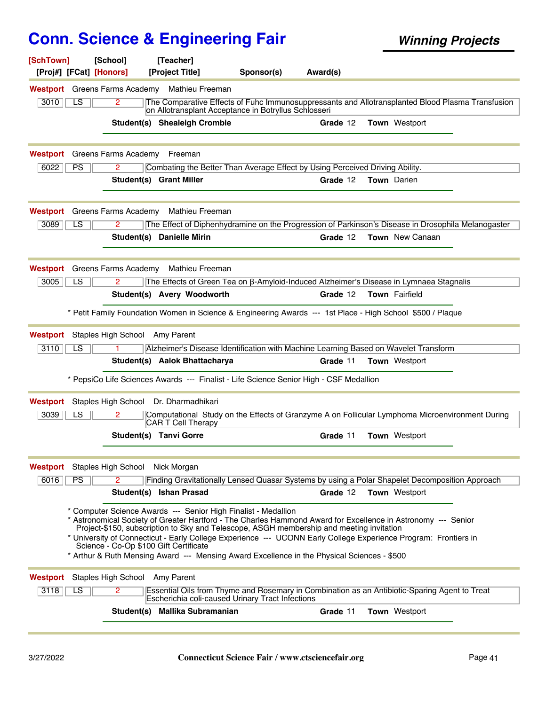| [SchTown]               |           | [School]                             | [Teacher]                                                                                                                                                                                                                                                                                                                                                                                                                                                                                                                               |            |          |                        |  |
|-------------------------|-----------|--------------------------------------|-----------------------------------------------------------------------------------------------------------------------------------------------------------------------------------------------------------------------------------------------------------------------------------------------------------------------------------------------------------------------------------------------------------------------------------------------------------------------------------------------------------------------------------------|------------|----------|------------------------|--|
| [Proj#] [FCat] [Honors] |           |                                      | [Project Title]                                                                                                                                                                                                                                                                                                                                                                                                                                                                                                                         | Sponsor(s) | Award(s) |                        |  |
|                         |           |                                      | Westport Greens Farms Academy Mathieu Freeman                                                                                                                                                                                                                                                                                                                                                                                                                                                                                           |            |          |                        |  |
| 3010                    | LS        | $\overline{2}$                       | The Comparative Effects of Fuhc Immunosuppressants and Allotransplanted Blood Plasma Transfusion<br>on Allotransplant Acceptance in Botryllus Schlosseri                                                                                                                                                                                                                                                                                                                                                                                |            |          |                        |  |
|                         |           |                                      | Student(s) Shealeigh Crombie                                                                                                                                                                                                                                                                                                                                                                                                                                                                                                            |            | Grade 12 | Town Westport          |  |
|                         |           |                                      |                                                                                                                                                                                                                                                                                                                                                                                                                                                                                                                                         |            |          |                        |  |
|                         |           | <b>Westport</b> Greens Farms Academy | Freeman                                                                                                                                                                                                                                                                                                                                                                                                                                                                                                                                 |            |          |                        |  |
| 6022                    | <b>PS</b> | 2                                    | Combating the Better Than Average Effect by Using Perceived Driving Ability.                                                                                                                                                                                                                                                                                                                                                                                                                                                            |            |          |                        |  |
|                         |           |                                      | Student(s) Grant Miller                                                                                                                                                                                                                                                                                                                                                                                                                                                                                                                 |            | Grade 12 | <b>Town</b> Darien     |  |
| Westport                |           | Greens Farms Academy                 | Mathieu Freeman                                                                                                                                                                                                                                                                                                                                                                                                                                                                                                                         |            |          |                        |  |
| 3089                    | LS        | $\overline{2}$                       | The Effect of Diphenhydramine on the Progression of Parkinson's Disease in Drosophila Melanogaster                                                                                                                                                                                                                                                                                                                                                                                                                                      |            |          |                        |  |
|                         |           |                                      | Student(s) Danielle Mirin                                                                                                                                                                                                                                                                                                                                                                                                                                                                                                               |            | Grade 12 | <b>Town</b> New Canaan |  |
| Westport                |           | Greens Farms Academy                 | Mathieu Freeman                                                                                                                                                                                                                                                                                                                                                                                                                                                                                                                         |            |          |                        |  |
| 3005                    | LS        | 2                                    | The Effects of Green Tea on β-Amyloid-Induced Alzheimer's Disease in Lymnaea Stagnalis                                                                                                                                                                                                                                                                                                                                                                                                                                                  |            |          |                        |  |
|                         |           |                                      | Student(s) Avery Woodworth                                                                                                                                                                                                                                                                                                                                                                                                                                                                                                              |            | Grade 12 | Town Fairfield         |  |
|                         |           |                                      | * Petit Family Foundation Women in Science & Engineering Awards --- 1st Place - High School \$500 / Plaque                                                                                                                                                                                                                                                                                                                                                                                                                              |            |          |                        |  |
| Westport                |           | Staples High School Amy Parent       |                                                                                                                                                                                                                                                                                                                                                                                                                                                                                                                                         |            |          |                        |  |
| 3110                    | LS        | 1.                                   | Alzheimer's Disease Identification with Machine Learning Based on Wavelet Transform                                                                                                                                                                                                                                                                                                                                                                                                                                                     |            |          |                        |  |
|                         |           |                                      | Student(s) Aalok Bhattacharya                                                                                                                                                                                                                                                                                                                                                                                                                                                                                                           |            | Grade 11 | Town Westport          |  |
|                         |           |                                      | * PepsiCo Life Sciences Awards --- Finalist - Life Science Senior High - CSF Medallion                                                                                                                                                                                                                                                                                                                                                                                                                                                  |            |          |                        |  |
| Westport                |           | Staples High School                  | Dr. Dharmadhikari                                                                                                                                                                                                                                                                                                                                                                                                                                                                                                                       |            |          |                        |  |
| 3039                    | LS        | 2                                    | Computational Study on the Effects of Granzyme A on Follicular Lymphoma Microenvironment During<br><b>CAR T Cell Therapy</b>                                                                                                                                                                                                                                                                                                                                                                                                            |            |          |                        |  |
|                         |           |                                      | <b>Student(s) Tanvi Gorre</b>                                                                                                                                                                                                                                                                                                                                                                                                                                                                                                           |            | Grade 11 | Town Westport          |  |
| Westport                |           | Staples High School Nick Morgan      |                                                                                                                                                                                                                                                                                                                                                                                                                                                                                                                                         |            |          |                        |  |
| 6016                    | PS        | 2.                                   | Finding Gravitationally Lensed Quasar Systems by using a Polar Shapelet Decomposition Approach                                                                                                                                                                                                                                                                                                                                                                                                                                          |            |          |                        |  |
|                         |           |                                      | Student(s) Ishan Prasad                                                                                                                                                                                                                                                                                                                                                                                                                                                                                                                 |            | Grade 12 | <b>Town</b> Westport   |  |
|                         |           |                                      | * Computer Science Awards --- Senior High Finalist - Medallion<br>* Astronomical Society of Greater Hartford - The Charles Hammond Award for Excellence in Astronomy --- Senior<br>Project-\$150, subscription to Sky and Telescope, ASGH membership and meeting invitation<br>* University of Connecticut - Early College Experience --- UCONN Early College Experience Program: Frontiers in<br>Science - Co-Op \$100 Gift Certificate<br>* Arthur & Ruth Mensing Award --- Mensing Award Excellence in the Physical Sciences - \$500 |            |          |                        |  |
| Westport                |           | Staples High School Amy Parent       |                                                                                                                                                                                                                                                                                                                                                                                                                                                                                                                                         |            |          |                        |  |
| 3118                    | LS        | 2                                    | Essential Oils from Thyme and Rosemary in Combination as an Antibiotic-Sparing Agent to Treat<br>Escherichia coli-caused Urinary Tract Infections                                                                                                                                                                                                                                                                                                                                                                                       |            |          |                        |  |
|                         |           |                                      | Student(s) Mallika Subramanian                                                                                                                                                                                                                                                                                                                                                                                                                                                                                                          |            | Grade 11 | Town Westport          |  |
|                         |           |                                      |                                                                                                                                                                                                                                                                                                                                                                                                                                                                                                                                         |            |          |                        |  |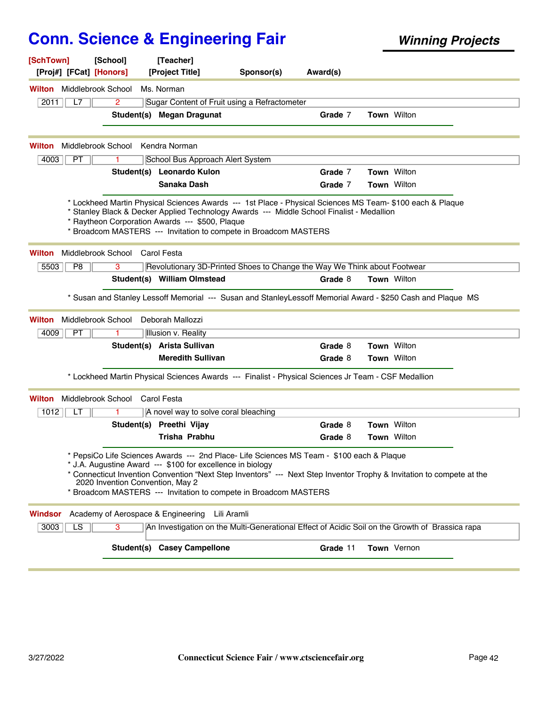| [SchTown]<br>[School]<br>[Proj#] [FCat] [Honors]                                                                                                                                                                                                                                                                              | [Teacher]<br>[Project Title]                                             | Sponsor(s) | Award(s) |                                                                                                                       |
|-------------------------------------------------------------------------------------------------------------------------------------------------------------------------------------------------------------------------------------------------------------------------------------------------------------------------------|--------------------------------------------------------------------------|------------|----------|-----------------------------------------------------------------------------------------------------------------------|
| <b>Wilton</b> Middlebrook School                                                                                                                                                                                                                                                                                              | Ms. Norman                                                               |            |          |                                                                                                                       |
| $\overline{2}$<br>2011<br>L7                                                                                                                                                                                                                                                                                                  | Sugar Content of Fruit using a Refractometer                             |            |          |                                                                                                                       |
|                                                                                                                                                                                                                                                                                                                               | Student(s) Megan Dragunat                                                |            | Grade 7  | <b>Town Wilton</b>                                                                                                    |
| Middlebrook School<br>Wilton                                                                                                                                                                                                                                                                                                  | Kendra Norman                                                            |            |          |                                                                                                                       |
| 4003<br>PT                                                                                                                                                                                                                                                                                                                    | School Bus Approach Alert System                                         |            |          |                                                                                                                       |
|                                                                                                                                                                                                                                                                                                                               | Student(s) Leonardo Kulon                                                |            | Grade 7  | <b>Town Wilton</b>                                                                                                    |
|                                                                                                                                                                                                                                                                                                                               | Sanaka Dash                                                              |            | Grade 7  | <b>Town Wilton</b>                                                                                                    |
| * Lockheed Martin Physical Sciences Awards --- 1st Place - Physical Sciences MS Team- \$100 each & Plaque<br>* Stanley Black & Decker Applied Technology Awards --- Middle School Finalist - Medallion<br>* Raytheon Corporation Awards --- \$500, Plaque<br>* Broadcom MASTERS --- Invitation to compete in Broadcom MASTERS |                                                                          |            |          |                                                                                                                       |
| Middlebrook School Carol Festa<br>Wilton                                                                                                                                                                                                                                                                                      |                                                                          |            |          |                                                                                                                       |
| 5503<br>P <sub>8</sub><br>3                                                                                                                                                                                                                                                                                                   | Revolutionary 3D-Printed Shoes to Change the Way We Think about Footwear |            |          |                                                                                                                       |
|                                                                                                                                                                                                                                                                                                                               | Student(s) William Olmstead                                              |            | Grade 8  | <b>Town Wilton</b>                                                                                                    |
|                                                                                                                                                                                                                                                                                                                               |                                                                          |            |          | * Susan and Stanley Lessoff Memorial --- Susan and StanleyLessoff Memorial Award - \$250 Cash and Plaque MS           |
| Middlebrook School<br><b>Wilton</b>                                                                                                                                                                                                                                                                                           | Deborah Mallozzi                                                         |            |          |                                                                                                                       |
| 4009<br>PT<br>1                                                                                                                                                                                                                                                                                                               | Illusion v. Reality                                                      |            |          |                                                                                                                       |
|                                                                                                                                                                                                                                                                                                                               | Student(s) Arista Sullivan                                               |            | Grade 8  | <b>Town Wilton</b>                                                                                                    |
|                                                                                                                                                                                                                                                                                                                               | <b>Meredith Sullivan</b>                                                 |            | Grade 8  | <b>Town Wilton</b>                                                                                                    |
| * Lockheed Martin Physical Sciences Awards --- Finalist - Physical Sciences Jr Team - CSF Medallion                                                                                                                                                                                                                           |                                                                          |            |          |                                                                                                                       |
| Middlebrook School<br>Wilton                                                                                                                                                                                                                                                                                                  | Carol Festa                                                              |            |          |                                                                                                                       |
| 1012<br>LТ<br>1                                                                                                                                                                                                                                                                                                               | A novel way to solve coral bleaching                                     |            |          |                                                                                                                       |
|                                                                                                                                                                                                                                                                                                                               | Student(s) Preethi Vijay                                                 |            | Grade 8  | Town Wilton                                                                                                           |
|                                                                                                                                                                                                                                                                                                                               | <b>Trisha Prabhu</b>                                                     |            | Grade 8  | <b>Town Wilton</b>                                                                                                    |
| * PepsiCo Life Sciences Awards --- 2nd Place- Life Sciences MS Team - \$100 each & Plaque<br>* J.A. Augustine Award --- \$100 for excellence in biology<br>2020 Invention Convention, May 2<br>* Broadcom MASTERS --- Invitation to compete in Broadcom MASTERS                                                               |                                                                          |            |          | * Connecticut Invention Convention "Next Step Inventors" --- Next Step Inventor Trophy & Invitation to compete at the |
| Academy of Aerospace & Engineering<br>Windsor                                                                                                                                                                                                                                                                                 | Lili Aramli                                                              |            |          |                                                                                                                       |
| LS<br>3003<br>3                                                                                                                                                                                                                                                                                                               |                                                                          |            |          | An Investigation on the Multi-Generational Effect of Acidic Soil on the Growth of Brassica rapa                       |
|                                                                                                                                                                                                                                                                                                                               | <b>Student(s) Casey Campellone</b>                                       |            | Grade 11 | <b>Town</b> Vernon                                                                                                    |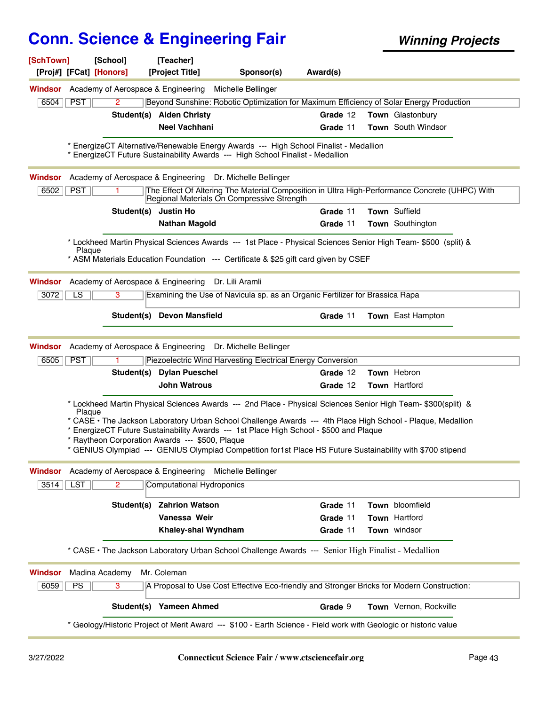| [SchTown]<br>[Proj#] [FCat] [Honors] | [School]                           | [Teacher]<br>[Project Title]                    | Sponsor(s)                                                                                                                                                                                           | Award(s) |                                                                                                                                                                                                                              |
|--------------------------------------|------------------------------------|-------------------------------------------------|------------------------------------------------------------------------------------------------------------------------------------------------------------------------------------------------------|----------|------------------------------------------------------------------------------------------------------------------------------------------------------------------------------------------------------------------------------|
| Windsor                              | Academy of Aerospace & Engineering |                                                 | Michelle Bellinger                                                                                                                                                                                   |          |                                                                                                                                                                                                                              |
| <b>PST</b><br>6504                   | $\overline{2}$                     |                                                 |                                                                                                                                                                                                      |          | Beyond Sunshine: Robotic Optimization for Maximum Efficiency of Solar Energy Production                                                                                                                                      |
|                                      |                                    | Student(s) Aiden Christy                        |                                                                                                                                                                                                      | Grade 12 | Town Glastonbury                                                                                                                                                                                                             |
|                                      |                                    | <b>Neel Vachhani</b>                            |                                                                                                                                                                                                      | Grade 11 | Town South Windsor                                                                                                                                                                                                           |
|                                      |                                    |                                                 | * EnergizeCT Alternative/Renewable Energy Awards --- High School Finalist - Medallion<br>* EnergizeCT Future Sustainability Awards --- High School Finalist - Medallion                              |          |                                                                                                                                                                                                                              |
| Windsor                              |                                    |                                                 | Academy of Aerospace & Engineering Dr. Michelle Bellinger                                                                                                                                            |          |                                                                                                                                                                                                                              |
| PST<br>6502                          |                                    |                                                 | Regional Materials On Compressive Strength                                                                                                                                                           |          | The Effect Of Altering The Material Composition in Ultra High-Performance Concrete (UHPC) With                                                                                                                               |
|                                      |                                    | Student(s) Justin Ho                            |                                                                                                                                                                                                      | Grade 11 | Town Suffield                                                                                                                                                                                                                |
|                                      |                                    | <b>Nathan Magold</b>                            |                                                                                                                                                                                                      | Grade 11 | Town Southington                                                                                                                                                                                                             |
| Plaque                               |                                    |                                                 | * ASM Materials Education Foundation --- Certificate & \$25 gift card given by CSEF                                                                                                                  |          | * Lockheed Martin Physical Sciences Awards --- 1st Place - Physical Sciences Senior High Team- \$500 (split) &                                                                                                               |
|                                      |                                    |                                                 |                                                                                                                                                                                                      |          |                                                                                                                                                                                                                              |
| Windsor                              | Academy of Aerospace & Engineering |                                                 | Dr. Lili Aramli                                                                                                                                                                                      |          |                                                                                                                                                                                                                              |
| LS<br>3072                           | 3                                  |                                                 | Examining the Use of Navicula sp. as an Organic Fertilizer for Brassica Rapa                                                                                                                         |          |                                                                                                                                                                                                                              |
|                                      |                                    | Student(s) Devon Mansfield                      |                                                                                                                                                                                                      | Grade 11 | Town East Hampton                                                                                                                                                                                                            |
|                                      |                                    |                                                 |                                                                                                                                                                                                      |          |                                                                                                                                                                                                                              |
| Windsor                              |                                    |                                                 | Academy of Aerospace & Engineering Dr. Michelle Bellinger                                                                                                                                            |          |                                                                                                                                                                                                                              |
| <b>PST</b><br>6505                   |                                    |                                                 | Piezoelectric Wind Harvesting Electrical Energy Conversion                                                                                                                                           |          |                                                                                                                                                                                                                              |
|                                      |                                    | Student(s) Dylan Pueschel                       |                                                                                                                                                                                                      | Grade 12 | Town Hebron                                                                                                                                                                                                                  |
|                                      |                                    | <b>John Watrous</b>                             |                                                                                                                                                                                                      | Grade 12 | Town Hartford                                                                                                                                                                                                                |
| Plaque                               |                                    | * Raytheon Corporation Awards --- \$500, Plaque | * EnergizeCT Future Sustainability Awards --- 1st Place High School - \$500 and Plaque<br>* GENIUS Olympiad --- GENIUS Olympiad Competition for1st Place HS Future Sustainability with \$700 stipend |          | * Lockheed Martin Physical Sciences Awards --- 2nd Place - Physical Sciences Senior High Team- \$300(split) &<br>* CASE • The Jackson Laboratory Urban School Challenge Awards --- 4th Place High School - Plaque, Medallion |
| Windsor                              | Academy of Aerospace & Engineering |                                                 | Michelle Bellinger                                                                                                                                                                                   |          |                                                                                                                                                                                                                              |
| <b>LST</b><br>3514                   | $\mathbf{2}$                       | <b>Computational Hydroponics</b>                |                                                                                                                                                                                                      |          |                                                                                                                                                                                                                              |
|                                      | Student(s)                         | <b>Zahrion Watson</b>                           |                                                                                                                                                                                                      | Grade 11 | Town bloomfield                                                                                                                                                                                                              |
|                                      |                                    | Vanessa Weir                                    |                                                                                                                                                                                                      | Grade 11 | Town Hartford                                                                                                                                                                                                                |
|                                      |                                    | Khaley-shai Wyndham                             |                                                                                                                                                                                                      | Grade 11 | Town windsor                                                                                                                                                                                                                 |
|                                      |                                    |                                                 | * CASE . The Jackson Laboratory Urban School Challenge Awards --- Senior High Finalist - Medallion                                                                                                   |          |                                                                                                                                                                                                                              |
| Windsor                              | Madina Academy                     | Mr. Coleman                                     |                                                                                                                                                                                                      |          |                                                                                                                                                                                                                              |
| PS<br>6059                           | 3                                  |                                                 |                                                                                                                                                                                                      |          | A Proposal to Use Cost Effective Eco-friendly and Stronger Bricks for Modern Construction:                                                                                                                                   |
|                                      |                                    | Student(s) Yameen Ahmed                         |                                                                                                                                                                                                      | Grade 9  | Town Vernon, Rockville                                                                                                                                                                                                       |
|                                      |                                    |                                                 | * Geology/Historic Project of Merit Award --- \$100 - Earth Science - Field work with Geologic or historic value                                                                                     |          |                                                                                                                                                                                                                              |
|                                      |                                    |                                                 |                                                                                                                                                                                                      |          |                                                                                                                                                                                                                              |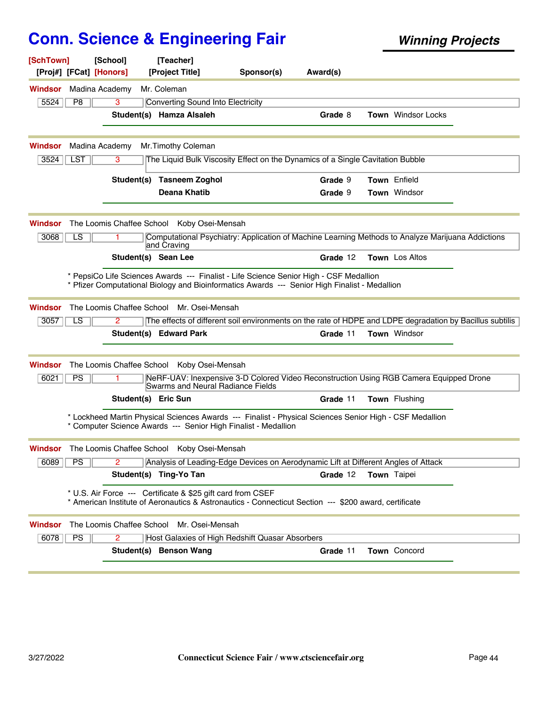| [SchTown]<br>[Proj#] [FCat] [Honors] |                | [School]                  | [Teacher]<br>[Project Title]                                                                                                                                                            | Sponsor(s) | Award(s) |                           |  |
|--------------------------------------|----------------|---------------------------|-----------------------------------------------------------------------------------------------------------------------------------------------------------------------------------------|------------|----------|---------------------------|--|
| Windsor                              |                | Madina Academy            | Mr. Coleman                                                                                                                                                                             |            |          |                           |  |
| 5524                                 | P <sub>8</sub> | 3                         | <b>Converting Sound Into Electricity</b>                                                                                                                                                |            |          |                           |  |
|                                      |                |                           | Student(s) Hamza Alsaleh                                                                                                                                                                |            | Grade 8  | <b>Town</b> Windsor Locks |  |
| Windsor                              |                | Madina Academy            | Mr.Timothy Coleman                                                                                                                                                                      |            |          |                           |  |
| 3524                                 | <b>LST</b>     | 3                         | The Liquid Bulk Viscosity Effect on the Dynamics of a Single Cavitation Bubble                                                                                                          |            |          |                           |  |
|                                      |                | Student(s)                | Tasneem Zoghol                                                                                                                                                                          |            | Grade 9  | Town Enfield              |  |
|                                      |                |                           | <b>Deana Khatib</b>                                                                                                                                                                     |            | Grade 9  | Town Windsor              |  |
| Windsor                              |                |                           | The Loomis Chaffee School Koby Osei-Mensah                                                                                                                                              |            |          |                           |  |
| 3068                                 | LS             |                           | Computational Psychiatry: Application of Machine Learning Methods to Analyze Marijuana Addictions<br>and Craving                                                                        |            |          |                           |  |
|                                      |                |                           | Student(s) Sean Lee                                                                                                                                                                     |            | Grade 12 | <b>Town</b> Los Altos     |  |
|                                      |                |                           | * PepsiCo Life Sciences Awards --- Finalist - Life Science Senior High - CSF Medallion<br>* Pfizer Computational Biology and Bioinformatics Awards --- Senior High Finalist - Medallion |            |          |                           |  |
| Windsor                              |                | The Loomis Chaffee School | Mr. Osei-Mensah                                                                                                                                                                         |            |          |                           |  |
| 3057                                 | LS             | 2                         | The effects of different soil environments on the rate of HDPE and LDPE degradation by Bacillus subtilis                                                                                |            |          |                           |  |
|                                      |                |                           | Student(s) Edward Park                                                                                                                                                                  |            | Grade 11 | Town Windsor              |  |
| Windsor                              |                |                           | The Loomis Chaffee School Koby Osei-Mensah                                                                                                                                              |            |          |                           |  |
| 6021                                 | PS             |                           | NeRF-UAV: Inexpensive 3-D Colored Video Reconstruction Using RGB Camera Equipped Drone<br><b>Swarms and Neural Radiance Fields</b>                                                      |            |          |                           |  |
|                                      |                | Student(s) Eric Sun       |                                                                                                                                                                                         |            | Grade 11 | <b>Town</b> Flushing      |  |
|                                      |                |                           | * Lockheed Martin Physical Sciences Awards --- Finalist - Physical Sciences Senior High - CSF Medallion<br>* Computer Science Awards --- Senior High Finalist - Medallion               |            |          |                           |  |
| Windsor                              |                |                           | The Loomis Chaffee School Koby Osei-Mensah                                                                                                                                              |            |          |                           |  |
| 6089                                 | PS             | $\overline{2}$            | Analysis of Leading-Edge Devices on Aerodynamic Lift at Different Angles of Attack                                                                                                      |            |          |                           |  |
|                                      |                |                           | Student(s) Ting-Yo Tan                                                                                                                                                                  |            | Grade 12 | Town Taipei               |  |
|                                      |                |                           | * U.S. Air Force --- Certificate & \$25 gift card from CSEF<br>* American Institute of Aeronautics & Astronautics - Connecticut Section --- \$200 award, certificate                    |            |          |                           |  |
| Windsor                              |                |                           | The Loomis Chaffee School Mr. Osei-Mensah                                                                                                                                               |            |          |                           |  |
| 6078                                 | <b>PS</b>      | 2                         | Host Galaxies of High Redshift Quasar Absorbers                                                                                                                                         |            |          |                           |  |
|                                      |                |                           | Student(s) Benson Wang                                                                                                                                                                  |            | Grade 11 | Town Concord              |  |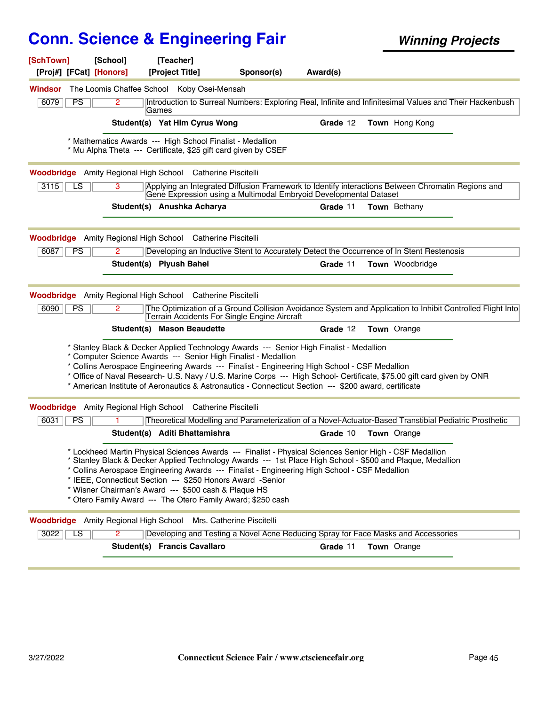| [SchTown]<br>[Proj#] [FCat] [Honors]                                             | [School]             | [Teacher]<br>[Project Title]                                                                                       | Sponsor(s)                                                                                                                                                                                                                                                                                                                                                          | Award(s) |                                                                                                                                                                                                                       |  |
|----------------------------------------------------------------------------------|----------------------|--------------------------------------------------------------------------------------------------------------------|---------------------------------------------------------------------------------------------------------------------------------------------------------------------------------------------------------------------------------------------------------------------------------------------------------------------------------------------------------------------|----------|-----------------------------------------------------------------------------------------------------------------------------------------------------------------------------------------------------------------------|--|
| Windsor                                                                          |                      | The Loomis Chaffee School Koby Osei-Mensah                                                                         |                                                                                                                                                                                                                                                                                                                                                                     |          |                                                                                                                                                                                                                       |  |
| PS<br>6079                                                                       | 2                    | <b>Games</b>                                                                                                       |                                                                                                                                                                                                                                                                                                                                                                     |          | Introduction to Surreal Numbers: Exploring Real, Infinite and Infinitesimal Values and Their Hackenbush                                                                                                               |  |
|                                                                                  |                      | Student(s) Yat Him Cyrus Wong                                                                                      |                                                                                                                                                                                                                                                                                                                                                                     | Grade 12 | <b>Town</b> Hong Kong                                                                                                                                                                                                 |  |
|                                                                                  |                      | * Mathematics Awards --- High School Finalist - Medallion                                                          | * Mu Alpha Theta --- Certificate, \$25 gift card given by CSEF                                                                                                                                                                                                                                                                                                      |          |                                                                                                                                                                                                                       |  |
| <b>Woodbridge</b> Amity Regional High School Catherine Piscitelli                |                      |                                                                                                                    |                                                                                                                                                                                                                                                                                                                                                                     |          |                                                                                                                                                                                                                       |  |
| $\overline{LS}$<br>3115                                                          | $\overline{3}$       |                                                                                                                    | Gene Expression using a Multimodal Embryoid Developmental Dataset                                                                                                                                                                                                                                                                                                   |          | Applying an Integrated Diffusion Framework to Identify interactions Between Chromatin Regions and                                                                                                                     |  |
|                                                                                  |                      | Student(s) Anushka Acharya                                                                                         |                                                                                                                                                                                                                                                                                                                                                                     | Grade 11 | <b>Town</b> Bethany                                                                                                                                                                                                   |  |
| Woodbridge                                                                       |                      | Amity Regional High School Catherine Piscitelli                                                                    |                                                                                                                                                                                                                                                                                                                                                                     |          |                                                                                                                                                                                                                       |  |
| 6087<br><b>PS</b>                                                                | 2                    |                                                                                                                    |                                                                                                                                                                                                                                                                                                                                                                     |          | Developing an Inductive Stent to Accurately Detect the Occurrence of In Stent Restenosis                                                                                                                              |  |
|                                                                                  |                      | Student(s) Piyush Bahel                                                                                            |                                                                                                                                                                                                                                                                                                                                                                     | Grade 11 | <b>Town</b> Woodbridge                                                                                                                                                                                                |  |
| <b>Woodbridge</b> Amity Regional High School Catherine Piscitelli<br>6090<br>PS. | $\mathbf{2}^{\circ}$ | Student(s) Mason Beaudette                                                                                         | Terrain Accidents For Single Engine Aircraft                                                                                                                                                                                                                                                                                                                        | Grade 12 | The Optimization of a Ground Collision Avoidance System and Application to Inhibit Controlled Flight Into<br><b>Town</b> Orange                                                                                       |  |
|                                                                                  |                      |                                                                                                                    | * Stanley Black & Decker Applied Technology Awards --- Senior High Finalist - Medallion<br>* Computer Science Awards --- Senior High Finalist - Medallion<br>* Collins Aerospace Engineering Awards --- Finalist - Engineering High School - CSF Medallion<br>* American Institute of Aeronautics & Astronautics - Connecticut Section --- \$200 award, certificate |          | * Office of Naval Research- U.S. Navy / U.S. Marine Corps --- High School- Certificate, \$75.00 gift card given by ONR                                                                                                |  |
| <b>Woodbridge</b> Amity Regional High School Catherine Piscitelli                |                      |                                                                                                                    |                                                                                                                                                                                                                                                                                                                                                                     |          |                                                                                                                                                                                                                       |  |
| 6031<br>PS                                                                       |                      |                                                                                                                    |                                                                                                                                                                                                                                                                                                                                                                     |          | Theoretical Modelling and Parameterization of a Novel-Actuator-Based Transtibial Pediatric Prosthetic                                                                                                                 |  |
|                                                                                  |                      | Student(s) Aditi Bhattamishra                                                                                      |                                                                                                                                                                                                                                                                                                                                                                     | Grade 10 | <b>Town</b> Orange                                                                                                                                                                                                    |  |
|                                                                                  |                      | * IEEE, Connecticut Section --- \$250 Honors Award -Senior<br>* Wisner Chairman's Award --- \$500 cash & Plaque HS | * Collins Aerospace Engineering Awards --- Finalist - Engineering High School - CSF Medallion<br>* Otero Family Award --- The Otero Family Award; \$250 cash                                                                                                                                                                                                        |          | * Lockheed Martin Physical Sciences Awards --- Finalist - Physical Sciences Senior High - CSF Medallion<br>* Stanley Black & Decker Applied Technology Awards --- 1st Place High School - \$500 and Plaque, Medallion |  |
| <b>Woodbridge</b> Amity Regional High School Mrs. Catherine Piscitelli           |                      |                                                                                                                    |                                                                                                                                                                                                                                                                                                                                                                     |          |                                                                                                                                                                                                                       |  |
| 3022<br>LS                                                                       | $\overline{2}$       |                                                                                                                    |                                                                                                                                                                                                                                                                                                                                                                     |          | Developing and Testing a Novel Acne Reducing Spray for Face Masks and Accessories                                                                                                                                     |  |
|                                                                                  |                      | Student(s) Francis Cavallaro                                                                                       |                                                                                                                                                                                                                                                                                                                                                                     | Grade 11 | <b>Town</b> Orange                                                                                                                                                                                                    |  |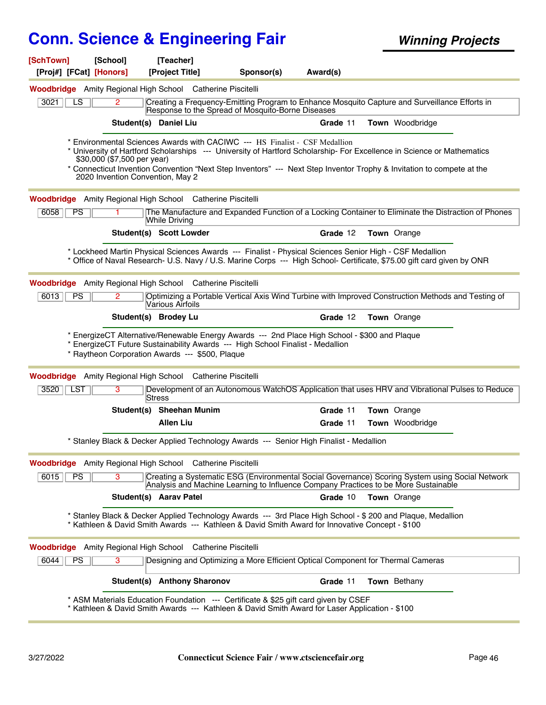| [SchTown]               | [School]                                                                                                      | [Teacher]                      |                                                                                                                                                                                                                                                                                                                              |          |                 |  |
|-------------------------|---------------------------------------------------------------------------------------------------------------|--------------------------------|------------------------------------------------------------------------------------------------------------------------------------------------------------------------------------------------------------------------------------------------------------------------------------------------------------------------------|----------|-----------------|--|
| [Proj#] [FCat] [Honors] |                                                                                                               | [Project Title]                | Sponsor(s)                                                                                                                                                                                                                                                                                                                   | Award(s) |                 |  |
|                         | Woodbridge Amity Regional High School Catherine Piscitelli                                                    |                                |                                                                                                                                                                                                                                                                                                                              |          |                 |  |
| 3021<br>LS              | $\overline{2}$                                                                                                |                                | Creating a Frequency-Emitting Program to Enhance Mosquito Capture and Surveillance Efforts in<br>Response to the Spread of Mosquito-Borne Diseases                                                                                                                                                                           |          |                 |  |
|                         | Student(s) Daniel Liu                                                                                         |                                |                                                                                                                                                                                                                                                                                                                              | Grade 11 | Town Woodbridge |  |
|                         | \$30,000 (\$7,500 per year)<br>2020 Invention Convention, May 2                                               |                                | Environmental Sciences Awards with CACIWC --- HS Finalist - CSF Medallion<br>* University of Hartford Scholarships --- University of Hartford Scholarship- For Excellence in Science or Mathematics<br>* Connecticut Invention Convention "Next Step Inventors" --- Next Step Inventor Trophy & Invitation to compete at the |          |                 |  |
|                         | <b>Woodbridge</b> Amity Regional High School Catherine Piscitelli                                             |                                |                                                                                                                                                                                                                                                                                                                              |          |                 |  |
| 6058<br><b>PS</b>       |                                                                                                               | <b>While Driving</b>           | The Manufacture and Expanded Function of a Locking Container to Eliminate the Distraction of Phones                                                                                                                                                                                                                          |          |                 |  |
|                         |                                                                                                               | <b>Student(s) Scott Lowder</b> |                                                                                                                                                                                                                                                                                                                              | Grade 12 | Town Orange     |  |
|                         |                                                                                                               |                                | * Lockheed Martin Physical Sciences Awards --- Finalist - Physical Sciences Senior High - CSF Medallion<br>* Office of Naval Research- U.S. Navy / U.S. Marine Corps --- High School- Certificate, \$75.00 gift card given by ONR                                                                                            |          |                 |  |
|                         | <b>Woodbridge</b> Amity Regional High School Catherine Piscitelli                                             |                                |                                                                                                                                                                                                                                                                                                                              |          |                 |  |
| 6013<br><b>PS</b>       | 2                                                                                                             | Various Airfoils               | Optimizing a Portable Vertical Axis Wind Turbine with Improved Construction Methods and Testing of                                                                                                                                                                                                                           |          |                 |  |
|                         |                                                                                                               | Student(s) Brodey Lu           |                                                                                                                                                                                                                                                                                                                              | Grade 12 | Town Orange     |  |
|                         | * Raytheon Corporation Awards --- \$500, Plaque<br>Woodbridge Amity Regional High School Catherine Piscitelli |                                | * EnergizeCT Alternative/Renewable Energy Awards --- 2nd Place High School - \$300 and Plaque<br>EnergizeCT Future Sustainability Awards --- High School Finalist - Medallion                                                                                                                                                |          |                 |  |
| 3520   LST              | 3                                                                                                             | Stress                         | Development of an Autonomous WatchOS Application that uses HRV and Vibrational Pulses to Reduce                                                                                                                                                                                                                              |          |                 |  |
|                         |                                                                                                               | Student(s) Sheehan Munim       |                                                                                                                                                                                                                                                                                                                              | Grade 11 | Town Orange     |  |
|                         |                                                                                                               | <b>Allen Liu</b>               |                                                                                                                                                                                                                                                                                                                              | Grade 11 | Town Woodbridge |  |
|                         |                                                                                                               |                                | * Stanley Black & Decker Applied Technology Awards --- Senior High Finalist - Medallion                                                                                                                                                                                                                                      |          |                 |  |
|                         | <b>Woodbridge</b> Amity Regional High School Catherine Piscitelli                                             |                                |                                                                                                                                                                                                                                                                                                                              |          |                 |  |
| 6015<br>PS              | 3                                                                                                             |                                | Creating a Systematic ESG (Environmental Social Governance) Scoring System using Social Network<br>Analysis and Machine Learning to Influence Company Practices to be More Sustainable                                                                                                                                       |          |                 |  |
|                         |                                                                                                               | Student(s) Aarav Patel         |                                                                                                                                                                                                                                                                                                                              | Grade 10 | Town Orange     |  |
|                         |                                                                                                               |                                | * Stanley Black & Decker Applied Technology Awards --- 3rd Place High School - \$ 200 and Plaque, Medallion<br>* Kathleen & David Smith Awards --- Kathleen & David Smith Award for Innovative Concept - \$100                                                                                                               |          |                 |  |
|                         | <b>Woodbridge</b> Amity Regional High School Catherine Piscitelli                                             |                                |                                                                                                                                                                                                                                                                                                                              |          |                 |  |
| 6044<br><b>PS</b>       | 3                                                                                                             |                                | Designing and Optimizing a More Efficient Optical Component for Thermal Cameras                                                                                                                                                                                                                                              |          |                 |  |
|                         |                                                                                                               | Student(s) Anthony Sharonov    |                                                                                                                                                                                                                                                                                                                              | Grade 11 | Town Bethany    |  |
|                         |                                                                                                               |                                | * ASM Materials Education Foundation --- Certificate & \$25 gift card given by CSEF<br>* Kathleen & David Smith Awards --- Kathleen & David Smith Award for Laser Application - \$100                                                                                                                                        |          |                 |  |